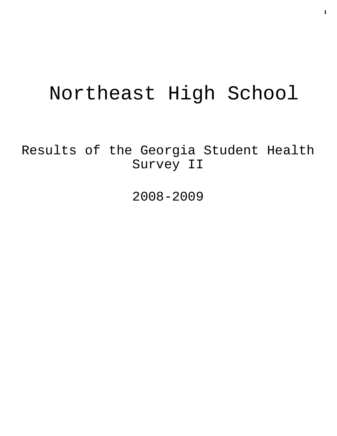# Northeast High School

Results of the Georgia Student Health Survey II

2008-2009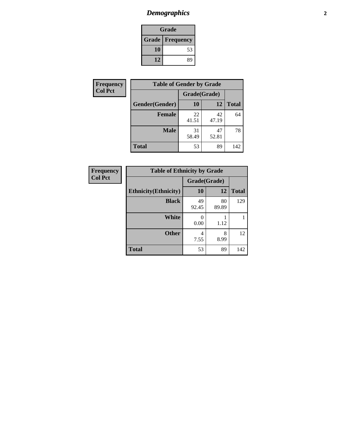# *Demographics* **2**

| Grade                    |    |  |  |
|--------------------------|----|--|--|
| <b>Grade   Frequency</b> |    |  |  |
| 10                       | 53 |  |  |
| 12                       | 89 |  |  |

| <b>Frequency</b> | <b>Table of Gender by Grade</b> |              |             |              |  |
|------------------|---------------------------------|--------------|-------------|--------------|--|
| <b>Col Pct</b>   |                                 | Grade(Grade) |             |              |  |
|                  | Gender(Gender)                  | <b>10</b>    | 12          | <b>Total</b> |  |
|                  | <b>Female</b>                   | 22<br>41.51  | 42<br>47.19 | 64           |  |
|                  | <b>Male</b>                     | 31<br>58.49  | 47<br>52.81 | 78           |  |
|                  | <b>Total</b>                    | 53           | 89          | 142          |  |

| Frequency      |
|----------------|
| <b>Col Pct</b> |

| <b>Table of Ethnicity by Grade</b> |              |             |              |  |  |  |
|------------------------------------|--------------|-------------|--------------|--|--|--|
|                                    | Grade(Grade) |             |              |  |  |  |
| <b>Ethnicity</b> (Ethnicity)       | <b>10</b>    | 12          | <b>Total</b> |  |  |  |
| <b>Black</b>                       | 49<br>92.45  | 80<br>89.89 | 129          |  |  |  |
| White                              | 0.00         | 1.12        |              |  |  |  |
| <b>Other</b>                       | 4<br>7.55    | 8<br>8.99   | 12           |  |  |  |
| <b>Total</b>                       | 53           | 89          | 142          |  |  |  |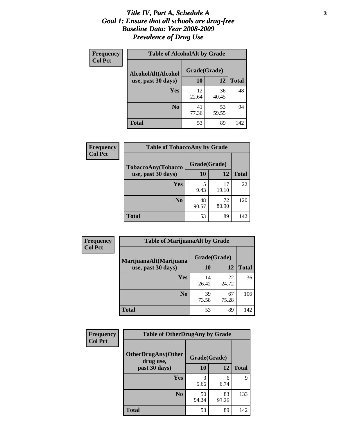### *Title IV, Part A, Schedule A* **3** *Goal 1: Ensure that all schools are drug-free Baseline Data: Year 2008-2009 Prevalence of Drug Use*

| Frequency<br><b>Col Pct</b> | <b>Table of AlcoholAlt by Grade</b> |              |             |              |  |  |
|-----------------------------|-------------------------------------|--------------|-------------|--------------|--|--|
|                             | AlcoholAlt(Alcohol                  | Grade(Grade) |             |              |  |  |
|                             | use, past 30 days)                  | 10           | 12          | <b>Total</b> |  |  |
|                             | Yes                                 | 12<br>22.64  | 36<br>40.45 | 48           |  |  |
|                             | N <sub>0</sub>                      | 41<br>77.36  | 53<br>59.55 | 94           |  |  |
|                             | <b>Total</b>                        | 53           | 89          | 142          |  |  |

| Frequency<br><b>Col Pct</b> | <b>Table of TobaccoAny by Grade</b> |             |             |              |  |  |
|-----------------------------|-------------------------------------|-------------|-------------|--------------|--|--|
| <b>TobaccoAny(Tobacco</b>   | Grade(Grade)                        |             |             |              |  |  |
|                             | use, past 30 days)                  | 10          | 12          | <b>Total</b> |  |  |
|                             | Yes                                 | 5<br>9.43   | 17<br>19.10 | 22           |  |  |
|                             | N <sub>0</sub>                      | 48<br>90.57 | 72<br>80.90 | 120          |  |  |
|                             | <b>Total</b>                        | 53          | 89          | 142          |  |  |

| Frequency<br><b>Col Pct</b> | <b>Table of MarijuanaAlt by Grade</b> |              |             |              |  |
|-----------------------------|---------------------------------------|--------------|-------------|--------------|--|
|                             | MarijuanaAlt(Marijuana                | Grade(Grade) |             |              |  |
|                             | use, past 30 days)                    | 10           | 12          | <b>Total</b> |  |
|                             | Yes                                   | 14<br>26.42  | 22<br>24.72 | 36           |  |
|                             | N <sub>0</sub>                        | 39<br>73.58  | 67<br>75.28 | 106          |  |
|                             | <b>Total</b>                          | 53           | 89          | 142          |  |

| Frequency                                                                 | <b>Table of OtherDrugAny by Grade</b> |              |              |     |  |
|---------------------------------------------------------------------------|---------------------------------------|--------------|--------------|-----|--|
| <b>Col Pct</b><br><b>OtherDrugAny(Other</b><br>drug use,<br>past 30 days) |                                       | Grade(Grade) |              |     |  |
|                                                                           | 10                                    | 12           | <b>Total</b> |     |  |
|                                                                           | <b>Yes</b>                            | 5.66         | 6<br>6.74    | 9   |  |
|                                                                           | N <sub>0</sub>                        | 50<br>94.34  | 83<br>93.26  | 133 |  |
|                                                                           | <b>Total</b>                          | 53           | 89           | 142 |  |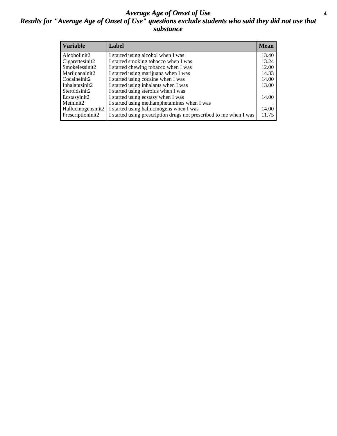### *Average Age of Onset of Use* **4** *Results for "Average Age of Onset of Use" questions exclude students who said they did not use that substance*

| <b>Variable</b>    | Label                                                              | <b>Mean</b> |
|--------------------|--------------------------------------------------------------------|-------------|
| Alcoholinit2       | I started using alcohol when I was                                 | 13.40       |
| Cigarettesinit2    | I started smoking tobacco when I was                               | 13.24       |
| Smokelessinit2     | I started chewing tobacco when I was                               | 12.00       |
| Marijuanainit2     | I started using marijuana when I was                               | 14.33       |
| Cocaineinit2       | I started using cocaine when I was                                 | 14.00       |
| Inhalantsinit2     | I started using inhalants when I was                               | 13.00       |
| Steroidsinit2      | I started using steroids when I was                                |             |
| Ecstasyinit2       | I started using ecstasy when I was                                 | 14.00       |
| Methinit2          | I started using methamphetamines when I was                        |             |
| Hallucinogensinit2 | I started using hallucinogens when I was                           | 14.00       |
| Prescriptioninit2  | I started using prescription drugs not prescribed to me when I was | 11.75       |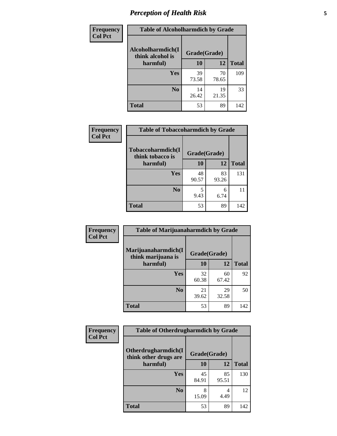# *Perception of Health Risk* **5**

| <b>Frequency</b> | <b>Table of Alcoholharmdich by Grade</b> |              |             |              |  |
|------------------|------------------------------------------|--------------|-------------|--------------|--|
| <b>Col Pct</b>   | Alcoholharmdich(I<br>think alcohol is    | Grade(Grade) |             |              |  |
|                  | harmful)                                 | 10           | 12          | <b>Total</b> |  |
|                  | Yes                                      | 39           | 70          | 109          |  |
|                  |                                          | 73.58        | 78.65       |              |  |
|                  | N <sub>0</sub>                           | 14<br>26.42  | 19<br>21.35 | 33           |  |
|                  |                                          |              |             |              |  |
|                  | <b>Total</b>                             | 53           | 89          | 142          |  |

| Frequency      | <b>Table of Tobaccoharmdich by Grade</b> |              |             |              |  |
|----------------|------------------------------------------|--------------|-------------|--------------|--|
| <b>Col Pct</b> | Tobaccoharmdich(I<br>think tobacco is    | Grade(Grade) |             |              |  |
|                | harmful)                                 | 10           | 12          | <b>Total</b> |  |
|                | Yes                                      | 48<br>90.57  | 83<br>93.26 | 131          |  |
|                | N <sub>0</sub>                           | 9.43         | 6<br>6.74   | 11           |  |
|                | <b>Total</b>                             | 53           | 89          | 142          |  |

| Frequency      | <b>Table of Marijuanaharmdich by Grade</b> |              |             |              |  |  |
|----------------|--------------------------------------------|--------------|-------------|--------------|--|--|
| <b>Col Pct</b> | Marijuanaharmdich(I<br>think marijuana is  | Grade(Grade) |             |              |  |  |
|                | harmful)                                   | <b>10</b>    | 12          | <b>Total</b> |  |  |
|                | <b>Yes</b>                                 | 32<br>60.38  | 60<br>67.42 | 92           |  |  |
|                | N <sub>0</sub>                             | 21<br>39.62  | 29<br>32.58 | 50           |  |  |
|                | <b>Total</b>                               | 53           | 89          | 142          |  |  |

| Frequency      | <b>Table of Otherdrugharmdich by Grade</b>   |              |             |              |  |  |
|----------------|----------------------------------------------|--------------|-------------|--------------|--|--|
| <b>Col Pct</b> | Otherdrugharmdich(I<br>think other drugs are | Grade(Grade) |             |              |  |  |
|                | harmful)                                     | <b>10</b>    | 12          | <b>Total</b> |  |  |
|                | <b>Yes</b>                                   | 45<br>84.91  | 85<br>95.51 | 130          |  |  |
|                | N <sub>0</sub>                               | 15.09        | 4<br>4.49   | 12           |  |  |
|                | <b>Total</b>                                 | 53           | 89          | 142          |  |  |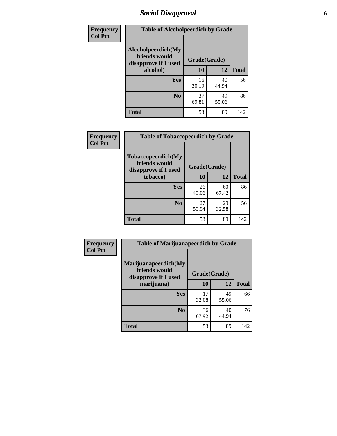# *Social Disapproval* **6**

| Frequency      |                                                             | <b>Table of Alcoholpeerdich by Grade</b> |              |              |  |  |  |
|----------------|-------------------------------------------------------------|------------------------------------------|--------------|--------------|--|--|--|
| <b>Col Pct</b> | Alcoholpeerdich(My<br>friends would<br>disapprove if I used |                                          | Grade(Grade) |              |  |  |  |
|                | alcohol)                                                    | 10                                       | 12           | <b>Total</b> |  |  |  |
|                | <b>Yes</b>                                                  | 16<br>30.19                              | 40<br>44.94  | 56           |  |  |  |
|                | N <sub>0</sub>                                              | 37<br>69.81                              | 49<br>55.06  | 86           |  |  |  |
|                | <b>Total</b>                                                | 53                                       | 89           | 142          |  |  |  |

| <b>Frequency</b> |
|------------------|
| <b>Col Pct</b>   |

| <b>Table of Tobaccopeerdich by Grade</b>                    |              |             |              |  |  |  |
|-------------------------------------------------------------|--------------|-------------|--------------|--|--|--|
| Tobaccopeerdich(My<br>friends would<br>disapprove if I used | Grade(Grade) |             |              |  |  |  |
| tobacco)                                                    | 10           | 12          | <b>Total</b> |  |  |  |
| Yes                                                         | 26<br>49.06  | 60<br>67.42 | 86           |  |  |  |
| N <sub>0</sub>                                              | 27<br>50.94  | 29<br>32.58 | 56           |  |  |  |
| <b>Total</b>                                                | 53           | 89          | 142          |  |  |  |

| Frequency      | <b>Table of Marijuanapeerdich by Grade</b>                    |              |             |              |  |  |
|----------------|---------------------------------------------------------------|--------------|-------------|--------------|--|--|
| <b>Col Pct</b> | Marijuanapeerdich(My<br>friends would<br>disapprove if I used | Grade(Grade) |             |              |  |  |
|                | marijuana)                                                    | 10           | 12          | <b>Total</b> |  |  |
|                | <b>Yes</b>                                                    | 17<br>32.08  | 49<br>55.06 | 66           |  |  |
|                | N <sub>0</sub>                                                | 36<br>67.92  | 40<br>44.94 | 76           |  |  |
|                | <b>Total</b>                                                  | 53           | 89          | 142          |  |  |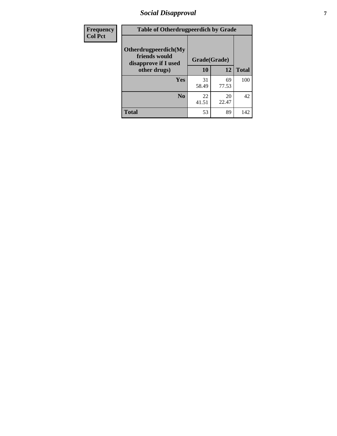# *Social Disapproval* **7**

| Frequency      | <b>Table of Otherdrugpeerdich by Grade</b>                    |              |             |              |  |  |
|----------------|---------------------------------------------------------------|--------------|-------------|--------------|--|--|
| <b>Col Pct</b> | Otherdrugpeerdich(My<br>friends would<br>disapprove if I used | Grade(Grade) |             |              |  |  |
|                | other drugs)                                                  | 10           | 12          | <b>Total</b> |  |  |
|                | <b>Yes</b>                                                    | 31<br>58.49  | 69<br>77.53 | 100          |  |  |
|                | N <sub>0</sub>                                                | 22<br>41.51  | 20<br>22.47 | 42           |  |  |
|                | <b>Total</b>                                                  | 53           | 89          | 142          |  |  |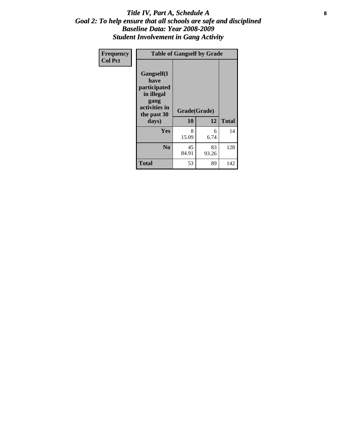### Title IV, Part A, Schedule A **8** *Goal 2: To help ensure that all schools are safe and disciplined Baseline Data: Year 2008-2009 Student Involvement in Gang Activity*

| Frequency      |                                                                                                   | <b>Table of Gangself by Grade</b> |             |              |
|----------------|---------------------------------------------------------------------------------------------------|-----------------------------------|-------------|--------------|
| <b>Col Pct</b> | Gangself(I<br>have<br>participated<br>in illegal<br>gang<br>activities in<br>the past 30<br>days) | Grade(Grade)<br>10                | 12          | <b>Total</b> |
|                | Yes                                                                                               | 8<br>15.09                        | 6<br>6.74   | 14           |
|                | N <sub>0</sub>                                                                                    | 45<br>84.91                       | 83<br>93.26 | 128          |
|                | <b>Total</b>                                                                                      | 53                                | 89          | 142          |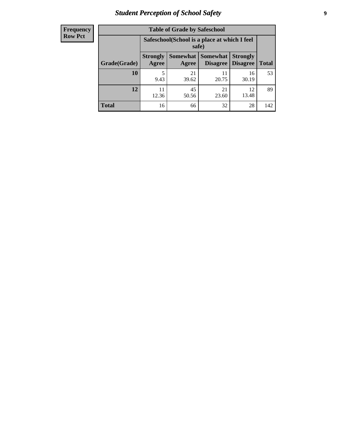# *Student Perception of School Safety* **9**

| <b>Frequency</b><br>Row Pct |
|-----------------------------|
|                             |

| <b>Table of Grade by Safeschool</b> |                                                        |             |                                        |                                    |              |  |
|-------------------------------------|--------------------------------------------------------|-------------|----------------------------------------|------------------------------------|--------------|--|
|                                     | Safeschool (School is a place at which I feel<br>safe) |             |                                        |                                    |              |  |
| Grade(Grade)                        | <b>Strongly</b><br>Agree                               | Agree       | <b>Somewhat   Somewhat</b><br>Disagree | <b>Strongly</b><br><b>Disagree</b> | <b>Total</b> |  |
| <b>10</b>                           | 5<br>9.43                                              | 21<br>39.62 | 11<br>20.75                            | 16<br>30.19                        | 53           |  |
| 12                                  | 11<br>12.36                                            | 45<br>50.56 | 21<br>23.60                            | 12<br>13.48                        | 89           |  |
| <b>Total</b>                        | 16                                                     | 66          | 32                                     | 28                                 | 142          |  |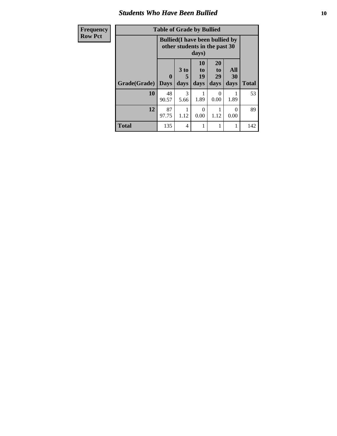### *Students Who Have Been Bullied* **10**

| Frequency      |  |
|----------------|--|
| <b>Row Pct</b> |  |

# **Table of Grade by Bullied**

┑

|              |                  | <b>Bullied</b> (I have been bullied by<br>other students in the past 30<br>days) |                               |                        |                   |              |
|--------------|------------------|----------------------------------------------------------------------------------|-------------------------------|------------------------|-------------------|--------------|
| Grade(Grade) | 0<br><b>Days</b> | 3 to<br>5<br>days                                                                | <b>10</b><br>to<br>19<br>days | 20<br>to<br>29<br>days | All<br>30<br>days | <b>Total</b> |
| 10           | 48<br>90.57      | 3<br>5.66                                                                        | 1.89                          | 0<br>0.00              | 1.89              | 53           |
| 12           | 87<br>97.75      | 1.12                                                                             | 0<br>0.00                     | 1.12                   | 0<br>0.00         | 89           |
| <b>Total</b> | 135              | 4                                                                                |                               |                        | 1                 | 142          |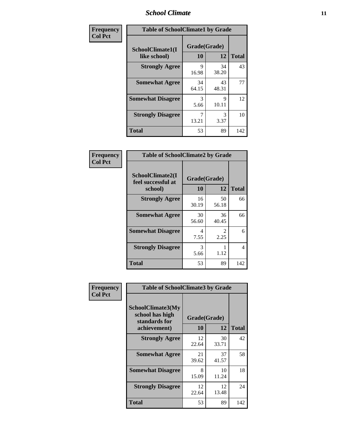### *School Climate* **11**

| Frequency      | <b>Table of SchoolClimate1 by Grade</b> |                    |             |              |  |  |
|----------------|-----------------------------------------|--------------------|-------------|--------------|--|--|
| <b>Col Pct</b> | SchoolClimate1(I<br>like school)        | Grade(Grade)<br>10 | 12          | <b>Total</b> |  |  |
|                | <b>Strongly Agree</b>                   | 9<br>16.98         | 34<br>38.20 | 43           |  |  |
|                | <b>Somewhat Agree</b>                   | 34<br>64.15        | 43<br>48.31 | 77           |  |  |
|                | <b>Somewhat Disagree</b>                | 3<br>5.66          | 9<br>10.11  | 12           |  |  |
|                | <b>Strongly Disagree</b>                | 7<br>13.21         | 3<br>3.37   | 10           |  |  |
|                | <b>Total</b>                            | 53                 | 89          | 142          |  |  |

| <b>Frequency</b> |
|------------------|
| <b>Col Pct</b>   |

| <b>Table of SchoolClimate2 by Grade</b>           |              |             |     |  |  |
|---------------------------------------------------|--------------|-------------|-----|--|--|
| SchoolClimate2(I<br>feel successful at<br>school) | <b>Total</b> |             |     |  |  |
| <b>Strongly Agree</b>                             | 16<br>30.19  | 50<br>56.18 | 66  |  |  |
| <b>Somewhat Agree</b>                             | 30<br>56.60  | 36<br>40.45 | 66  |  |  |
| <b>Somewhat Disagree</b>                          | 4<br>7.55    | 2.25        | 6   |  |  |
| <b>Strongly Disagree</b>                          | 3<br>5.66    | 1.12        | 4   |  |  |
| <b>Total</b>                                      | 53           | 89          | 142 |  |  |

| Frequency      | <b>Table of SchoolClimate3 by Grade</b>                      |                          |             |              |  |
|----------------|--------------------------------------------------------------|--------------------------|-------------|--------------|--|
| <b>Col Pct</b> | <b>SchoolClimate3(My</b><br>school has high<br>standards for | Grade(Grade)<br>10<br>12 |             |              |  |
|                | achievement)                                                 |                          |             | <b>Total</b> |  |
|                | <b>Strongly Agree</b>                                        | 12<br>22.64              | 30<br>33.71 | 42           |  |
|                | <b>Somewhat Agree</b>                                        | 21<br>39.62              | 37<br>41.57 | 58           |  |
|                | <b>Somewhat Disagree</b>                                     | 8<br>15.09               | 10<br>11.24 | 18           |  |
|                | <b>Strongly Disagree</b>                                     | 12<br>22.64              | 12<br>13.48 | 24           |  |
|                | Total                                                        | 53                       | 89          | 142          |  |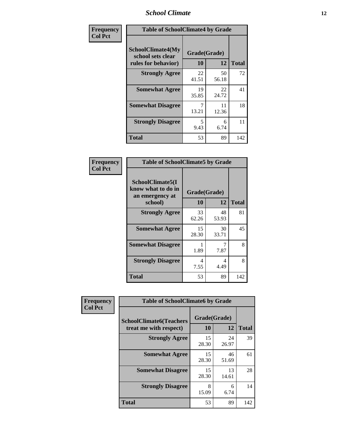### *School Climate* **12**

| Frequency      | <b>Table of SchoolClimate4 by Grade</b>                              |                    |             |              |
|----------------|----------------------------------------------------------------------|--------------------|-------------|--------------|
| <b>Col Pct</b> | <b>SchoolClimate4(My</b><br>school sets clear<br>rules for behavior) | Grade(Grade)<br>10 | 12          | <b>Total</b> |
|                | <b>Strongly Agree</b>                                                | 22<br>41.51        | 50<br>56.18 | 72           |
|                | <b>Somewhat Agree</b>                                                | 19<br>35.85        | 22<br>24.72 | 41           |
|                | <b>Somewhat Disagree</b>                                             | 7<br>13.21         | 11<br>12.36 | 18           |
|                | <b>Strongly Disagree</b>                                             | 5<br>9.43          | 6<br>6.74   | 11           |
|                | <b>Total</b>                                                         | 53                 | 89          | 142          |

| <b>Table of SchoolClimate5 by Grade</b>                   |              |             |              |  |  |
|-----------------------------------------------------------|--------------|-------------|--------------|--|--|
| SchoolClimate5(I<br>know what to do in<br>an emergency at | Grade(Grade) |             |              |  |  |
| school)                                                   | 10           | 12          | <b>Total</b> |  |  |
| <b>Strongly Agree</b>                                     | 33<br>62.26  | 48<br>53.93 | 81           |  |  |
| <b>Somewhat Agree</b>                                     | 15<br>28.30  | 30<br>33.71 | 45           |  |  |
| <b>Somewhat Disagree</b>                                  | 1.89         | 7<br>7.87   | 8            |  |  |
| <b>Strongly Disagree</b>                                  | 4<br>7.55    | 4<br>4.49   | 8            |  |  |
| Total                                                     | 53           | 89          | 142          |  |  |

| Frequency      | <b>Table of SchoolClimate6 by Grade</b>                  |                    |             |              |  |
|----------------|----------------------------------------------------------|--------------------|-------------|--------------|--|
| <b>Col Pct</b> | <b>SchoolClimate6(Teachers</b><br>treat me with respect) | Grade(Grade)<br>10 | 12          | <b>Total</b> |  |
|                | <b>Strongly Agree</b>                                    | 15<br>28.30        | 24<br>26.97 | 39           |  |
|                | <b>Somewhat Agree</b>                                    | 15<br>28.30        | 46<br>51.69 | 61           |  |
|                | <b>Somewhat Disagree</b>                                 | 15<br>28.30        | 13<br>14.61 | 28           |  |
|                | <b>Strongly Disagree</b>                                 | 8<br>15.09         | 6<br>6.74   | 14           |  |
|                | <b>Total</b>                                             | 53                 | 89          | 142          |  |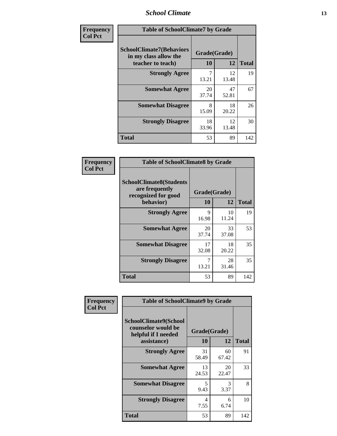### *School Climate* **13**

| Frequency      | <b>Table of SchoolClimate7 by Grade</b>                                       |                           |             |              |  |
|----------------|-------------------------------------------------------------------------------|---------------------------|-------------|--------------|--|
| <b>Col Pct</b> | <b>SchoolClimate7(Behaviors</b><br>in my class allow the<br>teacher to teach) | Grade(Grade)<br><b>10</b> | 12          | <b>Total</b> |  |
|                | <b>Strongly Agree</b>                                                         | $\overline{7}$<br>13.21   | 12<br>13.48 | 19           |  |
|                | <b>Somewhat Agree</b>                                                         | 20<br>37.74               | 47<br>52.81 | 67           |  |
|                | <b>Somewhat Disagree</b>                                                      | 8<br>15.09                | 18<br>20.22 | 26           |  |
|                | <b>Strongly Disagree</b>                                                      | 18<br>33.96               | 12<br>13.48 | 30           |  |
|                | <b>Total</b>                                                                  | 53                        | 89          | 142          |  |

| Frequency      | <b>Table of SchoolClimate8 by Grade</b>                                              |                    |             |              |  |  |
|----------------|--------------------------------------------------------------------------------------|--------------------|-------------|--------------|--|--|
| <b>Col Pct</b> | <b>SchoolClimate8(Students</b><br>are frequently<br>recognized for good<br>behavior) | Grade(Grade)<br>10 | 12          | <b>Total</b> |  |  |
|                | <b>Strongly Agree</b>                                                                | 9<br>16.98         | 10<br>11.24 | 19           |  |  |
|                | <b>Somewhat Agree</b>                                                                | 20<br>37.74        | 33<br>37.08 | 53           |  |  |
|                | <b>Somewhat Disagree</b>                                                             | 17<br>32.08        | 18<br>20.22 | 35           |  |  |
|                | <b>Strongly Disagree</b>                                                             | 13.21              | 28<br>31.46 | 35           |  |  |
|                | <b>Total</b>                                                                         | 53                 | 89          | 142          |  |  |

| Frequency<br><b>Col Pct</b> | <b>Table of SchoolClimate9 by Grade</b>                                           |                    |             |              |  |
|-----------------------------|-----------------------------------------------------------------------------------|--------------------|-------------|--------------|--|
|                             | SchoolClimate9(School<br>counselor would be<br>helpful if I needed<br>assistance) | Grade(Grade)<br>10 | 12          | <b>Total</b> |  |
|                             | <b>Strongly Agree</b>                                                             | 31<br>58.49        | 60<br>67.42 | 91           |  |
|                             | <b>Somewhat Agree</b>                                                             | 13<br>24.53        | 20<br>22.47 | 33           |  |
|                             | <b>Somewhat Disagree</b>                                                          | 5<br>9.43          | 3<br>3.37   | 8            |  |
|                             | <b>Strongly Disagree</b>                                                          | 4<br>7.55          | 6<br>6.74   | 10           |  |
|                             | Total                                                                             | 53                 | 89          | 142          |  |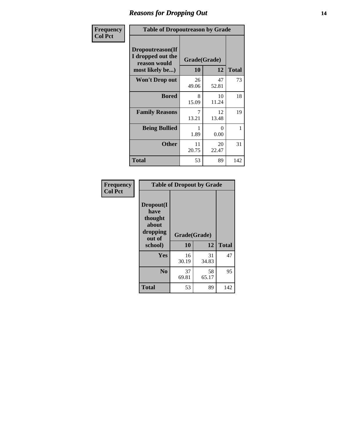### *Reasons for Dropping Out* **14**

| Frequency      | <b>Table of Dropoutreason by Grade</b>                                   |                    |                  |              |  |
|----------------|--------------------------------------------------------------------------|--------------------|------------------|--------------|--|
| <b>Col Pct</b> | Dropoutreason(If<br>I dropped out the<br>reason would<br>most likely be) | Grade(Grade)<br>10 | 12               | <b>Total</b> |  |
|                | Won't Drop out                                                           | 26<br>49.06        | 47<br>52.81      | 73           |  |
|                | <b>Bored</b>                                                             | 8<br>15.09         | 10<br>11.24      | 18           |  |
|                | <b>Family Reasons</b>                                                    | 7<br>13.21         | 12<br>13.48      | 19           |  |
|                | <b>Being Bullied</b>                                                     | 1.89               | $\Omega$<br>0.00 | 1            |  |
|                | <b>Other</b>                                                             | 11<br>20.75        | 20<br>22.47      | 31           |  |
|                | <b>Total</b>                                                             | 53                 | 89               | 142          |  |

| Frequency<br><b>Col Pct</b> |                                                                        | <b>Table of Dropout by Grade</b> |              |     |
|-----------------------------|------------------------------------------------------------------------|----------------------------------|--------------|-----|
|                             | Dropout(I<br>have<br>thought<br>about<br>dropping<br>out of<br>school) | Grade(Grade)<br>10               | <b>Total</b> |     |
|                             |                                                                        |                                  | 12           |     |
|                             | Yes                                                                    | 16<br>30.19                      | 31<br>34.83  | 47  |
|                             | N <sub>0</sub>                                                         | 37<br>69.81                      | 58<br>65.17  | 95  |
|                             | <b>Total</b>                                                           | 53                               | 89           | 142 |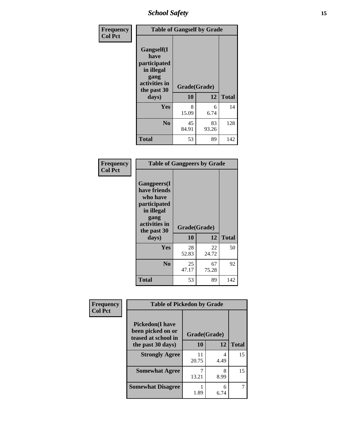*School Safety* **15**

| Frequency      | <b>Table of Gangself by Grade</b>                                                                 |                    |             |              |
|----------------|---------------------------------------------------------------------------------------------------|--------------------|-------------|--------------|
| <b>Col Pct</b> | Gangself(I<br>have<br>participated<br>in illegal<br>gang<br>activities in<br>the past 30<br>days) | Grade(Grade)<br>10 | 12          | <b>Total</b> |
|                | Yes                                                                                               | 8<br>15.09         | 6<br>6.74   | 14           |
|                | N <sub>o</sub>                                                                                    | 45<br>84.91        | 83<br>93.26 | 128          |
|                | <b>Total</b>                                                                                      | 53                 | 89          | 142          |

| Frequency<br><b>Col Pct</b> | <b>Table of Gangpeers by Grade</b>                                                                                             |                    |             |              |
|-----------------------------|--------------------------------------------------------------------------------------------------------------------------------|--------------------|-------------|--------------|
|                             | <b>Gangpeers</b> (I<br>have friends<br>who have<br>participated<br>in illegal<br>gang<br>activities in<br>the past 30<br>days) | Grade(Grade)<br>10 | 12          | <b>Total</b> |
|                             | <b>Yes</b>                                                                                                                     | 28<br>52.83        | 22<br>24.72 | 50           |
|                             | N <sub>0</sub>                                                                                                                 | 25<br>47.17        | 67<br>75.28 | 92           |
|                             | <b>Total</b>                                                                                                                   | 53                 | 89          | 142          |

| Frequency      |                                                                    | <b>Table of Pickedon by Grade</b> |           |              |  |  |
|----------------|--------------------------------------------------------------------|-----------------------------------|-----------|--------------|--|--|
| <b>Col Pct</b> | <b>Pickedon(I have</b><br>been picked on or<br>teased at school in | Grade(Grade)                      |           |              |  |  |
|                | the past 30 days)                                                  | 10                                | 12        | <b>Total</b> |  |  |
|                | <b>Strongly Agree</b>                                              | 11<br>20.75                       | 4<br>4.49 | 15           |  |  |
|                | <b>Somewhat Agree</b>                                              | 13.21                             | 8<br>8.99 | 15           |  |  |
|                | <b>Somewhat Disagree</b>                                           | 1.89                              | 6<br>6.74 |              |  |  |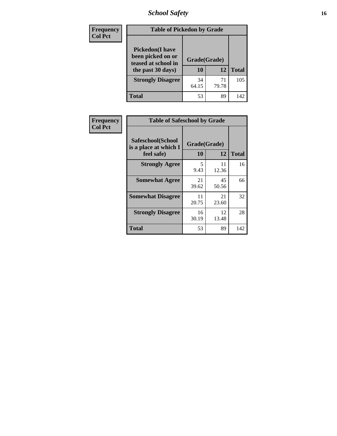*School Safety* **16**

| <b>Frequency</b> | <b>Table of Pickedon by Grade</b>                                                        |                    |             |              |
|------------------|------------------------------------------------------------------------------------------|--------------------|-------------|--------------|
| <b>Col Pct</b>   | <b>Pickedon</b> (I have<br>been picked on or<br>teased at school in<br>the past 30 days) | Grade(Grade)<br>10 | 12          | <b>Total</b> |
|                  | <b>Strongly Disagree</b>                                                                 | 34<br>64.15        | 71<br>79.78 | 105          |
|                  | <b>Total</b>                                                                             | 53                 | 89          | 142          |

| Frequency      | <b>Table of Safeschool by Grade</b>                      |                    |             |              |  |  |  |  |  |
|----------------|----------------------------------------------------------|--------------------|-------------|--------------|--|--|--|--|--|
| <b>Col Pct</b> | Safeschool(School<br>is a place at which I<br>feel safe) | Grade(Grade)<br>10 | 12          | <b>Total</b> |  |  |  |  |  |
|                | <b>Strongly Agree</b>                                    | 5<br>9.43          | 11<br>12.36 | 16           |  |  |  |  |  |
|                | <b>Somewhat Agree</b>                                    | 21<br>39.62        | 45<br>50.56 | 66           |  |  |  |  |  |
|                | <b>Somewhat Disagree</b>                                 | 11<br>20.75        | 21<br>23.60 | 32           |  |  |  |  |  |
|                | <b>Strongly Disagree</b>                                 | 16<br>30.19        | 12<br>13.48 | 28           |  |  |  |  |  |
|                | <b>Total</b>                                             | 53                 | 89          | 142          |  |  |  |  |  |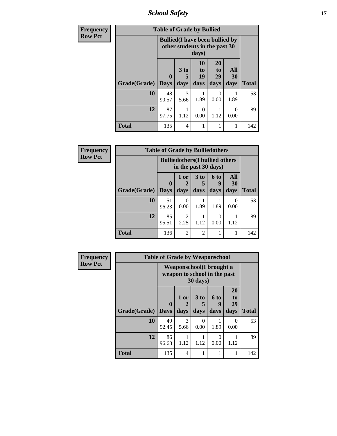*School Safety* **17**

| <b>Frequency</b> | <b>Table of Grade by Bullied</b> |                             |                                                                         |                               |                        |                   |              |  |
|------------------|----------------------------------|-----------------------------|-------------------------------------------------------------------------|-------------------------------|------------------------|-------------------|--------------|--|
| <b>Row Pct</b>   |                                  |                             | <b>Bullied</b> (I have been bullied by<br>other students in the past 30 | days)                         |                        |                   |              |  |
|                  | Grade(Grade)                     | $\mathbf{0}$<br><b>Days</b> | 3 <sub>to</sub><br>5<br>days                                            | <b>10</b><br>to<br>19<br>days | 20<br>to<br>29<br>days | All<br>30<br>days | <b>Total</b> |  |
|                  | 10                               | 48<br>90.57                 | 3<br>5.66                                                               | 1.89                          | 0<br>0.00              | 1.89              | 53           |  |
|                  | 12                               | 87<br>97.75                 | 1.12                                                                    | 0<br>0.00                     | 1.12                   | 0<br>0.00         | 89           |  |
|                  | <b>Total</b>                     | 135                         | 4                                                                       | 1                             |                        |                   | 142          |  |

| Frequency      | <b>Table of Grade by Bulliedothers</b> |                         |                                                                |                              |                          |                          |              |
|----------------|----------------------------------------|-------------------------|----------------------------------------------------------------|------------------------------|--------------------------|--------------------------|--------------|
| <b>Row Pct</b> |                                        |                         | <b>Bulliedothers</b> (I bullied others<br>in the past 30 days) |                              |                          |                          |              |
|                | Grade(Grade)                           | $\bf{0}$<br><b>Days</b> | 1 or<br>2<br>days                                              | 3 <sub>to</sub><br>5<br>days | <b>6 to</b><br>9<br>days | All<br><b>30</b><br>days | <b>Total</b> |
|                | 10                                     | 51<br>96.23             | $\Omega$<br>0.00                                               | 1.89                         | 1.89                     | $\Omega$<br>0.00         | 53           |
|                | 12                                     | 85<br>95.51             | 2<br>2.25                                                      | 1.12                         | 0<br>0.00                | 1.12                     | 89           |
|                | <b>Total</b>                           | 136                     | $\overline{2}$                                                 | $\overline{2}$               |                          |                          | 142          |

| <b>Frequency</b> | <b>Table of Grade by Weaponschool</b> |                                                                  |                          |                              |                          |                               |              |  |  |
|------------------|---------------------------------------|------------------------------------------------------------------|--------------------------|------------------------------|--------------------------|-------------------------------|--------------|--|--|
| <b>Row Pct</b>   |                                       | <b>Weaponschool</b> (I brought a<br>weapon to school in the past |                          |                              |                          |                               |              |  |  |
|                  | Grade(Grade)                          | 0<br><b>Days</b>                                                 | 1 or<br>days             | 3 <sub>to</sub><br>5<br>days | <b>6 to</b><br>9<br>days | <b>20</b><br>to<br>29<br>days | <b>Total</b> |  |  |
|                  | 10                                    | 49<br>92.45                                                      | 3<br>5.66                | $\Omega$<br>0.00             | 1.89                     | 0<br>0.00                     | 53           |  |  |
|                  | 12                                    | 86<br>96.63                                                      | 1.12                     | 1.12                         | 0<br>0.00                | 1.12                          | 89           |  |  |
|                  | <b>Total</b>                          | 135                                                              | $\overline{\mathcal{A}}$ |                              |                          | 1                             | 142          |  |  |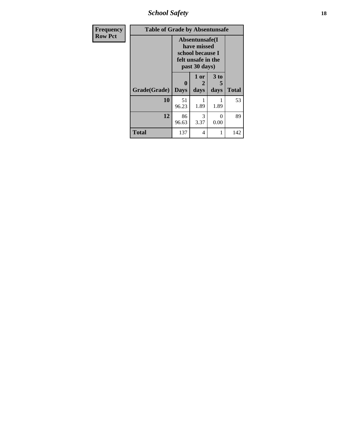*School Safety* **18**

| <b>Frequency</b> | <b>Table of Grade by Absentunsafe</b> |                             |                                                                                           |                   |              |  |  |  |  |
|------------------|---------------------------------------|-----------------------------|-------------------------------------------------------------------------------------------|-------------------|--------------|--|--|--|--|
| <b>Row Pct</b>   |                                       |                             | Absentunsafe(I)<br>have missed<br>school because I<br>felt unsafe in the<br>past 30 days) |                   |              |  |  |  |  |
|                  | Grade(Grade)                          | $\mathbf{0}$<br><b>Days</b> | 1 or<br>2<br>days                                                                         | 3 to<br>5<br>days | <b>Total</b> |  |  |  |  |
|                  | 10                                    | 51<br>96.23                 | 1.89                                                                                      | 1.89              | 53           |  |  |  |  |
|                  | 12                                    | 86<br>96.63                 | 3<br>3.37                                                                                 | $\Omega$<br>0.00  | 89           |  |  |  |  |
|                  | <b>Total</b>                          | 137                         | 4                                                                                         |                   | 142          |  |  |  |  |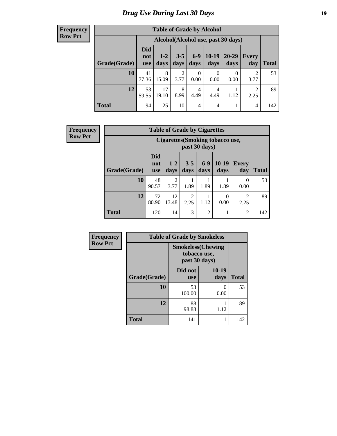# *Drug Use During Last 30 Days* **19**

#### **Frequency Row Pct**

| <b>Table of Grade by Alcohol</b> |                                 |                                    |                        |                  |                 |                   |              |       |  |
|----------------------------------|---------------------------------|------------------------------------|------------------------|------------------|-----------------|-------------------|--------------|-------|--|
|                                  |                                 | Alcohol(Alcohol use, past 30 days) |                        |                  |                 |                   |              |       |  |
| Grade(Grade)                     | <b>Did</b><br>not<br><b>use</b> | $1-2$<br>days                      | $3 - 5$<br>days        | $6 - 9$<br>days  | $10-19$<br>days | $20 - 29$<br>days | Every<br>day | Total |  |
| 10                               | 41<br>77.36                     | 8<br>15.09                         | $\overline{2}$<br>3.77 | $\theta$<br>0.00 | 0<br>0.00       | 0<br>0.00         | 2<br>3.77    | 53    |  |
| 12                               | 53<br>59.55                     | 17<br>19.10                        | 8<br>8.99              | 4<br>4.49        | 4<br>4.49       | 1.12              | 2<br>2.25    | 89    |  |
| <b>Total</b>                     | 94                              | 25                                 | 10                     | 4                | $\overline{4}$  |                   | 4            | 142   |  |

| <b>Frequency</b> |              | <b>Table of Grade by Cigarettes</b> |                        |                        |                |                                  |                     |              |
|------------------|--------------|-------------------------------------|------------------------|------------------------|----------------|----------------------------------|---------------------|--------------|
| <b>Row Pct</b>   |              |                                     |                        |                        | past 30 days)  | Cigarettes (Smoking tobacco use, |                     |              |
|                  | Grade(Grade) | <b>Did</b><br>not<br><b>use</b>     | $1-2$<br>days          | $3-5$<br>days          | $6-9$<br>days  | $10-19$<br>days                  | <b>Every</b><br>day | <b>Total</b> |
|                  | 10           | 48<br>90.57                         | $\mathfrak{D}$<br>3.77 | 1.89                   | 1.89           | 1.89                             | $\Omega$<br>0.00    | 53           |
|                  | 12           | 72<br>80.90                         | 12<br>13.48            | $\overline{2}$<br>2.25 | 1.12           | $\theta$<br>0.00                 | 2<br>2.25           | 89           |
|                  | <b>Total</b> | 120                                 | 14                     | 3                      | $\overline{2}$ |                                  | $\overline{c}$      | 142          |

| Frequency      | <b>Table of Grade by Smokeless</b> |                                                           |                       |              |
|----------------|------------------------------------|-----------------------------------------------------------|-----------------------|--------------|
| <b>Row Pct</b> |                                    | <b>Smokeless(Chewing</b><br>tobacco use,<br>past 30 days) |                       |              |
|                | Grade(Grade)                       | Did not<br><b>use</b>                                     | 10-19<br>days         | <b>Total</b> |
|                | 10                                 | 53<br>100.00                                              | $\mathcal{O}$<br>0.00 | 53           |
|                | 12                                 | 88<br>98.88                                               | 1.12                  | 89           |
|                | <b>Total</b>                       | 141                                                       |                       | 142          |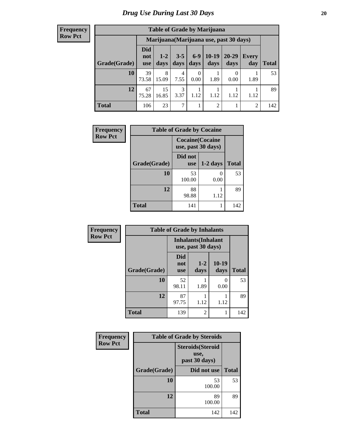#### **Frequency Row Pct**

| <b>Table of Grade by Marijuana</b> |                                 |                                         |                 |               |                 |                   |                |       |  |
|------------------------------------|---------------------------------|-----------------------------------------|-----------------|---------------|-----------------|-------------------|----------------|-------|--|
|                                    |                                 | Marijuana (Marijuana use, past 30 days) |                 |               |                 |                   |                |       |  |
| Grade(Grade)                       | <b>Did</b><br>not<br><b>use</b> | $1 - 2$<br>days                         | $3 - 5$<br>days | $6-9$<br>days | $10-19$<br>days | $20 - 29$<br>days | Every<br>day   | Total |  |
| 10                                 | 39<br>73.58                     | 8<br>15.09                              | 4<br>7.55       | 0<br>0.00     | 1.89            | 0.00              | 1.89           | 53    |  |
| 12                                 | 67<br>75.28                     | 15<br>16.85                             | 3<br>3.37       | 1.12          | 1.12            | 1.12              | 1.12           | 89    |  |
| <b>Total</b>                       | 106                             | 23                                      | 7               |               | 2               |                   | $\overline{2}$ | 142   |  |

| Frequency      | <b>Table of Grade by Cocaine</b> |                       |                         |              |
|----------------|----------------------------------|-----------------------|-------------------------|--------------|
| <b>Row Pct</b> |                                  | use, past 30 days)    | <b>Cocaine</b> (Cocaine |              |
|                | Grade(Grade)                     | Did not<br><b>use</b> | $1-2$ days              | <b>Total</b> |
|                | 10                               | 53<br>100.00          | 0.00                    | 53           |
|                | 12                               | 88<br>98.88           | 1.12                    | 89           |
|                | <b>Total</b>                     | 141                   |                         | 142          |

| Frequency      | <b>Table of Grade by Inhalants</b> |                                 |                                                  |                 |              |
|----------------|------------------------------------|---------------------------------|--------------------------------------------------|-----------------|--------------|
| <b>Row Pct</b> |                                    |                                 | <b>Inhalants</b> (Inhalant<br>use, past 30 days) |                 |              |
|                | Grade(Grade)                       | <b>Did</b><br>not<br><b>use</b> | $1 - 2$<br>days                                  | $10-19$<br>days | <b>Total</b> |
|                | 10                                 | 52<br>98.11                     | 1.89                                             | 0<br>0.00       | 53           |
|                | 12                                 | 87<br>97.75                     | 1.12                                             | 1.12            | 89           |
|                | <b>Total</b>                       | 139                             | 2                                                |                 | 142          |

| Frequency      | <b>Table of Grade by Steroids</b> |                                                   |              |  |  |
|----------------|-----------------------------------|---------------------------------------------------|--------------|--|--|
| <b>Row Pct</b> |                                   | <b>Steroids</b> (Steroid<br>use,<br>past 30 days) |              |  |  |
|                | Grade(Grade)                      | Did not use                                       | <b>Total</b> |  |  |
|                | 10                                | 53<br>100.00                                      | 53           |  |  |
|                | 12                                | 89<br>100.00                                      | 89           |  |  |
|                | Total                             | 142                                               | 142          |  |  |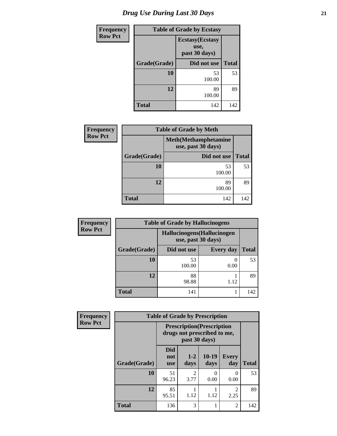| <b>Frequency</b> | <b>Table of Grade by Ecstasy</b> |                                                  |              |  |
|------------------|----------------------------------|--------------------------------------------------|--------------|--|
| <b>Row Pct</b>   |                                  | <b>Ecstasy</b> (Ecstasy<br>use,<br>past 30 days) |              |  |
|                  | Grade(Grade)                     | Did not use                                      | <b>Total</b> |  |
|                  | <b>10</b>                        | 53<br>100.00                                     | 53           |  |
|                  | 12                               | 89<br>100.00                                     | 89           |  |
|                  | <b>Total</b>                     | 142                                              | 142          |  |

| <b>Frequency</b> | <b>Table of Grade by Meth</b> |                                                    |              |  |  |
|------------------|-------------------------------|----------------------------------------------------|--------------|--|--|
| <b>Row Pct</b>   |                               | <b>Meth</b> (Methamphetamine<br>use, past 30 days) |              |  |  |
|                  | Grade(Grade)                  | Did not use                                        | <b>Total</b> |  |  |
|                  | 10                            | 53<br>100.00                                       | 53           |  |  |
|                  | 12                            | 89<br>100.00                                       | 89           |  |  |
|                  | <b>Total</b>                  | 142                                                | 142          |  |  |

| <b>Frequency</b> | <b>Table of Grade by Hallucinogens</b> |                                                   |                  |              |  |
|------------------|----------------------------------------|---------------------------------------------------|------------------|--------------|--|
| <b>Row Pct</b>   |                                        | Hallucinogens (Hallucinogen<br>use, past 30 days) |                  |              |  |
|                  | Grade(Grade)                           | Did not use                                       | <b>Every day</b> | <b>Total</b> |  |
|                  | <b>10</b>                              | 53<br>100.00                                      | 0.00             | 53           |  |
|                  | 12                                     | 88<br>98.88                                       | 1.12             | 89           |  |
|                  | Total                                  | 141                                               |                  | 142          |  |

| Frequency      |              | <b>Table of Grade by Prescription</b>                                             |                        |                 |                        |              |
|----------------|--------------|-----------------------------------------------------------------------------------|------------------------|-----------------|------------------------|--------------|
| <b>Row Pct</b> |              | <b>Prescription</b> (Prescription<br>drugs not prescribed to me,<br>past 30 days) |                        |                 |                        |              |
|                | Grade(Grade) | <b>Did</b><br>not<br><b>use</b>                                                   | $1-2$<br>days          | $10-19$<br>days | <b>Every</b><br>day    | <b>Total</b> |
|                | 10           | 51<br>96.23                                                                       | $\mathfrak{D}$<br>3.77 | 0.00            | $\theta$<br>0.00       | 53           |
|                | 12           | 85<br>95.51                                                                       | 1.12                   | 1.12            | $\mathfrak{D}$<br>2.25 | 89           |
|                | <b>Total</b> | 136                                                                               | 3                      | 1               | $\mathfrak{D}$         | 142          |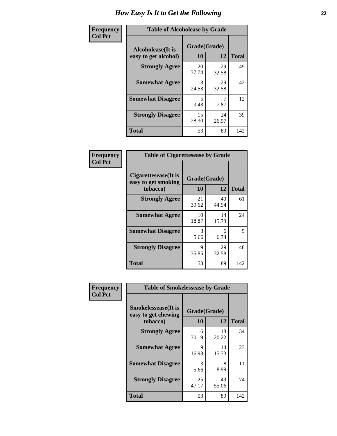| Frequency      | <b>Table of Alcoholease by Grade</b>              |                    |             |              |
|----------------|---------------------------------------------------|--------------------|-------------|--------------|
| <b>Col Pct</b> | <b>Alcoholease</b> (It is<br>easy to get alcohol) | Grade(Grade)<br>10 | 12          | <b>Total</b> |
|                | <b>Strongly Agree</b>                             | 20<br>37.74        | 29<br>32.58 | 49           |
|                | <b>Somewhat Agree</b>                             | 13<br>24.53        | 29<br>32.58 | 42           |
|                | <b>Somewhat Disagree</b>                          | 5<br>9.43          | 7.87        | 12           |
|                | <b>Strongly Disagree</b>                          | 15<br>28.30        | 24<br>26.97 | 39           |
|                | <b>Total</b>                                      | 53                 | 89          | 142          |

| Frequency      | <b>Table of Cigarettesease by Grade</b>                 |                    |             |              |
|----------------|---------------------------------------------------------|--------------------|-------------|--------------|
| <b>Col Pct</b> | Cigarettesease(It is<br>easy to get smoking<br>tobacco) | Grade(Grade)<br>10 | 12          | <b>Total</b> |
|                | <b>Strongly Agree</b>                                   | 21<br>39.62        | 40<br>44.94 | 61           |
|                | <b>Somewhat Agree</b>                                   | 10<br>18.87        | 14<br>15.73 | 24           |
|                | <b>Somewhat Disagree</b>                                | 3<br>5.66          | 6<br>6.74   | 9            |
|                | <b>Strongly Disagree</b>                                | 19<br>35.85        | 29<br>32.58 | 48           |
|                | <b>Total</b>                                            | 53                 | 89          | 142          |

| Frequency      | <b>Table of Smokelessease by Grade</b>                         |                    |             |              |  |
|----------------|----------------------------------------------------------------|--------------------|-------------|--------------|--|
| <b>Col Pct</b> | <b>Smokelessease</b> (It is<br>easy to get chewing<br>tobacco) | Grade(Grade)<br>10 | 12          | <b>Total</b> |  |
|                | <b>Strongly Agree</b>                                          | 16<br>30.19        | 18<br>20.22 | 34           |  |
|                | <b>Somewhat Agree</b>                                          | 9<br>16.98         | 14<br>15.73 | 23           |  |
|                | <b>Somewhat Disagree</b>                                       | 3<br>5.66          | 8<br>8.99   | 11           |  |
|                | <b>Strongly Disagree</b>                                       | 25<br>47.17        | 49<br>55.06 | 74           |  |
|                | <b>Total</b>                                                   | 53                 | 89          | 142          |  |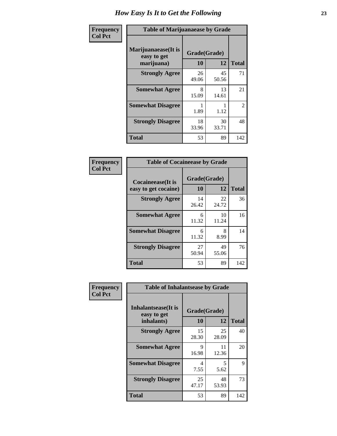| Frequency      | <b>Table of Marijuanaease by Grade</b>           |                    |             |                |
|----------------|--------------------------------------------------|--------------------|-------------|----------------|
| <b>Col Pct</b> | Marijuanaease(It is<br>easy to get<br>marijuana) | Grade(Grade)<br>10 | 12          | <b>Total</b>   |
|                | <b>Strongly Agree</b>                            | 26<br>49.06        | 45<br>50.56 | 71             |
|                | <b>Somewhat Agree</b>                            | 8<br>15.09         | 13<br>14.61 | 21             |
|                | <b>Somewhat Disagree</b>                         | 1.89               | 1.12        | $\overline{2}$ |
|                | <b>Strongly Disagree</b>                         | 18<br>33.96        | 30<br>33.71 | 48             |
|                | <b>Total</b>                                     | 53                 | 89          | 142            |

| <b>Table of Cocaineease by Grade</b> |              |             |              |  |  |
|--------------------------------------|--------------|-------------|--------------|--|--|
| <b>Cocaineease</b> (It is            | Grade(Grade) |             |              |  |  |
| easy to get cocaine)                 | 10           | 12          | <b>Total</b> |  |  |
| <b>Strongly Agree</b>                | 14<br>26.42  | 22<br>24.72 | 36           |  |  |
| <b>Somewhat Agree</b>                | 6<br>11.32   | 10<br>11.24 | 16           |  |  |
| <b>Somewhat Disagree</b>             | 6<br>11.32   | 8<br>8.99   | 14           |  |  |
| <b>Strongly Disagree</b>             | 27<br>50.94  | 49<br>55.06 | 76           |  |  |
| <b>Total</b>                         | 53           | 89          | 142          |  |  |

| Frequency      | <b>Table of Inhalantsease by Grade</b>                   |                          |             |     |  |  |  |  |  |  |  |
|----------------|----------------------------------------------------------|--------------------------|-------------|-----|--|--|--|--|--|--|--|
| <b>Col Pct</b> | <b>Inhalantsease</b> (It is<br>easy to get<br>inhalants) | Grade(Grade)<br>10<br>12 |             |     |  |  |  |  |  |  |  |
|                | <b>Strongly Agree</b>                                    | 15<br>28.30              | 25<br>28.09 | 40  |  |  |  |  |  |  |  |
|                | <b>Somewhat Agree</b>                                    | Q<br>16.98               | 11<br>12.36 | 20  |  |  |  |  |  |  |  |
|                | <b>Somewhat Disagree</b>                                 | 4<br>7.55                | 5<br>5.62   | 9   |  |  |  |  |  |  |  |
|                | <b>Strongly Disagree</b>                                 | 25<br>47.17              | 48<br>53.93 | 73  |  |  |  |  |  |  |  |
|                | <b>Total</b>                                             | 53                       | 89          | 142 |  |  |  |  |  |  |  |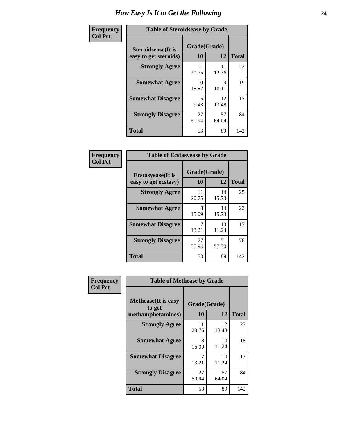| Frequency      | <b>Table of Steroidsease by Grade</b>               |                    |              |     |  |  |  |  |  |
|----------------|-----------------------------------------------------|--------------------|--------------|-----|--|--|--|--|--|
| <b>Col Pct</b> | <b>Steroidsease</b> (It is<br>easy to get steroids) | Grade(Grade)<br>10 | <b>Total</b> |     |  |  |  |  |  |
|                | <b>Strongly Agree</b>                               | 11<br>20.75        | 11<br>12.36  | 22  |  |  |  |  |  |
|                | <b>Somewhat Agree</b>                               | 10<br>18.87        | 9<br>10.11   | 19  |  |  |  |  |  |
|                | <b>Somewhat Disagree</b>                            | 5<br>9.43          | 12<br>13.48  | 17  |  |  |  |  |  |
|                | <b>Strongly Disagree</b>                            | 27<br>50.94        | 57<br>64.04  | 84  |  |  |  |  |  |
|                | <b>Total</b>                                        | 53                 | 89           | 142 |  |  |  |  |  |

| Frequency      | <b>Table of Ecstasyease by Grade</b>              |                    |             |              |  |  |  |  |  |  |
|----------------|---------------------------------------------------|--------------------|-------------|--------------|--|--|--|--|--|--|
| <b>Col Pct</b> | <b>Ecstasyease</b> (It is<br>easy to get ecstasy) | Grade(Grade)<br>10 | 12          | <b>Total</b> |  |  |  |  |  |  |
|                | <b>Strongly Agree</b>                             | 11<br>20.75        | 14<br>15.73 | 25           |  |  |  |  |  |  |
|                | <b>Somewhat Agree</b>                             | 8<br>15.09         | 14<br>15.73 | 22           |  |  |  |  |  |  |
|                | <b>Somewhat Disagree</b>                          | 7<br>13.21         | 10<br>11.24 | 17           |  |  |  |  |  |  |
|                | <b>Strongly Disagree</b>                          | 27<br>50.94        | 51<br>57.30 | 78           |  |  |  |  |  |  |
|                | <b>Total</b>                                      | 53                 | 89          | 142          |  |  |  |  |  |  |

| Frequency      |                                                            | <b>Table of Methease by Grade</b> |              |     |  |  |  |  |  |  |  |
|----------------|------------------------------------------------------------|-----------------------------------|--------------|-----|--|--|--|--|--|--|--|
| <b>Col Pct</b> | <b>Methease</b> (It is easy<br>to get<br>methamphetamines) | Grade(Grade)<br>10                | <b>Total</b> |     |  |  |  |  |  |  |  |
|                | <b>Strongly Agree</b>                                      | 11<br>20.75                       | 12<br>13.48  | 23  |  |  |  |  |  |  |  |
|                | <b>Somewhat Agree</b>                                      | 8<br>15.09                        | 10<br>11.24  | 18  |  |  |  |  |  |  |  |
|                | <b>Somewhat Disagree</b>                                   | 13.21                             | 10<br>11.24  | 17  |  |  |  |  |  |  |  |
|                | <b>Strongly Disagree</b>                                   | 27<br>50.94                       | 57<br>64.04  | 84  |  |  |  |  |  |  |  |
|                | <b>Total</b>                                               | 53                                | 89           | 142 |  |  |  |  |  |  |  |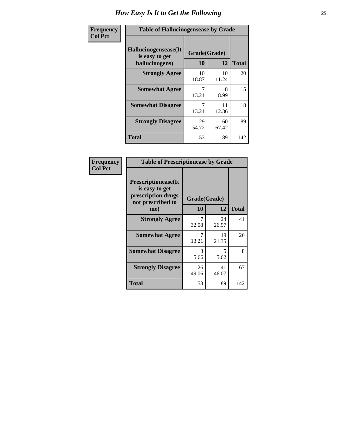| <b>Frequency</b> | <b>Table of Hallucinogensease by Grade</b>               |                    |             |              |  |  |  |  |  |  |  |
|------------------|----------------------------------------------------------|--------------------|-------------|--------------|--|--|--|--|--|--|--|
| <b>Col Pct</b>   | Hallucinogensease(It<br>is easy to get<br>hallucinogens) | Grade(Grade)<br>10 | 12          | <b>Total</b> |  |  |  |  |  |  |  |
|                  | <b>Strongly Agree</b>                                    | 10<br>18.87        | 10<br>11.24 | 20           |  |  |  |  |  |  |  |
|                  | <b>Somewhat Agree</b>                                    | 13.21              | 8<br>8.99   | 15           |  |  |  |  |  |  |  |
|                  | <b>Somewhat Disagree</b>                                 | 13.21              | 11<br>12.36 | 18           |  |  |  |  |  |  |  |
|                  | <b>Strongly Disagree</b>                                 | 29<br>54.72        | 60<br>67.42 | 89           |  |  |  |  |  |  |  |
|                  | <b>Total</b>                                             | 53                 | 89          | 142          |  |  |  |  |  |  |  |

| Frequency<br>  Col Pct |
|------------------------|

| <b>Table of Prescriptionease by Grade</b>                                                |              |             |              |  |  |  |  |  |  |  |
|------------------------------------------------------------------------------------------|--------------|-------------|--------------|--|--|--|--|--|--|--|
| <b>Prescriptionease</b> (It<br>is easy to get<br>prescription drugs<br>not prescribed to | Grade(Grade) |             |              |  |  |  |  |  |  |  |
| me)                                                                                      | 10           | 12          | <b>Total</b> |  |  |  |  |  |  |  |
| <b>Strongly Agree</b>                                                                    | 17<br>32.08  | 24<br>26.97 | 41           |  |  |  |  |  |  |  |
| <b>Somewhat Agree</b>                                                                    | 13.21        | 19<br>21.35 | 26           |  |  |  |  |  |  |  |
| <b>Somewhat Disagree</b>                                                                 | 3<br>5.66    | 5<br>5.62   | 8            |  |  |  |  |  |  |  |
| <b>Strongly Disagree</b>                                                                 | 26<br>49.06  | 41<br>46.07 | 67           |  |  |  |  |  |  |  |
| Total                                                                                    | 53           | 89          | 142          |  |  |  |  |  |  |  |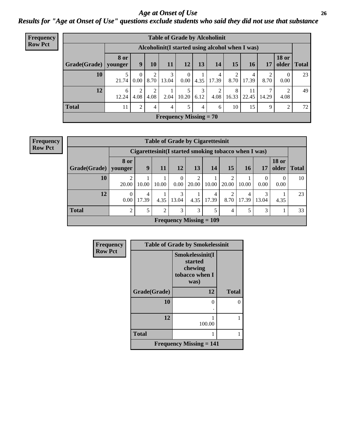### *Age at Onset of Use* **26** *Results for "Age at Onset of Use" questions exclude students who said they did not use that substance*

| Frequency      | <b>Table of Grade by Alcoholinit</b> |             |                  |           |                               |                        |           |            |            |                                                  |            |                       |              |
|----------------|--------------------------------------|-------------|------------------|-----------|-------------------------------|------------------------|-----------|------------|------------|--------------------------------------------------|------------|-----------------------|--------------|
| <b>Row Pct</b> |                                      |             |                  |           |                               |                        |           |            |            | Alcoholinit (I started using alcohol when I was) |            |                       |              |
|                | $Grade(Grade)$   younger             | <b>8 or</b> | 9                | 10        | 11                            | 12                     | 13        | 14         | 15         | <b>16</b>                                        | 17         | <b>18 or</b><br>older | <b>Total</b> |
|                | 10                                   | 21.74       | $\Omega$<br>0.00 | ↑<br>8.70 | 3<br>13.04                    | $\overline{0}$<br>0.00 | 4.35      | 4<br>17.39 | 2<br>8.70  | 4<br>17.39                                       | 2<br>8.70  | 0.00                  | 23           |
|                | 12                                   | 6<br>12.24  | ↑<br>4.08        | ↑<br>4.08 | 2.04                          | 5<br>10.20             | 3<br>6.12 | 2<br>4.08  | 8<br>16.33 | 11<br>22.45                                      | 7<br>14.29 | 4.08                  | 49           |
|                | <b>Total</b>                         | 11          | $\overline{2}$   | 4         | $\overline{4}$                | 5                      | 4         | 6          | 10         | 15                                               | 9          | 2                     | 72           |
|                |                                      |             |                  |           | <b>Frequency Missing = 70</b> |                        |           |            |            |                                                  |            |                       |              |

| <b>Frequency</b> |
|------------------|
| <b>Row Pct</b>   |

| <b>Table of Grade by Cigarettesinit</b> |                  |            |                |                                             |            |            |                                                       |            |                  |                       |              |  |
|-----------------------------------------|------------------|------------|----------------|---------------------------------------------|------------|------------|-------------------------------------------------------|------------|------------------|-----------------------|--------------|--|
|                                         |                  |            |                |                                             |            |            | Cigarettesinit (I started smoking tobacco when I was) |            |                  |                       |              |  |
| <b>Grade</b> (Grade)                    | 8 or<br>younger  | 9          | 11             | 12                                          | 13         | 14         | 15                                                    | <b>16</b>  | 17               | <b>18 or</b><br>older | <b>Total</b> |  |
| 10                                      | 20.00            | 10.00      | 10.00          | $\theta$<br>0.00                            | 2<br>20.00 | 10.00      | 20.00                                                 | 10.00      | $\Omega$<br>0.00 | 0.00                  | 10           |  |
| 12                                      | $\theta$<br>0.00 | 4<br>17.39 | 4.35           | 3<br>13.04                                  | 4.35       | 4<br>17.39 | ◠<br>8.70                                             | 4<br>17.39 | 3<br>13.04       | 4.35                  | 23           |  |
| <b>Total</b>                            | $\overline{2}$   | 5          | $\overline{2}$ | 3                                           | 3          | 5          | 4                                                     | 5          | 3                |                       | 33           |  |
|                                         |                  |            |                | <b>Frequency Missing <math>= 109</math></b> |            |            |                                                       |            |                  |                       |              |  |

| Frequency      |              | <b>Table of Grade by Smokelessinit</b>                          |              |
|----------------|--------------|-----------------------------------------------------------------|--------------|
| <b>Row Pct</b> |              | Smokelessinit(I<br>started<br>chewing<br>tobacco when I<br>was) |              |
|                | Grade(Grade) | 12                                                              | <b>Total</b> |
|                | 10           | 0                                                               |              |
|                |              |                                                                 |              |
|                | 12           | 100.00                                                          |              |
|                | <b>Total</b> |                                                                 |              |
|                |              | <b>Frequency Missing <math>= 141</math></b>                     |              |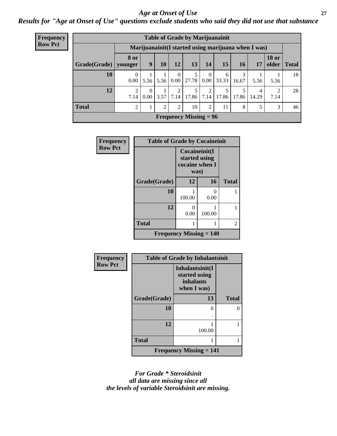### *Age at Onset of Use* **27**

*Results for "Age at Onset of Use" questions exclude students who said they did not use that substance*

| <b>Frequency</b> | <b>Table of Grade by Marijuanainit</b> |                  |                                                      |      |                           |                               |                  |            |            |            |              |               |
|------------------|----------------------------------------|------------------|------------------------------------------------------|------|---------------------------|-------------------------------|------------------|------------|------------|------------|--------------|---------------|
| <b>Row Pct</b>   |                                        |                  | Marijuanainit (I started using marijuana when I was) |      |                           |                               |                  |            |            |            |              |               |
|                  | Grade(Grade)   younger                 | <b>8 or</b>      | 9                                                    | 10   | 12                        | 13                            | 14               | 15         | 16         | 17         | <b>18 or</b> | older   Total |
|                  | 10                                     | $\theta$<br>0.00 | 5.56                                                 | 5.56 | $\theta$<br>$0.00\degree$ | 27.78                         | $\Omega$<br>0.00 | 6<br>33.33 | 3<br>16.67 | 5.56       | 5.56         | 18            |
|                  | 12                                     | ↑<br>7.14        | $\Omega$<br>$0.00\,$                                 | 3.57 | 2<br>7.14                 | 5<br>17.86                    | 7.14             | 17.86      | 5<br>17.86 | 4<br>14.29 | 2<br>7.14    | 28            |
|                  | <b>Total</b>                           | 2                |                                                      | 2    | 2                         | 10                            | 2                | 11         | 8          |            | 3            | 46            |
|                  |                                        |                  |                                                      |      |                           | <b>Frequency Missing = 96</b> |                  |            |            |            |              |               |

| <b>Frequency</b><br><b>Row Pct</b> | <b>Table of Grade by Cocaineinit</b>        |                                                          |                           |              |
|------------------------------------|---------------------------------------------|----------------------------------------------------------|---------------------------|--------------|
|                                    |                                             | Cocaineinit(I<br>started using<br>cocaine when I<br>was) |                           |              |
|                                    | Grade(Grade)                                | 12                                                       | 16                        | <b>Total</b> |
|                                    | 10                                          | 100.00                                                   | $\mathbf{\Omega}$<br>0.00 |              |
|                                    | 12                                          | 0<br>0.00                                                | 100.00                    |              |
|                                    | <b>Total</b>                                |                                                          |                           | 2            |
|                                    | <b>Frequency Missing <math>= 140</math></b> |                                                          |                           |              |

| Frequency      | <b>Table of Grade by Inhalantsinit</b> |                                                              |               |  |  |
|----------------|----------------------------------------|--------------------------------------------------------------|---------------|--|--|
| <b>Row Pct</b> |                                        | Inhalantsinit(I<br>started using<br>inhalants<br>when I was) |               |  |  |
|                | Grade(Grade)                           | 13                                                           | <b>Total</b>  |  |  |
|                | 10                                     | 0                                                            | $\mathcal{O}$ |  |  |
|                | 12                                     | 100.00                                                       |               |  |  |
|                | <b>Total</b>                           |                                                              |               |  |  |
|                |                                        | Frequency Missing $= 141$                                    |               |  |  |

*For Grade \* Steroidsinit all data are missing since all the levels of variable Steroidsinit are missing.*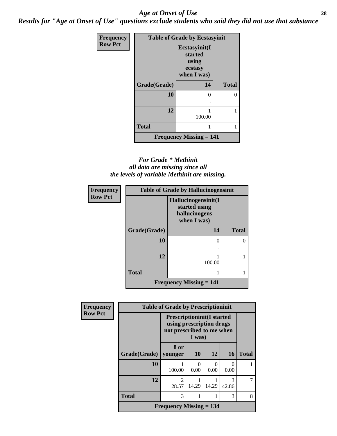### *Age at Onset of Use* **28**

*Results for "Age at Onset of Use" questions exclude students who said they did not use that substance*

| <b>Frequency</b> | <b>Table of Grade by Ecstasyinit</b> |                                                             |              |  |  |
|------------------|--------------------------------------|-------------------------------------------------------------|--------------|--|--|
| <b>Row Pct</b>   |                                      | Ecstasyinit(I<br>started<br>using<br>ecstasy<br>when I was) |              |  |  |
|                  | Grade(Grade)                         | 14                                                          | <b>Total</b> |  |  |
|                  | 10                                   | 0                                                           | 0            |  |  |
|                  |                                      |                                                             |              |  |  |
|                  | 12                                   | 100.00                                                      |              |  |  |
|                  | <b>Total</b>                         | 1                                                           |              |  |  |
|                  |                                      | <b>Frequency Missing = 141</b>                              |              |  |  |

### *For Grade \* Methinit all data are missing since all the levels of variable Methinit are missing.*

| <b>Frequency</b> |              | <b>Table of Grade by Hallucinogensinit</b>                           |              |
|------------------|--------------|----------------------------------------------------------------------|--------------|
| <b>Row Pct</b>   |              | Hallucinogensinit(I<br>started using<br>hallucinogens<br>when I was) |              |
|                  | Grade(Grade) | 14                                                                   | <b>Total</b> |
|                  | 10           | 0                                                                    |              |
|                  | 12           | 100.00                                                               |              |
|                  | <b>Total</b> |                                                                      |              |
|                  |              | <b>Frequency Missing <math>= 141</math></b>                          |              |

| Frequency      | <b>Table of Grade by Prescriptioninit</b> |                                                                                                      |                           |       |            |              |
|----------------|-------------------------------------------|------------------------------------------------------------------------------------------------------|---------------------------|-------|------------|--------------|
| <b>Row Pct</b> |                                           | <b>Prescriptioninit(I started</b><br>using prescription drugs<br>not prescribed to me when<br>I was) |                           |       |            |              |
|                | Grade(Grade)                              | 8 or<br>younger                                                                                      | <b>10</b>                 | 12    | <b>16</b>  | <b>Total</b> |
|                | 10                                        | 100.00                                                                                               | $\mathbf{\Omega}$<br>0.00 | 0.00  | 0<br>0.00  |              |
|                | 12                                        | $\overline{c}$<br>28.57                                                                              | 14.29                     | 14.29 | 3<br>42.86 |              |
|                | <b>Total</b>                              | 3                                                                                                    |                           |       | 3          | 8            |
|                |                                           | <b>Frequency Missing = 134</b>                                                                       |                           |       |            |              |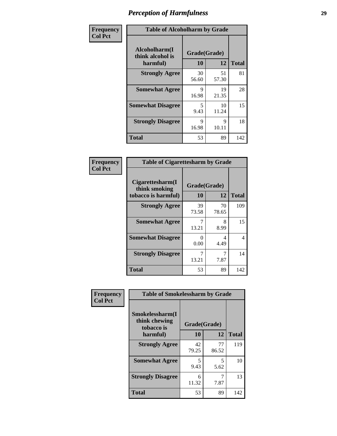| Frequency      | <b>Table of Alcoholharm by Grade</b>          |                    |             |              |
|----------------|-----------------------------------------------|--------------------|-------------|--------------|
| <b>Col Pct</b> | Alcoholharm(I<br>think alcohol is<br>harmful) | Grade(Grade)<br>10 | 12          | <b>Total</b> |
|                | <b>Strongly Agree</b>                         | 30<br>56.60        | 51<br>57.30 | 81           |
|                | <b>Somewhat Agree</b>                         | 9<br>16.98         | 19<br>21.35 | 28           |
|                | <b>Somewhat Disagree</b>                      | 5<br>9.43          | 10<br>11.24 | 15           |
|                | <b>Strongly Disagree</b>                      | 9<br>16.98         | 9<br>10.11  | 18           |
|                | <b>Total</b>                                  | 53                 | 89          | 142          |

| <b>Table of Cigarettesharm by Grade</b>                  |                    |             |              |  |
|----------------------------------------------------------|--------------------|-------------|--------------|--|
| Cigarettesharm(I<br>think smoking<br>tobacco is harmful) | Grade(Grade)<br>10 | 12          | <b>Total</b> |  |
| <b>Strongly Agree</b>                                    | 39<br>73.58        | 70<br>78.65 | 109          |  |
| <b>Somewhat Agree</b>                                    | 7<br>13.21         | 8<br>8.99   | 15           |  |
| <b>Somewhat Disagree</b>                                 | 0<br>0.00          | 4<br>4.49   | 4            |  |
| <b>Strongly Disagree</b>                                 | 7<br>13.21         | 7<br>7.87   | 14           |  |
| <b>Total</b>                                             | 53                 | 89          | 142          |  |

| Frequency      | <b>Table of Smokelessharm by Grade</b>         |              |             |              |  |
|----------------|------------------------------------------------|--------------|-------------|--------------|--|
| <b>Col Pct</b> | Smokelessharm(I<br>think chewing<br>tobacco is | Grade(Grade) |             |              |  |
|                | harmful)                                       | 10           | 12          | <b>Total</b> |  |
|                | <b>Strongly Agree</b>                          | 42<br>79.25  | 77<br>86.52 | 119          |  |
|                | <b>Somewhat Agree</b>                          | 5<br>9.43    | 5<br>5.62   | 10           |  |
|                | <b>Strongly Disagree</b>                       | 6<br>11.32   | 7<br>7.87   | 13           |  |
|                | <b>Total</b>                                   | 53           | 89          | 142          |  |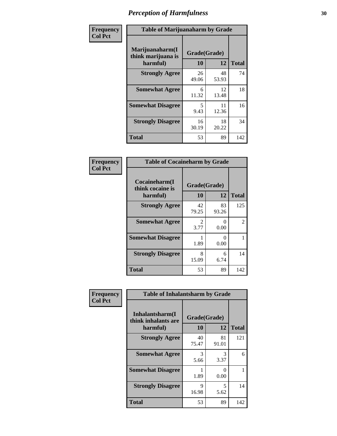| Frequency      | <b>Table of Marijuanaharm by Grade</b>            |                    |             |              |
|----------------|---------------------------------------------------|--------------------|-------------|--------------|
| <b>Col Pct</b> | Marijuanaharm(I<br>think marijuana is<br>harmful) | Grade(Grade)<br>10 | 12          | <b>Total</b> |
|                | <b>Strongly Agree</b>                             | 26<br>49.06        | 48<br>53.93 | 74           |
|                | <b>Somewhat Agree</b>                             | 6<br>11.32         | 12<br>13.48 | 18           |
|                | <b>Somewhat Disagree</b>                          | 5<br>9.43          | 11<br>12.36 | 16           |
|                | <b>Strongly Disagree</b>                          | 16<br>30.19        | 18<br>20.22 | 34           |
|                | <b>Total</b>                                      | 53                 | 89          | 142          |

| <b>Table of Cocaineharm by Grade</b>          |                    |              |     |  |
|-----------------------------------------------|--------------------|--------------|-----|--|
| Cocaineharm(I<br>think cocaine is<br>harmful) | Grade(Grade)<br>10 | <b>Total</b> |     |  |
| <b>Strongly Agree</b>                         | 42<br>79.25        | 83<br>93.26  | 125 |  |
| <b>Somewhat Agree</b>                         | 2<br>3.77          | 0<br>0.00    | 2   |  |
| <b>Somewhat Disagree</b>                      | 1.89               | 0<br>0.00    | 1   |  |
| <b>Strongly Disagree</b>                      | 8<br>15.09         | 6<br>6.74    | 14  |  |
| <b>Total</b>                                  | 53                 | 89           | 142 |  |

| Frequency      | <b>Table of Inhalantsharm by Grade</b>  |              |                           |              |
|----------------|-----------------------------------------|--------------|---------------------------|--------------|
| <b>Col Pct</b> | Inhalantsharm(I)<br>think inhalants are | Grade(Grade) |                           |              |
|                | harmful)                                | 10           | 12                        | <b>Total</b> |
|                | <b>Strongly Agree</b>                   | 40<br>75.47  | 81<br>91.01               | 121          |
|                | <b>Somewhat Agree</b>                   | 3<br>5.66    | 3<br>3.37                 | 6            |
|                | <b>Somewhat Disagree</b>                | 1.89         | $\mathbf{\Omega}$<br>0.00 |              |
|                | <b>Strongly Disagree</b>                | 9<br>16.98   | 5<br>5.62                 | 14           |
|                | <b>Total</b>                            | 53           | 89                        | 142          |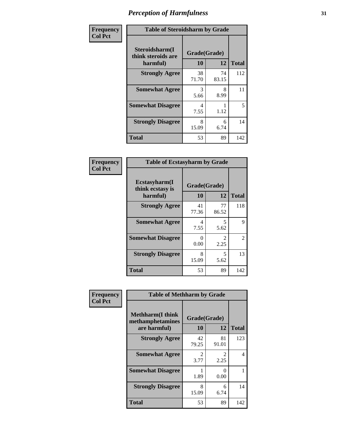| Frequency      | <b>Table of Steroidsharm by Grade</b>            |                           |             |              |
|----------------|--------------------------------------------------|---------------------------|-------------|--------------|
| <b>Col Pct</b> | Steroidsharm(I<br>think steroids are<br>harmful) | Grade(Grade)<br><b>10</b> | 12          | <b>Total</b> |
|                | <b>Strongly Agree</b>                            | 38<br>71.70               | 74<br>83.15 | 112          |
|                | <b>Somewhat Agree</b>                            | 3<br>5.66                 | 8<br>8.99   | 11           |
|                | <b>Somewhat Disagree</b>                         | 4<br>7.55                 | 1.12        | 5            |
|                | <b>Strongly Disagree</b>                         | 8<br>15.09                | 6<br>6.74   | 14           |
|                | <b>Total</b>                                     | 53                        | 89          | 142          |

| <b>Table of Ecstasyharm by Grade</b>          |                    |                        |              |  |  |  |
|-----------------------------------------------|--------------------|------------------------|--------------|--|--|--|
| Ecstasyharm(I<br>think ecstasy is<br>harmful) | Grade(Grade)<br>10 | 12                     | <b>Total</b> |  |  |  |
| <b>Strongly Agree</b>                         | 41<br>77.36        | 77<br>86.52            | 118          |  |  |  |
| <b>Somewhat Agree</b>                         | 4<br>7.55          | 5<br>5.62              | 9            |  |  |  |
| <b>Somewhat Disagree</b>                      | 0<br>0.00          | $\mathfrak{D}$<br>2.25 | 2            |  |  |  |
| <b>Strongly Disagree</b>                      | 8<br>15.09         | 5<br>5.62              | 13           |  |  |  |
| <b>Total</b>                                  | 53                 | 89                     | 142          |  |  |  |

| Frequency      | <b>Table of Methharm by Grade</b>                            |                           |                       |              |
|----------------|--------------------------------------------------------------|---------------------------|-----------------------|--------------|
| <b>Col Pct</b> | <b>Methharm</b> (I think<br>methamphetamines<br>are harmful) | Grade(Grade)<br><b>10</b> | 12                    | <b>Total</b> |
|                | <b>Strongly Agree</b>                                        | 42<br>79.25               | 81<br>91.01           | 123          |
|                | <b>Somewhat Agree</b>                                        | 2<br>3.77                 | $\mathcal{L}$<br>2.25 | 4            |
|                | <b>Somewhat Disagree</b>                                     | 1.89                      | 0<br>0.00             |              |
|                | <b>Strongly Disagree</b>                                     | 8<br>15.09                | 6<br>6.74             | 14           |
|                | Total                                                        | 53                        | 89                    | 142          |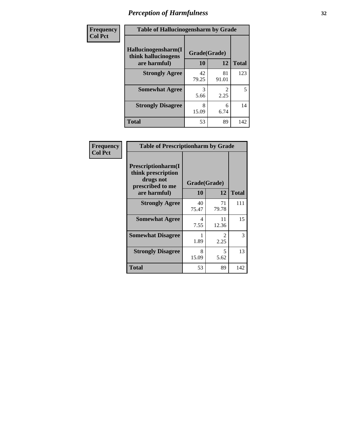| Frequency | <b>Table of Hallucinogensharm by Grade</b>                 |                    |             |              |
|-----------|------------------------------------------------------------|--------------------|-------------|--------------|
| Col Pct   | Hallucinogensharm(I<br>think hallucinogens<br>are harmful) | Grade(Grade)<br>10 | 12          | <b>Total</b> |
|           | <b>Strongly Agree</b>                                      | 42<br>79.25        | 81<br>91.01 | 123          |
|           | <b>Somewhat Agree</b>                                      | 3<br>5.66          | 2.25        | 5            |
|           | <b>Strongly Disagree</b>                                   | 8<br>15.09         | 6<br>6.74   | 14           |
|           | <b>Total</b>                                               | 53                 | 89          | 142          |

| Frequency      | <b>Table of Prescriptionharm by Grade</b>                                                 |                    |                                     |              |
|----------------|-------------------------------------------------------------------------------------------|--------------------|-------------------------------------|--------------|
| <b>Col Pct</b> | Prescriptionharm(I<br>think prescription<br>drugs not<br>prescribed to me<br>are harmful) | Grade(Grade)<br>10 | 12                                  | <b>Total</b> |
|                | <b>Strongly Agree</b>                                                                     | 40<br>75.47        | 71<br>79.78                         | 111          |
|                | <b>Somewhat Agree</b>                                                                     | 4<br>7.55          | 11<br>12.36                         | 15           |
|                | <b>Somewhat Disagree</b>                                                                  | 1.89               | $\mathcal{D}_{\mathcal{L}}$<br>2.25 | 3            |
|                | <b>Strongly Disagree</b>                                                                  | 8<br>15.09         | 5<br>5.62                           | 13           |
|                | Total                                                                                     | 53                 | 89                                  | 142          |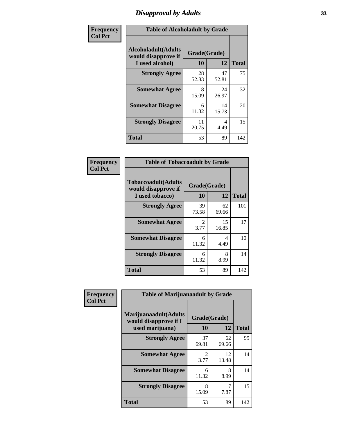# *Disapproval by Adults* **33**

| Frequency      | <b>Table of Alcoholadult by Grade</b>                                 |                    |             |              |
|----------------|-----------------------------------------------------------------------|--------------------|-------------|--------------|
| <b>Col Pct</b> | <b>Alcoholadult</b> (Adults<br>would disapprove if<br>I used alcohol) | Grade(Grade)<br>10 | 12          | <b>Total</b> |
|                | <b>Strongly Agree</b>                                                 | 28<br>52.83        | 47<br>52.81 | 75           |
|                | <b>Somewhat Agree</b>                                                 | 8<br>15.09         | 24<br>26.97 | 32           |
|                | <b>Somewhat Disagree</b>                                              | 6<br>11.32         | 14<br>15.73 | 20           |
|                | <b>Strongly Disagree</b>                                              | 11<br>20.75        | 4<br>4.49   | 15           |
|                | <b>Total</b>                                                          | 53                 | 89          | 142          |

| <b>Table of Tobaccoadult by Grade</b>                                 |                                     |             |     |  |
|-----------------------------------------------------------------------|-------------------------------------|-------------|-----|--|
| <b>Tobaccoadult</b> (Adults<br>would disapprove if<br>I used tobacco) | Grade(Grade)<br>10<br>12            |             |     |  |
| <b>Strongly Agree</b>                                                 | 39<br>73.58                         | 62<br>69.66 | 101 |  |
| <b>Somewhat Agree</b>                                                 | $\mathcal{D}_{\mathcal{L}}$<br>3.77 | 15<br>16.85 | 17  |  |
| <b>Somewhat Disagree</b>                                              | 6<br>11.32                          | 4<br>4.49   | 10  |  |
| <b>Strongly Disagree</b>                                              | 6<br>11.32                          | 8<br>8.99   | 14  |  |
| <b>Total</b>                                                          | 53                                  | 89          | 142 |  |

| Frequency      | <b>Table of Marijuanaadult by Grade</b>                           |                        |             |              |
|----------------|-------------------------------------------------------------------|------------------------|-------------|--------------|
| <b>Col Pct</b> | Marijuanaadult(Adults<br>would disapprove if I<br>used marijuana) | Grade(Grade)<br>10     | 12          | <b>Total</b> |
|                | <b>Strongly Agree</b>                                             | 37<br>69.81            | 62<br>69.66 | 99           |
|                | <b>Somewhat Agree</b>                                             | $\mathfrak{D}$<br>3.77 | 12<br>13.48 | 14           |
|                | <b>Somewhat Disagree</b>                                          | 6<br>11.32             | 8<br>8.99   | 14           |
|                | <b>Strongly Disagree</b>                                          | 8<br>15.09             | 7<br>7.87   | 15           |
|                | <b>Total</b>                                                      | 53                     | 89          | 142          |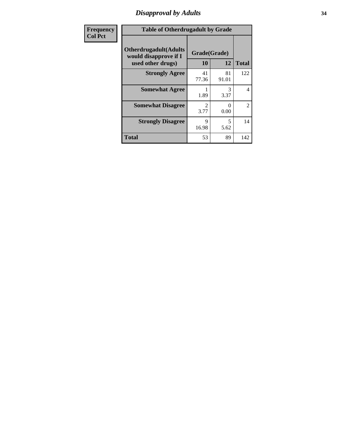### *Disapproval by Adults* **34**

| <b>Frequency</b> | <b>Table of Otherdrugadult by Grade</b>                                     |                    |                           |                |
|------------------|-----------------------------------------------------------------------------|--------------------|---------------------------|----------------|
| <b>Col Pct</b>   | <b>Otherdrugadult</b> (Adults<br>would disapprove if I<br>used other drugs) | Grade(Grade)<br>10 | 12                        | <b>Total</b>   |
|                  | <b>Strongly Agree</b>                                                       | 41<br>77.36        | 81<br>91.01               | 122            |
|                  | <b>Somewhat Agree</b>                                                       | 1.89               | 3<br>3.37                 | $\overline{4}$ |
|                  | <b>Somewhat Disagree</b>                                                    | 3.77               | $\mathbf{\Omega}$<br>0.00 | $\overline{2}$ |
|                  | <b>Strongly Disagree</b>                                                    | 9<br>16.98         | 5<br>5.62                 | 14             |
|                  | <b>Total</b>                                                                | 53                 | 89                        | 142            |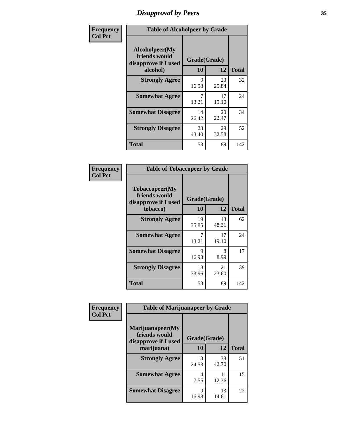# *Disapproval by Peers* **35**

| Frequency      |                                                         | <b>Table of Alcoholpeer by Grade</b> |             |              |  |
|----------------|---------------------------------------------------------|--------------------------------------|-------------|--------------|--|
| <b>Col Pct</b> | Alcoholpeer(My<br>friends would<br>disapprove if I used | Grade(Grade)                         |             |              |  |
|                | alcohol)                                                | 10                                   | 12          | <b>Total</b> |  |
|                | <b>Strongly Agree</b>                                   | 9<br>16.98                           | 23<br>25.84 | 32           |  |
|                | <b>Somewhat Agree</b>                                   | 7<br>13.21                           | 17<br>19.10 | 24           |  |
|                | <b>Somewhat Disagree</b>                                | 14<br>26.42                          | 20<br>22.47 | 34           |  |
|                | <b>Strongly Disagree</b>                                | 23<br>43.40                          | 29<br>32.58 | 52           |  |
|                | Total                                                   | 53                                   | 89          | 142          |  |

| Frequency      | <b>Table of Tobaccopeer by Grade</b>                                |                    |             |              |
|----------------|---------------------------------------------------------------------|--------------------|-------------|--------------|
| <b>Col Pct</b> | Tobaccopeer(My<br>friends would<br>disapprove if I used<br>tobacco) | Grade(Grade)<br>10 | 12          | <b>Total</b> |
|                | <b>Strongly Agree</b>                                               | 19<br>35.85        | 43<br>48.31 | 62           |
|                | <b>Somewhat Agree</b>                                               | 7<br>13.21         | 17<br>19.10 | 24           |
|                | <b>Somewhat Disagree</b>                                            | 9<br>16.98         | 8<br>8.99   | 17           |
|                | <b>Strongly Disagree</b>                                            | 18<br>33.96        | 21<br>23.60 | 39           |
|                | Total                                                               | 53                 | 89          | 142          |

| <b>Frequency</b> | <b>Table of Marijuanapeer by Grade</b>                    |              |             |              |
|------------------|-----------------------------------------------------------|--------------|-------------|--------------|
| <b>Col Pct</b>   | Marijuanapeer(My<br>friends would<br>disapprove if I used | Grade(Grade) |             |              |
|                  | marijuana)                                                | 10           | 12          | <b>Total</b> |
|                  | <b>Strongly Agree</b>                                     | 13<br>24.53  | 38<br>42.70 | 51           |
|                  | <b>Somewhat Agree</b>                                     | 4<br>7.55    | 11<br>12.36 | 15           |
|                  | <b>Somewhat Disagree</b>                                  | Q<br>16.98   | 13<br>14.61 | 22           |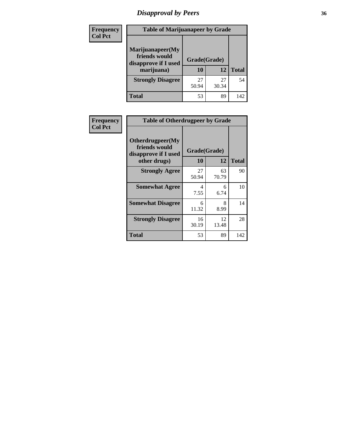# *Disapproval by Peers* **36**

| <b>Frequency</b> | <b>Table of Marijuanapeer by Grade</b>                                  |                           |             |              |
|------------------|-------------------------------------------------------------------------|---------------------------|-------------|--------------|
| <b>Col Pct</b>   | Marijuanapeer(My<br>friends would<br>disapprove if I used<br>marijuana) | Grade(Grade)<br><b>10</b> | 12          | <b>Total</b> |
|                  | <b>Strongly Disagree</b>                                                | 27<br>50.94               | 27<br>30.34 | 54           |
|                  | <b>Total</b>                                                            | 53                        | 89          | 142          |

| <b>Frequency</b> | <b>Table of Otherdrugpeer by Grade</b>                                    |             |                                 |                    |
|------------------|---------------------------------------------------------------------------|-------------|---------------------------------|--------------------|
| <b>Col Pct</b>   | Otherdrugpeer(My<br>friends would<br>disapprove if I used<br>other drugs) |             | Grade(Grade)<br><b>10</b><br>12 |                    |
|                  | <b>Strongly Agree</b>                                                     | 27          | 63                              | <b>Total</b><br>90 |
|                  |                                                                           | 50.94       | 70.79                           |                    |
|                  | <b>Somewhat Agree</b>                                                     | 4<br>7.55   | 6<br>6.74                       | 10                 |
|                  | <b>Somewhat Disagree</b>                                                  | 6<br>11.32  | 8<br>8.99                       | 14                 |
|                  | <b>Strongly Disagree</b>                                                  | 16<br>30.19 | 12<br>13.48                     | 28                 |
|                  | <b>Total</b>                                                              | 53          | 89                              | 142                |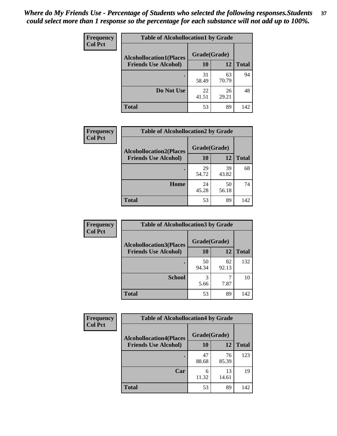| Frequency<br><b>Col Pct</b> | <b>Table of Alcohollocation1 by Grade</b> |              |             |              |  |
|-----------------------------|-------------------------------------------|--------------|-------------|--------------|--|
|                             | <b>Alcohollocation1(Places</b>            | Grade(Grade) |             |              |  |
|                             | <b>Friends Use Alcohol)</b>               | 10           | 12          | <b>Total</b> |  |
|                             |                                           | 31<br>58.49  | 63<br>70.79 | 94           |  |
|                             | Do Not Use                                | 22<br>41.51  | 26<br>29.21 | 48           |  |
|                             | <b>Total</b>                              | 53           | 89          | 142          |  |

| <b>Frequency</b> | <b>Table of Alcohollocation2 by Grade</b>                     |                    |             |              |
|------------------|---------------------------------------------------------------|--------------------|-------------|--------------|
| <b>Col Pct</b>   | <b>Alcohollocation2(Places</b><br><b>Friends Use Alcohol)</b> | Grade(Grade)<br>10 | 12          | <b>Total</b> |
|                  |                                                               | 29<br>54.72        | 39<br>43.82 | 68           |
|                  | Home                                                          | 24<br>45.28        | 50<br>56.18 | 74           |
|                  | <b>Total</b>                                                  | 53                 | 89          | 142          |

| Frequency<br><b>Col Pct</b> | <b>Table of Alcohollocation 3 by Grade</b>                    |                    |             |              |
|-----------------------------|---------------------------------------------------------------|--------------------|-------------|--------------|
|                             | <b>Alcohollocation3(Places</b><br><b>Friends Use Alcohol)</b> | Grade(Grade)<br>10 | 12          | <b>Total</b> |
|                             |                                                               | 50<br>94.34        | 82<br>92.13 | 132          |
|                             | <b>School</b>                                                 | 3<br>5.66          | 7.87        | 10           |
|                             | <b>Total</b>                                                  | 53                 | 89          | 142          |

| <b>Frequency</b> | <b>Table of Alcohollocation4 by Grade</b> |              |             |              |  |
|------------------|-------------------------------------------|--------------|-------------|--------------|--|
| <b>Col Pct</b>   | <b>Alcohollocation4(Places</b>            | Grade(Grade) |             |              |  |
|                  | <b>Friends Use Alcohol)</b>               | 10           | 12          | <b>Total</b> |  |
|                  |                                           | 47<br>88.68  | 76<br>85.39 | 123          |  |
|                  | Car                                       | 6<br>11.32   | 13<br>14.61 | 19           |  |
|                  | <b>Total</b>                              | 53           | 89          | 142          |  |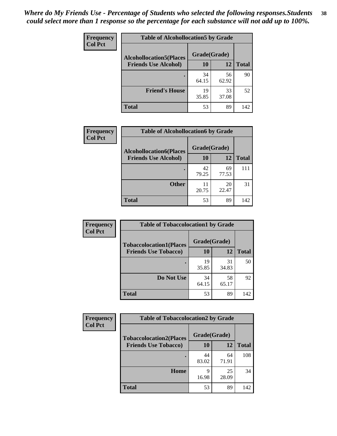| Frequency<br><b>Col Pct</b> | <b>Table of Alcohollocation5 by Grade</b>      |             |             |              |  |
|-----------------------------|------------------------------------------------|-------------|-------------|--------------|--|
|                             | Grade(Grade)<br><b>Alcohollocation5(Places</b> |             |             |              |  |
|                             | <b>Friends Use Alcohol)</b>                    | 10          | 12          | <b>Total</b> |  |
|                             |                                                | 34<br>64.15 | 56<br>62.92 | 90           |  |
|                             | <b>Friend's House</b>                          | 19<br>35.85 | 33<br>37.08 | 52           |  |
|                             | <b>Total</b>                                   | 53          | 89          | 142          |  |

| Frequency      | <b>Table of Alcohollocation6 by Grade</b> |              |             |              |
|----------------|-------------------------------------------|--------------|-------------|--------------|
| <b>Col Pct</b> | <b>Alcohollocation6(Places</b>            | Grade(Grade) |             |              |
|                | <b>Friends Use Alcohol)</b>               | 10           | 12          | <b>Total</b> |
|                |                                           | 42<br>79.25  | 69<br>77.53 | 111          |
|                | <b>Other</b>                              | 11<br>20.75  | 20<br>22.47 | 31           |
|                | Total                                     | 53           | 89          | 142          |

| Frequency      | <b>Table of Tobaccolocation1 by Grade</b> |              |             |              |
|----------------|-------------------------------------------|--------------|-------------|--------------|
| <b>Col Pct</b> | <b>Tobaccolocation1(Places</b>            | Grade(Grade) |             |              |
|                | <b>Friends Use Tobacco)</b>               | 10           | <b>12</b>   | <b>Total</b> |
|                |                                           | 19<br>35.85  | 31<br>34.83 | 50           |
|                | Do Not Use                                | 34<br>64.15  | 58<br>65.17 | 92           |
|                | <b>Total</b>                              | 53           | 89          | 142          |

| Frequency      | <b>Table of Tobaccolocation2 by Grade</b> |              |             |              |  |
|----------------|-------------------------------------------|--------------|-------------|--------------|--|
| <b>Col Pct</b> | <b>Tobaccolocation2(Places</b>            | Grade(Grade) |             |              |  |
|                | <b>Friends Use Tobacco)</b>               | 10           | 12          | <b>Total</b> |  |
|                |                                           | 44<br>83.02  | 64<br>71.91 | 108          |  |
|                | Home                                      | q<br>16.98   | 25<br>28.09 | 34           |  |
|                | <b>Total</b>                              | 53           | 89          | 142          |  |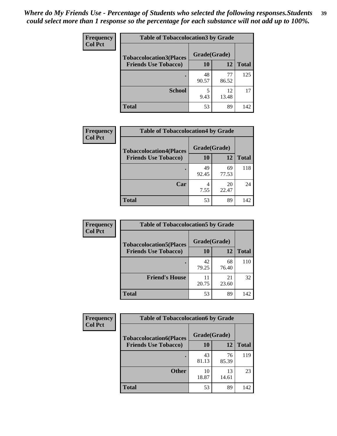| Frequency      | <b>Table of Tobaccolocation 3 by Grade</b> |              |             |              |
|----------------|--------------------------------------------|--------------|-------------|--------------|
| <b>Col Pct</b> | <b>Tobaccolocation3(Places</b>             | Grade(Grade) |             |              |
|                | <b>Friends Use Tobacco)</b>                | 10           | 12          | <b>Total</b> |
|                |                                            | 48<br>90.57  | 77<br>86.52 | 125          |
|                | <b>School</b>                              | 5<br>9.43    | 12<br>13.48 | 17           |
|                | <b>Total</b>                               | 53           | 89          | 142          |

| <b>Frequency</b> | <b>Table of Tobaccolocation4 by Grade</b> |              |             |              |
|------------------|-------------------------------------------|--------------|-------------|--------------|
| <b>Col Pct</b>   | <b>Tobaccolocation4(Places</b>            | Grade(Grade) |             |              |
|                  | <b>Friends Use Tobacco)</b>               | 10           | 12          | <b>Total</b> |
|                  |                                           | 49<br>92.45  | 69<br>77.53 | 118          |
|                  | Car                                       | 7.55         | 20<br>22.47 | 24           |
|                  | <b>Total</b>                              | 53           | 89          | 142          |

| Frequency      | <b>Table of Tobaccolocation5 by Grade</b> |              |             |              |
|----------------|-------------------------------------------|--------------|-------------|--------------|
| <b>Col Pct</b> | <b>Tobaccolocation5(Places</b>            | Grade(Grade) |             |              |
|                | <b>Friends Use Tobacco)</b>               | 10           | 12          | <b>Total</b> |
|                |                                           | 42<br>79.25  | 68<br>76.40 | 110          |
|                | <b>Friend's House</b>                     | 11<br>20.75  | 21<br>23.60 | 32           |
|                | <b>Total</b>                              | 53           | 89          | 142          |

| <b>Frequency</b> | <b>Table of Tobaccolocation6 by Grade</b> |              |             |              |  |
|------------------|-------------------------------------------|--------------|-------------|--------------|--|
| <b>Col Pct</b>   | <b>Tobaccolocation6(Places</b>            | Grade(Grade) |             |              |  |
|                  | <b>Friends Use Tobacco)</b>               | 10           | 12          | <b>Total</b> |  |
|                  |                                           | 43<br>81.13  | 76<br>85.39 | 119          |  |
|                  | <b>Other</b>                              | 10<br>18.87  | 13<br>14.61 | 23           |  |
|                  | <b>Total</b>                              | 53           | 89          | 142          |  |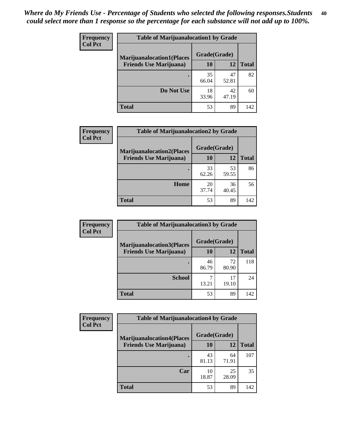| <b>Frequency</b> | <b>Table of Marijuanalocation1 by Grade</b> |              |             |              |
|------------------|---------------------------------------------|--------------|-------------|--------------|
| <b>Col Pct</b>   | <b>Marijuanalocation1(Places</b>            | Grade(Grade) |             |              |
|                  | <b>Friends Use Marijuana</b> )              | <b>10</b>    | 12          | <b>Total</b> |
|                  |                                             | 35<br>66.04  | 47<br>52.81 | 82           |
|                  | Do Not Use                                  | 18<br>33.96  | 42<br>47.19 | 60           |
|                  | <b>Total</b>                                | 53           | 89          | 142          |

| <b>Frequency</b> | <b>Table of Marijuanalocation2 by Grade</b>                        |                    |             |              |
|------------------|--------------------------------------------------------------------|--------------------|-------------|--------------|
| <b>Col Pct</b>   | <b>Marijuanalocation2(Places</b><br><b>Friends Use Marijuana</b> ) | Grade(Grade)<br>10 | 12          | <b>Total</b> |
|                  |                                                                    | 33<br>62.26        | 53<br>59.55 | 86           |
|                  | Home                                                               | 20<br>37.74        | 36<br>40.45 | 56           |
|                  | <b>Total</b>                                                       | 53                 | 89          | 142          |

| Frequency      | <b>Table of Marijuanalocation3 by Grade</b> |              |             |       |
|----------------|---------------------------------------------|--------------|-------------|-------|
| <b>Col Pct</b> | <b>Marijuanalocation3</b> (Places           | Grade(Grade) |             |       |
|                | <b>Friends Use Marijuana</b> )              | 10           | 12          | Total |
|                |                                             | 46<br>86.79  | 72<br>80.90 | 118   |
|                | <b>School</b>                               | 13.21        | 17<br>19.10 | 24    |
|                | <b>Total</b>                                | 53           | 89          | 142   |

| <b>Frequency</b> | <b>Table of Marijuanalocation4 by Grade</b> |              |             |              |  |
|------------------|---------------------------------------------|--------------|-------------|--------------|--|
| <b>Col Pct</b>   | <b>Marijuanalocation4(Places</b>            | Grade(Grade) |             |              |  |
|                  | <b>Friends Use Marijuana</b> )              | <b>10</b>    | 12          | <b>Total</b> |  |
|                  |                                             | 43<br>81.13  | 64<br>71.91 | 107          |  |
|                  | Car                                         | 10<br>18.87  | 25<br>28.09 | 35           |  |
|                  | <b>Total</b>                                | 53           | 89          | 142          |  |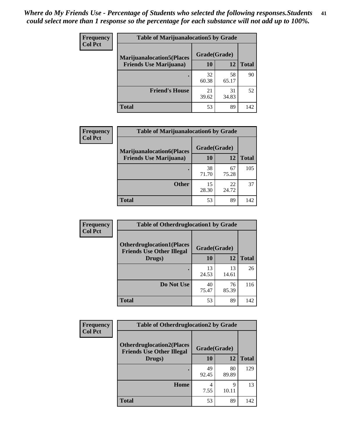| <b>Frequency</b> | <b>Table of Marijuanalocation5 by Grade</b> |              |             |              |
|------------------|---------------------------------------------|--------------|-------------|--------------|
| <b>Col Pct</b>   | <b>Marijuanalocation5(Places</b>            | Grade(Grade) |             |              |
|                  | <b>Friends Use Marijuana</b> )              | 10           | 12          | <b>Total</b> |
|                  |                                             | 32<br>60.38  | 58<br>65.17 | 90           |
|                  | <b>Friend's House</b>                       | 21<br>39.62  | 31<br>34.83 | 52           |
|                  | <b>Total</b>                                | 53           | 89          | 142          |

| <b>Frequency</b> | <b>Table of Marijuanalocation6 by Grade</b>                        |                    |             |              |
|------------------|--------------------------------------------------------------------|--------------------|-------------|--------------|
| <b>Col Pct</b>   | <b>Marijuanalocation6(Places</b><br><b>Friends Use Marijuana</b> ) | Grade(Grade)<br>10 | 12          | <b>Total</b> |
|                  |                                                                    | 38<br>71.70        | 67<br>75.28 | 105          |
|                  | <b>Other</b>                                                       | 15<br>28.30        | 22<br>24.72 | 37           |
|                  | <b>Total</b>                                                       | 53                 | 89          | 142          |

| Frequency      | <b>Table of Otherdruglocation1 by Grade</b>                          |              |             |              |
|----------------|----------------------------------------------------------------------|--------------|-------------|--------------|
| <b>Col Pct</b> | <b>Otherdruglocation1(Places</b><br><b>Friends Use Other Illegal</b> | Grade(Grade) |             |              |
|                | Drugs)                                                               | 10           | 12          | <b>Total</b> |
|                |                                                                      | 13<br>24.53  | 13<br>14.61 | 26           |
|                | Do Not Use                                                           | 40<br>75.47  | 76<br>85.39 | 116          |
|                | <b>Total</b>                                                         | 53           | 89          | 142          |

| <b>Frequency</b> | <b>Table of Otherdruglocation2 by Grade</b>                          |              |             |              |
|------------------|----------------------------------------------------------------------|--------------|-------------|--------------|
| <b>Col Pct</b>   | <b>Otherdruglocation2(Places</b><br><b>Friends Use Other Illegal</b> | Grade(Grade) |             |              |
|                  | Drugs)                                                               | 10           | 12          | <b>Total</b> |
|                  |                                                                      | 49<br>92.45  | 80<br>89.89 | 129          |
|                  | Home                                                                 | 4<br>7.55    | 9<br>10.11  | 13           |
|                  | <b>Total</b>                                                         | 53           | 89          | 142          |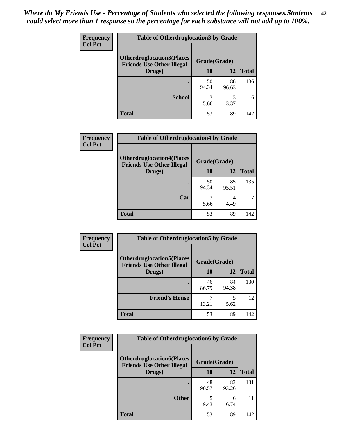| <b>Frequency</b> | <b>Table of Otherdruglocation 3 by Grade</b>                          |              |             |              |
|------------------|-----------------------------------------------------------------------|--------------|-------------|--------------|
| <b>Col Pct</b>   | <b>Otherdruglocation3(Places)</b><br><b>Friends Use Other Illegal</b> | Grade(Grade) |             |              |
|                  | Drugs)                                                                | 10           | 12          | <b>Total</b> |
|                  |                                                                       | 50<br>94.34  | 86<br>96.63 | 136          |
|                  | <b>School</b>                                                         | 3<br>5.66    | 3<br>3.37   | 6            |
|                  | <b>Total</b>                                                          | 53           | 89          | 142          |

| Frequency      | <b>Table of Otherdruglocation4 by Grade</b>                          |              |             |              |
|----------------|----------------------------------------------------------------------|--------------|-------------|--------------|
| <b>Col Pct</b> | <b>Otherdruglocation4(Places</b><br><b>Friends Use Other Illegal</b> | Grade(Grade) |             |              |
|                | Drugs)                                                               | 10           | 12          | <b>Total</b> |
|                |                                                                      | 50<br>94.34  | 85<br>95.51 | 135          |
|                | Car                                                                  | 3<br>5.66    | 4<br>4.49   |              |
|                | <b>Total</b>                                                         | 53           | 89          | 142          |

| <b>Frequency</b> | <b>Table of Otherdruglocation5 by Grade</b>                          |              |             |              |
|------------------|----------------------------------------------------------------------|--------------|-------------|--------------|
| <b>Col Pct</b>   | <b>Otherdruglocation5(Places</b><br><b>Friends Use Other Illegal</b> | Grade(Grade) |             |              |
|                  | Drugs)                                                               | <b>10</b>    | 12          | <b>Total</b> |
|                  |                                                                      | 46<br>86.79  | 84<br>94.38 | 130          |
|                  | <b>Friend's House</b>                                                | 13.21        | 5.62        | 12           |
|                  | <b>Total</b>                                                         | 53           | 89          | 142          |

| <b>Frequency</b> | <b>Table of Otherdruglocation6 by Grade</b>                          |              |             |              |
|------------------|----------------------------------------------------------------------|--------------|-------------|--------------|
| <b>Col Pct</b>   | <b>Otherdruglocation6(Places</b><br><b>Friends Use Other Illegal</b> | Grade(Grade) |             |              |
|                  | Drugs)                                                               | <b>10</b>    | 12          | <b>Total</b> |
|                  |                                                                      | 48<br>90.57  | 83<br>93.26 | 131          |
|                  | <b>Other</b>                                                         | 9.43         | 6<br>6.74   | 11           |
|                  | <b>Total</b>                                                         | 53           | 89          | 142          |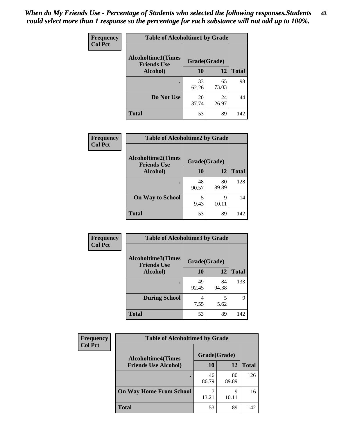| <b>Frequency</b> | <b>Table of Alcoholtime1 by Grade</b>           |              |             |              |
|------------------|-------------------------------------------------|--------------|-------------|--------------|
| <b>Col Pct</b>   | <b>Alcoholtime1(Times</b><br><b>Friends Use</b> | Grade(Grade) |             |              |
|                  | Alcohol)                                        | 10           | 12          | <b>Total</b> |
|                  |                                                 | 33<br>62.26  | 65<br>73.03 | 98           |
|                  | Do Not Use                                      | 20<br>37.74  | 24<br>26.97 | 44           |
|                  | <b>Total</b>                                    | 53           | 89          | 142          |

| Frequency      | <b>Table of Alcoholtime2 by Grade</b>           |              |             |              |
|----------------|-------------------------------------------------|--------------|-------------|--------------|
| <b>Col Pct</b> | <b>Alcoholtime2(Times</b><br><b>Friends Use</b> | Grade(Grade) |             |              |
|                | Alcohol)                                        | 10           | 12          | <b>Total</b> |
|                |                                                 | 48<br>90.57  | 80<br>89.89 | 128          |
|                | <b>On Way to School</b>                         | 9.43         | 9<br>10.11  | 14           |
|                | <b>Total</b>                                    | 53           | 89          | 142          |

| Frequency<br><b>Col Pct</b> | <b>Table of Alcoholtime3 by Grade</b>                           |             |             |              |
|-----------------------------|-----------------------------------------------------------------|-------------|-------------|--------------|
|                             | <b>Alcoholtime3(Times</b><br>Grade(Grade)<br><b>Friends Use</b> |             |             |              |
|                             | Alcohol)                                                        | 10          | 12          | <b>Total</b> |
|                             |                                                                 | 49<br>92.45 | 84<br>94.38 | 133          |
|                             | <b>During School</b>                                            | 4<br>7.55   | 5<br>5.62   | 9            |
|                             | <b>Total</b>                                                    | 53          | 89          | 142          |

| <b>Frequency</b> | <b>Table of Alcoholtime4 by Grade</b> |              |             |              |
|------------------|---------------------------------------|--------------|-------------|--------------|
| <b>Col Pct</b>   | <b>Alcoholtime4(Times</b>             | Grade(Grade) |             |              |
|                  | <b>Friends Use Alcohol)</b>           | 10           | 12          | <b>Total</b> |
|                  | ٠                                     | 46<br>86.79  | 80<br>89.89 | 126          |
|                  | <b>On Way Home From School</b>        | 13.21        | Q<br>10.11  | 16           |
|                  | <b>Total</b>                          | 53           | 89          | 142          |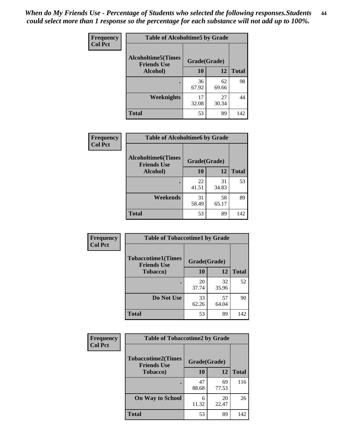*When do My Friends Use - Percentage of Students who selected the following responses.Students could select more than 1 response so the percentage for each substance will not add up to 100%.* **44**

| Frequency      | <b>Table of Alcoholtime5 by Grade</b>           |              |             |              |
|----------------|-------------------------------------------------|--------------|-------------|--------------|
| <b>Col Pct</b> | <b>Alcoholtime5(Times</b><br><b>Friends Use</b> | Grade(Grade) |             |              |
|                | Alcohol)                                        | 10           | 12          | <b>Total</b> |
|                |                                                 | 36<br>67.92  | 62<br>69.66 | 98           |
|                | <b>Weeknights</b>                               | 17<br>32.08  | 27<br>30.34 | 44           |
|                | <b>Total</b>                                    | 53           | 89          | 142          |

| Frequency      | <b>Table of Alcoholtime6 by Grade</b>           |              |             |              |
|----------------|-------------------------------------------------|--------------|-------------|--------------|
| <b>Col Pct</b> | <b>Alcoholtime6(Times</b><br><b>Friends Use</b> | Grade(Grade) |             |              |
|                | <b>Alcohol</b> )                                | 10           | 12          | <b>Total</b> |
|                |                                                 | 22<br>41.51  | 31<br>34.83 | 53           |
|                | Weekends                                        | 31<br>58.49  | 58<br>65.17 | 89           |
|                | <b>Total</b>                                    | 53           | 89          | 142          |

| <b>Frequency</b><br><b>Col Pct</b> | <b>Table of Tobaccotime1 by Grade</b>                           |             |             |              |
|------------------------------------|-----------------------------------------------------------------|-------------|-------------|--------------|
|                                    | <b>Tobaccotime1(Times</b><br>Grade(Grade)<br><b>Friends Use</b> |             |             |              |
|                                    | <b>Tobacco</b> )                                                | 10          | 12          | <b>Total</b> |
|                                    |                                                                 | 20<br>37.74 | 32<br>35.96 | 52           |
|                                    | Do Not Use                                                      | 33<br>62.26 | 57<br>64.04 | 90           |
|                                    | <b>Total</b>                                                    | 53          | 89          | 142          |

| <b>Frequency</b> | <b>Table of Tobaccotime2 by Grade</b>  |              |             |              |
|------------------|----------------------------------------|--------------|-------------|--------------|
| <b>Col Pct</b>   | <b>Tobaccotime2(Times</b>              | Grade(Grade) |             |              |
|                  | <b>Friends Use</b><br><b>Tobacco</b> ) | 10           | 12          | <b>Total</b> |
|                  |                                        | 47<br>88.68  | 69<br>77.53 | 116          |
|                  | <b>On Way to School</b>                | 6<br>11.32   | 20<br>22.47 | 26           |
|                  | <b>Total</b>                           | 53           | 89          | 142          |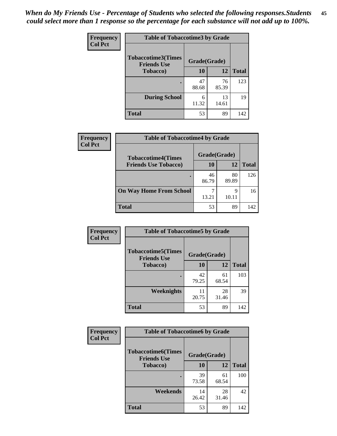| Frequency      | <b>Table of Tobaccotime3 by Grade</b>           |              |             |              |
|----------------|-------------------------------------------------|--------------|-------------|--------------|
| <b>Col Pct</b> | <b>Tobaccotime3(Times</b><br><b>Friends Use</b> | Grade(Grade) |             |              |
|                | <b>Tobacco</b> )                                | 10           | 12          | <b>Total</b> |
|                | ٠                                               | 47<br>88.68  | 76<br>85.39 | 123          |
|                | <b>During School</b>                            | 6<br>11.32   | 13<br>14.61 | 19           |
|                | <b>Total</b>                                    | 53           | 89          | 142          |

| <b>Frequency</b><br><b>Col Pct</b> | <b>Table of Tobaccotime4 by Grade</b> |              |             |              |
|------------------------------------|---------------------------------------|--------------|-------------|--------------|
|                                    | <b>Tobaccotime4(Times</b>             | Grade(Grade) |             |              |
|                                    | <b>Friends Use Tobacco)</b>           | 10           | 12          | <b>Total</b> |
|                                    |                                       | 46<br>86.79  | 80<br>89.89 | 126          |
|                                    | <b>On Way Home From School</b>        | 13.21        | Q<br>10.11  | 16           |
|                                    | <b>Total</b>                          | 53           | 89          | 142          |

| <b>Frequency</b> | <b>Table of Tobaccotime5 by Grade</b>           |              |             |              |
|------------------|-------------------------------------------------|--------------|-------------|--------------|
| <b>Col Pct</b>   | <b>Tobaccotime5(Times</b><br><b>Friends Use</b> | Grade(Grade) |             |              |
|                  | <b>Tobacco</b> )                                | 10           | 12          | <b>Total</b> |
|                  |                                                 | 42<br>79.25  | 61<br>68.54 | 103          |
|                  | Weeknights                                      | 11<br>20.75  | 28<br>31.46 | 39           |
|                  | <b>Total</b>                                    | 53           | 89          | 142          |

| Frequency<br><b>Col Pct</b> | <b>Table of Tobaccotime6 by Grade</b>                           |             |             |              |
|-----------------------------|-----------------------------------------------------------------|-------------|-------------|--------------|
|                             | <b>Tobaccotime6(Times</b><br>Grade(Grade)<br><b>Friends Use</b> |             |             |              |
|                             | <b>Tobacco</b> )                                                | 10          | 12          | <b>Total</b> |
|                             |                                                                 | 39<br>73.58 | 61<br>68.54 | 100          |
|                             | Weekends                                                        | 14<br>26.42 | 28<br>31.46 | 42           |
|                             | <b>Total</b>                                                    | 53          | 89          | 142          |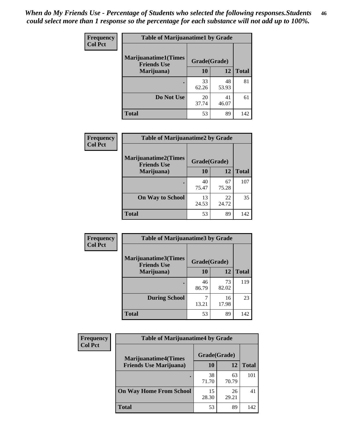| Frequency      | <b>Table of Marijuanatime1 by Grade</b>           |              |             |              |
|----------------|---------------------------------------------------|--------------|-------------|--------------|
| <b>Col Pct</b> | <b>Marijuanatime1(Times</b><br><b>Friends Use</b> | Grade(Grade) |             |              |
|                | Marijuana)                                        | 10           | 12          | <b>Total</b> |
|                |                                                   | 33<br>62.26  | 48<br>53.93 | 81           |
|                | Do Not Use                                        | 20<br>37.74  | 41<br>46.07 | 61           |
|                | <b>Total</b>                                      | 53           | 89          | 142          |

| Frequency      | <b>Table of Marijuanatime2 by Grade</b>           |              |             |              |
|----------------|---------------------------------------------------|--------------|-------------|--------------|
| <b>Col Pct</b> | <b>Marijuanatime2(Times</b><br><b>Friends Use</b> | Grade(Grade) |             |              |
|                | Marijuana)                                        | 10           | 12          | <b>Total</b> |
|                |                                                   | 40<br>75.47  | 67<br>75.28 | 107          |
|                | <b>On Way to School</b>                           | 13<br>24.53  | 22<br>24.72 | 35           |
|                | <b>Total</b>                                      | 53           | 89          | 142          |

| Frequency      | <b>Table of Marijuanatime3 by Grade</b>    |              |             |              |
|----------------|--------------------------------------------|--------------|-------------|--------------|
| <b>Col Pct</b> | Marijuanatime3(Times<br><b>Friends Use</b> | Grade(Grade) |             |              |
|                | Marijuana)                                 | 10           | 12          | <b>Total</b> |
|                |                                            | 46<br>86.79  | 73<br>82.02 | 119          |
|                | <b>During School</b>                       | 13.21        | 16<br>17.98 | 23           |
|                | <b>Total</b>                               | 53           | 89          | 142          |

| <b>Frequency</b> | <b>Table of Marijuanatime4 by Grade</b> |              |             |              |
|------------------|-----------------------------------------|--------------|-------------|--------------|
| <b>Col Pct</b>   | <b>Marijuanatime4(Times</b>             | Grade(Grade) |             |              |
|                  | <b>Friends Use Marijuana</b> )          | 10           | 12          | <b>Total</b> |
|                  | ٠                                       | 38<br>71.70  | 63<br>70.79 | 101          |
|                  | <b>On Way Home From School</b>          | 15<br>28.30  | 26<br>29.21 | 41           |
|                  | Total                                   | 53           | 89          | 142          |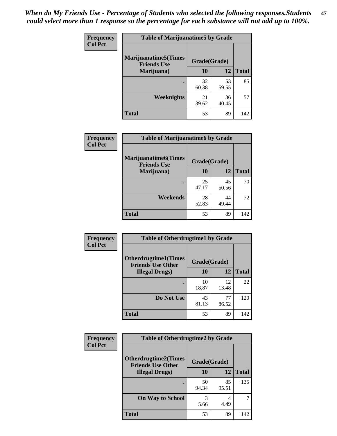| <b>Frequency</b><br><b>Col Pct</b> | <b>Table of Marijuanatime5 by Grade</b>            |              |             |              |
|------------------------------------|----------------------------------------------------|--------------|-------------|--------------|
|                                    | <b>Marijuanatime5</b> (Times<br><b>Friends Use</b> | Grade(Grade) |             |              |
|                                    | Marijuana)                                         | 10           | 12          | <b>Total</b> |
|                                    |                                                    | 32<br>60.38  | 53<br>59.55 | 85           |
|                                    | <b>Weeknights</b>                                  | 21<br>39.62  | 36<br>40.45 | 57           |
|                                    | <b>Total</b>                                       | 53           | 89          | 142          |

| <b>Frequency</b> | <b>Table of Marijuanatime6 by Grade</b>    |              |             |              |
|------------------|--------------------------------------------|--------------|-------------|--------------|
| <b>Col Pct</b>   | Marijuanatime6(Times<br><b>Friends Use</b> | Grade(Grade) |             |              |
|                  | Marijuana)                                 | <b>10</b>    | 12          | <b>Total</b> |
|                  | ٠                                          | 25<br>47.17  | 45<br>50.56 | 70           |
|                  | Weekends                                   | 28<br>52.83  | 44<br>49.44 | 72           |
|                  | <b>Total</b>                               | 53           | 89          | 142          |

| <b>Frequency</b> | <b>Table of Otherdrugtime1 by Grade</b>                  |              |             |              |
|------------------|----------------------------------------------------------|--------------|-------------|--------------|
| <b>Col Pct</b>   | <b>Otherdrugtime1</b> (Times<br><b>Friends Use Other</b> | Grade(Grade) |             |              |
|                  | <b>Illegal Drugs</b> )                                   | 10           | 12          | <b>Total</b> |
|                  |                                                          | 10<br>18.87  | 12<br>13.48 | 22           |
|                  | Do Not Use                                               | 43<br>81.13  | 77<br>86.52 | 120          |
|                  | <b>Total</b>                                             | 53           | 89          | 142          |

| <b>Frequency</b><br><b>Col Pct</b> | <b>Table of Otherdrugtime2 by Grade</b>                 |              |             |              |
|------------------------------------|---------------------------------------------------------|--------------|-------------|--------------|
|                                    | <b>Otherdrugtime2(Times</b><br><b>Friends Use Other</b> | Grade(Grade) |             |              |
|                                    | <b>Illegal Drugs</b> )                                  | 10           | 12          | <b>Total</b> |
|                                    |                                                         | 50<br>94.34  | 85<br>95.51 | 135          |
|                                    | <b>On Way to School</b>                                 | 3<br>5.66    | 4<br>4.49   | 7            |
|                                    | Total                                                   | 53           | 89          | 142          |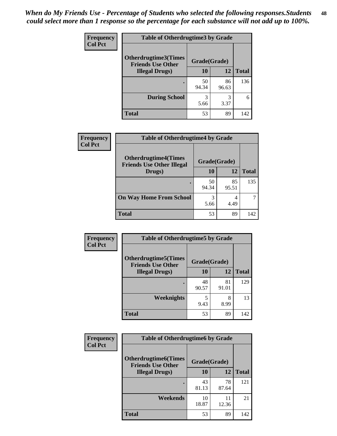| <b>Frequency</b> | <b>Table of Otherdrugtime3 by Grade</b>          |              |             |              |
|------------------|--------------------------------------------------|--------------|-------------|--------------|
| <b>Col Pct</b>   | Otherdrugtime3(Times<br><b>Friends Use Other</b> | Grade(Grade) |             |              |
|                  | <b>Illegal Drugs</b> )                           | 10           | 12          | <b>Total</b> |
|                  |                                                  | 50<br>94.34  | 86<br>96.63 | 136          |
|                  | <b>During School</b>                             | 3<br>5.66    | 3<br>3.37   | 6            |
|                  | <b>Total</b>                                     | 53           | 89          | 142          |

| Frequency<br><b>Col Pct</b> | <b>Table of Otherdrugtime4 by Grade</b>                         |              |             |              |
|-----------------------------|-----------------------------------------------------------------|--------------|-------------|--------------|
|                             | <b>Otherdrugtime4(Times</b><br><b>Friends Use Other Illegal</b> | Grade(Grade) |             |              |
|                             | Drugs)                                                          | 10           | 12          | <b>Total</b> |
|                             | ٠                                                               | 50<br>94.34  | 85<br>95.51 | 135          |
|                             | <b>On Way Home From School</b>                                  | 3<br>5.66    | 4<br>4.49   |              |
|                             | <b>Total</b>                                                    | 53           | 89          | 142          |

| <b>Frequency</b> | <b>Table of Otherdrugtime5 by Grade</b>                  |              |             |              |
|------------------|----------------------------------------------------------|--------------|-------------|--------------|
| <b>Col Pct</b>   | <b>Otherdrugtime5</b> (Times<br><b>Friends Use Other</b> | Grade(Grade) |             |              |
|                  | <b>Illegal Drugs</b> )                                   | 10           | 12          | <b>Total</b> |
|                  |                                                          | 48<br>90.57  | 81<br>91.01 | 129          |
|                  | Weeknights                                               | 5<br>9.43    | 8<br>8.99   | 13           |
|                  | <b>Total</b>                                             | 53           | 89          | 142          |

| <b>Frequency</b> | <b>Table of Otherdrugtime6 by Grade</b>                 |              |             |              |
|------------------|---------------------------------------------------------|--------------|-------------|--------------|
| <b>Col Pct</b>   | <b>Otherdrugtime6(Times</b><br><b>Friends Use Other</b> | Grade(Grade) |             |              |
|                  | <b>Illegal Drugs</b> )                                  | 10           | 12          | <b>Total</b> |
|                  |                                                         | 43<br>81.13  | 78<br>87.64 | 121          |
|                  | Weekends                                                | 10<br>18.87  | 11<br>12.36 | 21           |
|                  | Total                                                   | 53           | 89          | 142          |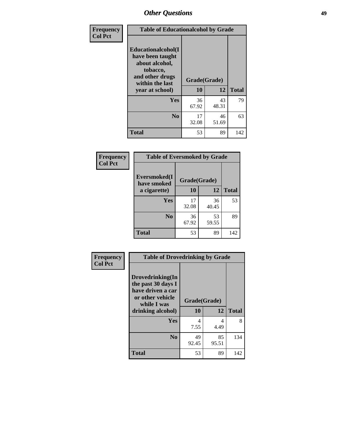| Frequency      | <b>Table of Educationalcohol by Grade</b>                                                                  |              |             |              |  |  |  |
|----------------|------------------------------------------------------------------------------------------------------------|--------------|-------------|--------------|--|--|--|
| <b>Col Pct</b> | Educationalcohol(I<br>have been taught<br>about alcohol,<br>tobacco,<br>and other drugs<br>within the last | Grade(Grade) |             |              |  |  |  |
|                | year at school)                                                                                            | 10           | 12          | <b>Total</b> |  |  |  |
|                | <b>Yes</b>                                                                                                 | 36<br>67.92  | 43<br>48.31 | 79           |  |  |  |
|                | N <sub>0</sub>                                                                                             | 17<br>32.08  | 46<br>51.69 | 63           |  |  |  |
|                | <b>Total</b>                                                                                               | 53           | 89          | 142          |  |  |  |

| Frequency      |                             | <b>Table of Eversmoked by Grade</b> |             |              |  |  |  |  |  |
|----------------|-----------------------------|-------------------------------------|-------------|--------------|--|--|--|--|--|
| <b>Col Pct</b> | Eversmoked(I<br>have smoked | Grade(Grade)                        |             |              |  |  |  |  |  |
|                | a cigarette)                | 10                                  | 12          | <b>Total</b> |  |  |  |  |  |
|                | <b>Yes</b>                  | 17<br>32.08                         | 36<br>40.45 | 53           |  |  |  |  |  |
|                | N <sub>0</sub>              | 36<br>67.92                         | 53<br>59.55 | 89           |  |  |  |  |  |
|                | Total                       | 53                                  | 89          | 142          |  |  |  |  |  |

| Frequency      | <b>Table of Drovedrinking by Grade</b>                                                                              |                    |             |              |  |  |  |  |  |
|----------------|---------------------------------------------------------------------------------------------------------------------|--------------------|-------------|--------------|--|--|--|--|--|
| <b>Col Pct</b> | Drovedrinking(In<br>the past 30 days I<br>have driven a car<br>or other vehicle<br>while I was<br>drinking alcohol) | Grade(Grade)<br>10 | 12          | <b>Total</b> |  |  |  |  |  |
|                | <b>Yes</b>                                                                                                          | 4<br>7.55          | 4<br>4.49   | 8            |  |  |  |  |  |
|                | N <sub>0</sub>                                                                                                      | 49<br>92.45        | 85<br>95.51 | 134          |  |  |  |  |  |
|                | <b>Total</b>                                                                                                        | 53                 | 89          | 142          |  |  |  |  |  |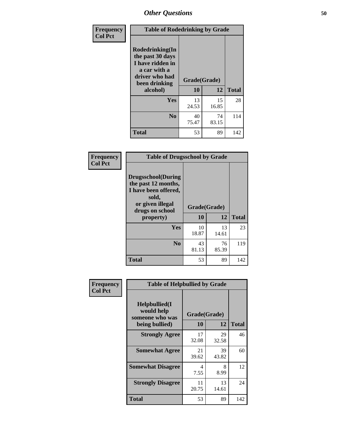| Frequency<br><b>Col Pct</b> | <b>Table of Rodedrinking by Grade</b>                                                                                  |                    |             |              |  |  |  |  |
|-----------------------------|------------------------------------------------------------------------------------------------------------------------|--------------------|-------------|--------------|--|--|--|--|
|                             | Rodedrinking(In<br>the past 30 days<br>I have ridden in<br>a car with a<br>driver who had<br>been drinking<br>alcohol) | Grade(Grade)<br>10 | 12          | <b>Total</b> |  |  |  |  |
|                             | <b>Yes</b>                                                                                                             | 13<br>24.53        | 15<br>16.85 | 28           |  |  |  |  |
|                             | N <sub>0</sub>                                                                                                         | 40<br>75.47        | 74<br>83.15 | 114          |  |  |  |  |
|                             | <b>Total</b>                                                                                                           | 53                 | 89          | 142          |  |  |  |  |

#### **Frequency Col Pct**

|                                                                                                                           | <b>Table of Drugsschool by Grade</b> |             |              |  |  |  |  |
|---------------------------------------------------------------------------------------------------------------------------|--------------------------------------|-------------|--------------|--|--|--|--|
| <b>Drugsschool</b> (During<br>the past 12 months,<br>I have been offered,<br>sold,<br>or given illegal<br>drugs on school | Grade(Grade)                         |             |              |  |  |  |  |
| property)                                                                                                                 | 10                                   | 12          | <b>Total</b> |  |  |  |  |
| Yes                                                                                                                       | 10<br>18.87                          | 13<br>14.61 | 23           |  |  |  |  |
| N <sub>0</sub>                                                                                                            | 43<br>81.13                          | 76<br>85.39 | 119          |  |  |  |  |
| <b>Total</b>                                                                                                              | 53                                   | 89          | 142          |  |  |  |  |

| Frequency      | <b>Table of Helpbullied by Grade</b>                                   |                    |             |              |  |  |  |  |
|----------------|------------------------------------------------------------------------|--------------------|-------------|--------------|--|--|--|--|
| <b>Col Pct</b> | $Helpb$ ullied $(I$<br>would help<br>someone who was<br>being bullied) | Grade(Grade)<br>10 | 12          | <b>Total</b> |  |  |  |  |
|                |                                                                        |                    |             |              |  |  |  |  |
|                | <b>Strongly Agree</b>                                                  | 17<br>32.08        | 29<br>32.58 | 46           |  |  |  |  |
|                | <b>Somewhat Agree</b>                                                  | 21<br>39.62        | 39<br>43.82 | 60           |  |  |  |  |
|                | <b>Somewhat Disagree</b>                                               | 4<br>7.55          | 8<br>8.99   | 12           |  |  |  |  |
|                | <b>Strongly Disagree</b>                                               | 11<br>20.75        | 13<br>14.61 | 24           |  |  |  |  |
|                | Total                                                                  | 53                 | 89          | 142          |  |  |  |  |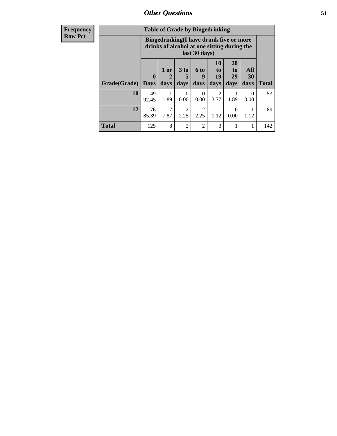| Frequency      | <b>Table of Grade by Bingedrinking</b> |                                                                                                         |              |                         |                              |                        |                               |                   |              |
|----------------|----------------------------------------|---------------------------------------------------------------------------------------------------------|--------------|-------------------------|------------------------------|------------------------|-------------------------------|-------------------|--------------|
| <b>Row Pct</b> |                                        | Bingedrinking(I have drunk five or more<br>drinks of alcohol at one sitting during the<br>last 30 days) |              |                         |                              |                        |                               |                   |              |
|                | Grade(Grade)                           | $\mathbf 0$<br><b>Days</b>                                                                              | 1 or<br>days | 3 <sub>to</sub><br>days | 6 <sup>to</sup><br>9<br>days | 10<br>to<br>19<br>days | <b>20</b><br>to<br>29<br>days | All<br>30<br>days | <b>Total</b> |
|                | <b>10</b>                              | 49<br>92.45                                                                                             | 1.89         | 0<br>0.00               | $\Omega$<br>0.00             | $\mathfrak{D}$<br>3.77 | 1.89                          | $\Omega$<br>0.00  | 53           |
|                | 12                                     | 76<br>85.39                                                                                             | 7.87         | 2<br>2.25               | $\mathfrak{D}$<br>2.25       | 1.12                   | 0<br>0.00                     | 1.12              | 89           |
|                | <b>Total</b>                           | 125                                                                                                     | 8            | $\overline{2}$          | $\overline{2}$               | 3                      |                               |                   | 142          |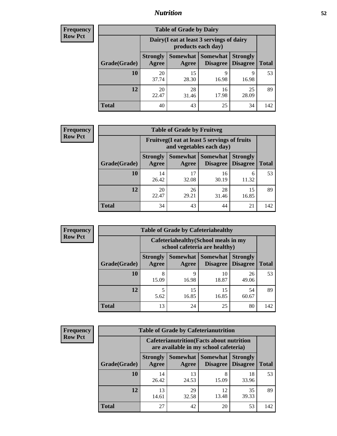## *Nutrition* **52**

| <b>Frequency</b><br>Row Pct |
|-----------------------------|
|                             |

| <b>Table of Grade by Dairy</b> |                                                                                                                      |             |             |             |     |  |  |  |
|--------------------------------|----------------------------------------------------------------------------------------------------------------------|-------------|-------------|-------------|-----|--|--|--|
|                                | Dairy (I eat at least 3 servings of dairy<br>products each day)                                                      |             |             |             |     |  |  |  |
| Grade(Grade)                   | Somewhat  <br><b>Strongly</b><br><b>Somewhat</b><br><b>Strongly</b><br><b>Disagree</b><br>Disagree<br>Agree<br>Agree |             |             |             |     |  |  |  |
| <b>10</b>                      | 20<br>37.74                                                                                                          | 15<br>28.30 | q<br>16.98  | 9<br>16.98  | 53  |  |  |  |
| 12                             | 20<br>22.47                                                                                                          | 28<br>31.46 | 16<br>17.98 | 25<br>28.09 | 89  |  |  |  |
| <b>Total</b>                   | 40                                                                                                                   | 43          | 25          | 34          | 142 |  |  |  |

| <b>Frequency</b> |  |
|------------------|--|
| <b>Row Pct</b>   |  |

| <b>Table of Grade by Fruitveg</b> |                          |                                                                          |                                      |                                    |              |  |  |  |
|-----------------------------------|--------------------------|--------------------------------------------------------------------------|--------------------------------------|------------------------------------|--------------|--|--|--|
|                                   |                          | Fruitveg(I eat at least 5 servings of fruits<br>and vegetables each day) |                                      |                                    |              |  |  |  |
| Grade(Grade)                      | <b>Strongly</b><br>Agree | Agree                                                                    | Somewhat Somewhat<br><b>Disagree</b> | <b>Strongly</b><br><b>Disagree</b> | <b>Total</b> |  |  |  |
| 10                                | 14<br>26.42              | 17<br>32.08                                                              | 16<br>30.19                          | 6<br>11.32                         | 53           |  |  |  |
| 12                                | 20<br>22.47              | 26<br>29.21                                                              | 28<br>31.46                          | 15<br>16.85                        | 89           |  |  |  |
| <b>Total</b>                      | 34                       | 43                                                                       | 44                                   | 21                                 | 142          |  |  |  |

| <b>Frequency</b> | <b>Table of Grade by Cafeteriahealthy</b> |                                                                       |             |                                          |                                    |              |  |  |  |
|------------------|-------------------------------------------|-----------------------------------------------------------------------|-------------|------------------------------------------|------------------------------------|--------------|--|--|--|
| <b>Row Pct</b>   |                                           | Cafeteriahealthy (School meals in my<br>school cafeteria are healthy) |             |                                          |                                    |              |  |  |  |
|                  | Grade(Grade)                              | <b>Strongly</b><br>Agree                                              | Agree       | Somewhat   Somewhat  <br><b>Disagree</b> | <b>Strongly</b><br><b>Disagree</b> | <b>Total</b> |  |  |  |
|                  | 10                                        | 8<br>15.09                                                            | 9<br>16.98  | 10<br>18.87                              | 26<br>49.06                        | 53           |  |  |  |
|                  | 12                                        | 5.62                                                                  | 15<br>16.85 | 15<br>16.85                              | 54<br>60.67                        | 89           |  |  |  |
|                  | Total                                     | 13                                                                    | 24          | 25                                       | 80                                 | 142          |  |  |  |

| <b>Frequency</b> |
|------------------|
| <b>Row Pct</b>   |

| <b>Table of Grade by Cafeterianutrition</b> |              |                          |                                                                                           |                      |                                    |              |  |  |
|---------------------------------------------|--------------|--------------------------|-------------------------------------------------------------------------------------------|----------------------|------------------------------------|--------------|--|--|
|                                             |              |                          | <b>Cafeterianutrition</b> (Facts about nutrition<br>are available in my school cafeteria) |                      |                                    |              |  |  |
|                                             | Grade(Grade) | <b>Strongly</b><br>Agree | Somewhat<br>Agree                                                                         | Somewhat<br>Disagree | <b>Strongly</b><br><b>Disagree</b> | <b>Total</b> |  |  |
|                                             | 10           | 14<br>26.42              | 13<br>24.53                                                                               | 8<br>15.09           | 18<br>33.96                        | 53           |  |  |
|                                             | 12           | 13<br>14.61              | 29<br>32.58                                                                               | 12<br>13.48          | 35<br>39.33                        | 89           |  |  |
|                                             | <b>Total</b> | 27                       | 42                                                                                        | 20                   | 53                                 | 142          |  |  |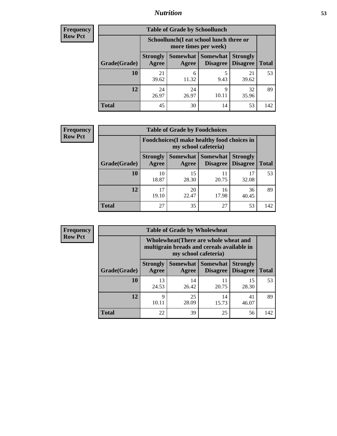## *Nutrition* **53**

| Frequency |
|-----------|
| Row Pct   |

| <b>Table of Grade by Schoollunch</b> |                          |                                                                                                |            |             |     |  |  |
|--------------------------------------|--------------------------|------------------------------------------------------------------------------------------------|------------|-------------|-----|--|--|
|                                      |                          | Schoollunch(I eat school lunch three or<br>more times per week)                                |            |             |     |  |  |
| Grade(Grade)                         | <b>Strongly</b><br>Agree | Somewhat   Somewhat<br><b>Strongly</b><br><b>Disagree</b><br>Disagree<br><b>Total</b><br>Agree |            |             |     |  |  |
| 10                                   | 21<br>39.62              | 6<br>11.32                                                                                     | 5<br>9.43  | 21<br>39.62 | 53  |  |  |
| 12                                   | 24<br>26.97              | 24<br>26.97                                                                                    | 9<br>10.11 | 32<br>35.96 | 89  |  |  |
| <b>Total</b>                         | 45                       | 30                                                                                             | 14         | 53          | 142 |  |  |

| <b>Frequency</b> |  |
|------------------|--|
| <b>Row Pct</b>   |  |

| y | <b>Table of Grade by Foodchoices</b> |                                                                     |                     |                             |                                    |              |  |  |
|---|--------------------------------------|---------------------------------------------------------------------|---------------------|-----------------------------|------------------------------------|--------------|--|--|
|   |                                      | Foodchoices (I make healthy food choices in<br>my school cafeteria) |                     |                             |                                    |              |  |  |
|   | Grade(Grade)                         | <b>Strongly</b><br>Agree                                            | Somewhat  <br>Agree | <b>Somewhat</b><br>Disagree | <b>Strongly</b><br><b>Disagree</b> | <b>Total</b> |  |  |
|   | 10                                   | 10<br>18.87                                                         | 15<br>28.30         | 11<br>20.75                 | 32.08                              | 53           |  |  |
|   | 12                                   | 17<br>19.10                                                         | 20<br>22.47         | 16<br>17.98                 | 36<br>40.45                        | 89           |  |  |
|   | <b>Total</b>                         | 27                                                                  | 35                  | 27                          | 53                                 | 142          |  |  |

| <b>Frequency</b> | <b>Table of Grade by Wholewheat</b> |                          |                                                                                                             |                                      |                                    |              |  |  |
|------------------|-------------------------------------|--------------------------|-------------------------------------------------------------------------------------------------------------|--------------------------------------|------------------------------------|--------------|--|--|
| <b>Row Pct</b>   |                                     |                          | Wholewheat (There are whole wheat and<br>multigrain breads and cereals available in<br>my school cafeteria) |                                      |                                    |              |  |  |
|                  | Grade(Grade)                        | <b>Strongly</b><br>Agree | Agree                                                                                                       | Somewhat Somewhat<br><b>Disagree</b> | <b>Strongly</b><br><b>Disagree</b> | <b>Total</b> |  |  |
|                  | 10                                  | 13<br>24.53              | 14<br>26.42                                                                                                 | 11<br>20.75                          | 15<br>28.30                        | 53           |  |  |
|                  | 12                                  | Q<br>10.11               | 25<br>28.09                                                                                                 | 14<br>15.73                          | 41<br>46.07                        | 89           |  |  |
|                  | <b>Total</b>                        | 22                       | 39                                                                                                          | 25                                   | 56                                 | 142          |  |  |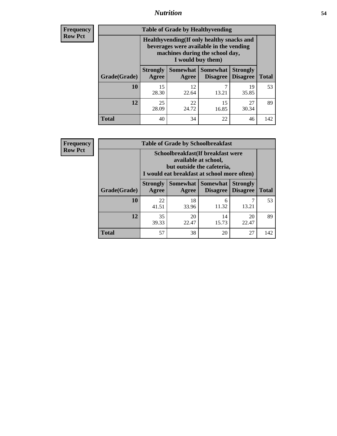## *Nutrition* **54**

**Frequency Row Pct**

| <b>Table of Grade by Healthyvending</b> |                                                                                                                                               |                     |                             |                                    |              |  |  |
|-----------------------------------------|-----------------------------------------------------------------------------------------------------------------------------------------------|---------------------|-----------------------------|------------------------------------|--------------|--|--|
|                                         | Healthyvending (If only healthy snacks and<br>beverages were available in the vending<br>machines during the school day,<br>I would buy them) |                     |                             |                                    |              |  |  |
| Grade(Grade)                            | <b>Strongly</b><br>Agree                                                                                                                      | Somewhat  <br>Agree | <b>Somewhat</b><br>Disagree | <b>Strongly</b><br><b>Disagree</b> | <b>Total</b> |  |  |
| 10                                      | 15<br>28.30                                                                                                                                   | 12<br>22.64         | 7<br>13.21                  | 19<br>35.85                        | 53           |  |  |
| 12                                      | 25<br>28.09                                                                                                                                   | 22<br>24.72         | 15<br>16.85                 | 27<br>30.34                        | 89           |  |  |
| Total                                   | 40                                                                                                                                            | 34                  | 22                          | 46                                 | 142          |  |  |

**Frequency Row Pct**

| <b>Table of Grade by Schoolbreakfast</b> |                                                                                                                                         |             |                                        |                             |              |  |  |
|------------------------------------------|-----------------------------------------------------------------------------------------------------------------------------------------|-------------|----------------------------------------|-----------------------------|--------------|--|--|
|                                          | Schoolbreakfast (If breakfast were<br>available at school,<br>but outside the cafeteria,<br>I would eat breakfast at school more often) |             |                                        |                             |              |  |  |
| Grade(Grade)                             | <b>Strongly</b><br>Agree                                                                                                                | Agree       | Somewhat   Somewhat<br><b>Disagree</b> | <b>Strongly</b><br>Disagree | <b>Total</b> |  |  |
| 10                                       | 22<br>41.51                                                                                                                             | 18<br>33.96 | 6<br>11.32                             | 13.21                       | 53           |  |  |
| 12                                       | 35<br>39.33                                                                                                                             | 20<br>22.47 | 14<br>15.73                            | 20<br>22.47                 | 89           |  |  |
| <b>Total</b>                             | 57                                                                                                                                      | 38          | 20                                     | 27                          | 142          |  |  |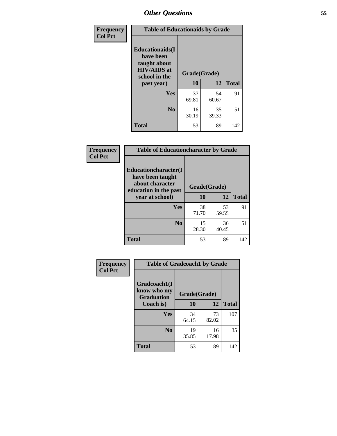| Frequency<br><b>Col Pct</b> | <b>Table of Educationaids by Grade</b>                                                                    |                    |              |     |  |  |
|-----------------------------|-----------------------------------------------------------------------------------------------------------|--------------------|--------------|-----|--|--|
|                             | <b>Educationaids</b> (I<br>have been<br>taught about<br><b>HIV/AIDS</b> at<br>school in the<br>past year) | Grade(Grade)<br>10 | <b>Total</b> |     |  |  |
|                             | Yes                                                                                                       | 37<br>69.81        | 54<br>60.67  | 91  |  |  |
|                             | N <sub>0</sub>                                                                                            | 16<br>30.19        | 35<br>39.33  | 51  |  |  |
|                             | <b>Total</b>                                                                                              | 53                 | 89           | 142 |  |  |

| Frequency      | <b>Table of Educationcharacter by Grade</b>                 |              |             |              |  |  |  |
|----------------|-------------------------------------------------------------|--------------|-------------|--------------|--|--|--|
| <b>Col Pct</b> | Educationcharacter(I<br>have been taught<br>about character |              |             |              |  |  |  |
|                | education in the past                                       | Grade(Grade) |             |              |  |  |  |
|                | year at school)                                             | 10           | 12          | <b>Total</b> |  |  |  |
|                | Yes                                                         | 38<br>71.70  | 53<br>59.55 | 91           |  |  |  |
|                | N <sub>0</sub>                                              | 15<br>28.30  | 36<br>40.45 | 51           |  |  |  |
|                | <b>Total</b>                                                | 53           | 89          | 142          |  |  |  |

| Frequency      | <b>Table of Gradcoach1 by Grade</b> |              |             |              |  |  |
|----------------|-------------------------------------|--------------|-------------|--------------|--|--|
| <b>Col Pct</b> | Gradcoach1(I<br>know who my         | Grade(Grade) |             |              |  |  |
|                | <b>Graduation</b><br>Coach is)      | 10           | 12          | <b>Total</b> |  |  |
|                | Yes                                 | 34<br>64.15  | 73<br>82.02 | 107          |  |  |
|                | N <sub>0</sub>                      | 19<br>35.85  | 16<br>17.98 | 35           |  |  |
|                | <b>Total</b>                        | 53           | 89          | 142          |  |  |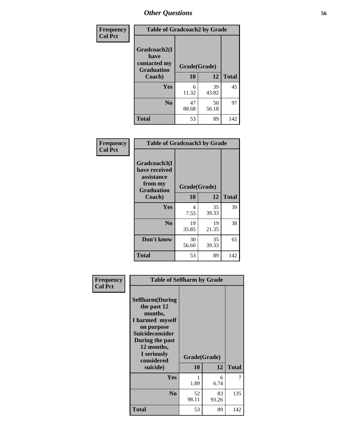| Frequency      | <b>Table of Gradcoach2 by Grade</b> |              |             |              |  |
|----------------|-------------------------------------|--------------|-------------|--------------|--|
| <b>Col Pct</b> | Gradcoach2(I<br>have                |              |             |              |  |
|                | contacted my<br><b>Graduation</b>   | Grade(Grade) |             |              |  |
|                | Coach)                              | 10           | 12          | <b>Total</b> |  |
|                | Yes                                 | 6<br>11.32   | 39<br>43.82 | 45           |  |
|                | N <sub>0</sub>                      | 47<br>88.68  | 50<br>56.18 | 97           |  |
|                | <b>Total</b>                        | 53           | 89          | 142          |  |

| <b>Frequency</b><br><b>Col Pct</b> | <b>Table of Gradcoach3 by Grade</b>                                         |              |             |              |  |
|------------------------------------|-----------------------------------------------------------------------------|--------------|-------------|--------------|--|
|                                    | Gradcoach3(I<br>have received<br>assistance<br>from my<br><b>Graduation</b> | Grade(Grade) |             |              |  |
|                                    | Coach)                                                                      | 10           | 12          | <b>Total</b> |  |
|                                    | Yes                                                                         | 4<br>7.55    | 35<br>39.33 | 39           |  |
|                                    | N <sub>0</sub>                                                              | 19<br>35.85  | 19<br>21.35 | 38           |  |
|                                    | Don't know                                                                  | 30<br>56.60  | 35<br>39.33 | 65           |  |
|                                    | <b>Total</b>                                                                | 53           | 89          | 142          |  |

| Frequency      | <b>Table of Selfharm by Grade</b>                                                                                                                                                      |             |                    |              |  |
|----------------|----------------------------------------------------------------------------------------------------------------------------------------------------------------------------------------|-------------|--------------------|--------------|--|
| <b>Col Pct</b> | <b>Selfharm</b> (During<br>the past 12<br>months,<br>I harmed myself<br>on purpose<br><b>Suicideconsider</b><br>During the past<br>12 months,<br>I seriously<br>considered<br>suicide) | 10          | Grade(Grade)<br>12 | <b>Total</b> |  |
|                | <b>Yes</b>                                                                                                                                                                             | 1.89        | 6<br>6.74          | 7            |  |
|                | N <sub>0</sub>                                                                                                                                                                         | 52<br>98.11 | 83<br>93.26        | 135          |  |
|                | <b>Total</b>                                                                                                                                                                           | 53          | 89                 | 142          |  |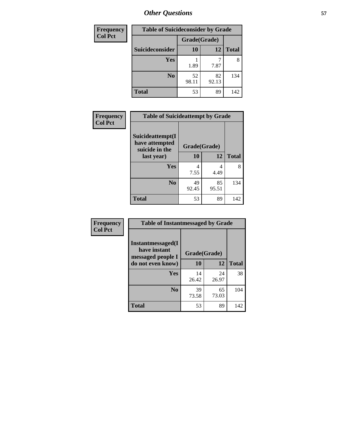| <b>Frequency</b> | <b>Table of Suicideconsider by Grade</b> |              |             |              |  |  |
|------------------|------------------------------------------|--------------|-------------|--------------|--|--|
| <b>Col Pct</b>   |                                          | Grade(Grade) |             |              |  |  |
|                  | Suicideconsider                          | <b>10</b>    | 12          | <b>Total</b> |  |  |
|                  | <b>Yes</b>                               | 1.89         | 7.87        | 8            |  |  |
|                  | N <sub>0</sub>                           | 52<br>98.11  | 82<br>92.13 | 134          |  |  |
|                  | <b>Total</b>                             | 53           | 89          | 142          |  |  |

| Frequency      | <b>Table of Suicideattempt by Grade</b>              |              |             |              |  |
|----------------|------------------------------------------------------|--------------|-------------|--------------|--|
| <b>Col Pct</b> | Suicideattempt(I<br>have attempted<br>suicide in the | Grade(Grade) |             |              |  |
|                | last year)                                           | <b>10</b>    | 12          | <b>Total</b> |  |
|                | Yes                                                  | 4<br>7.55    | 4<br>4.49   | 8            |  |
|                | N <sub>0</sub>                                       | 49<br>92.45  | 85<br>95.51 | 134          |  |
|                | <b>Total</b>                                         | 53           | 89          | 142          |  |

| Frequency      | <b>Table of Instantmessaged by Grade</b>                |              |             |              |  |
|----------------|---------------------------------------------------------|--------------|-------------|--------------|--|
| <b>Col Pct</b> | Instantmessaged(I)<br>have instant<br>messaged people I | Grade(Grade) |             |              |  |
|                | do not even know)                                       | 10           | 12          | <b>Total</b> |  |
|                | Yes                                                     | 14<br>26.42  | 24<br>26.97 | 38           |  |
|                | N <sub>0</sub>                                          | 39<br>73.58  | 65<br>73.03 | 104          |  |
|                | <b>Total</b>                                            | 53           | 89          | 142          |  |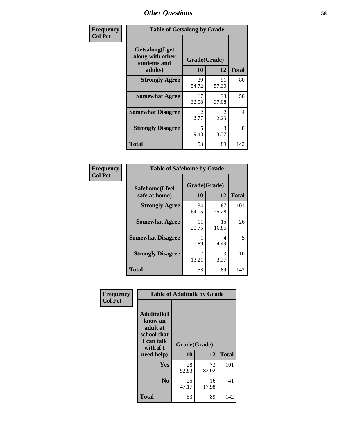| Frequency      | <b>Table of Getsalong by Grade</b>                          |                        |                        |              |  |  |
|----------------|-------------------------------------------------------------|------------------------|------------------------|--------------|--|--|
| <b>Col Pct</b> | <b>Getsalong</b> (I get<br>along with other<br>students and | Grade(Grade)           |                        |              |  |  |
|                | adults)                                                     | <b>10</b>              | 12                     | <b>Total</b> |  |  |
|                | <b>Strongly Agree</b>                                       | 29<br>54.72            | 51<br>57.30            | 80           |  |  |
|                | <b>Somewhat Agree</b>                                       | 17<br>32.08            | 33<br>37.08            | 50           |  |  |
|                | <b>Somewhat Disagree</b>                                    | $\mathfrak{D}$<br>3.77 | $\mathfrak{D}$<br>2.25 | 4            |  |  |
|                | <b>Strongly Disagree</b>                                    | 5<br>9.43              | 3<br>3.37              | 8            |  |  |
|                | <b>Total</b>                                                | 53                     | 89                     | 142          |  |  |

| Frequency      | <b>Table of Safehome by Grade</b> |                    |             |              |  |  |  |
|----------------|-----------------------------------|--------------------|-------------|--------------|--|--|--|
| <b>Col Pct</b> | Safehome(I feel<br>safe at home)  | Grade(Grade)<br>10 | 12          | <b>Total</b> |  |  |  |
|                | <b>Strongly Agree</b>             | 34<br>64.15        | 67<br>75.28 | 101          |  |  |  |
|                | <b>Somewhat Agree</b>             | 11<br>20.75        | 15<br>16.85 | 26           |  |  |  |
|                | <b>Somewhat Disagree</b>          | 1.89               | 4<br>4.49   | 5            |  |  |  |
|                | <b>Strongly Disagree</b>          | 7<br>13.21         | 3<br>3.37   | 10           |  |  |  |
|                | <b>Total</b>                      | 53                 | 89          | 142          |  |  |  |

| Frequency      | <b>Table of Adulttalk by Grade</b>                                                   |              |             |              |  |
|----------------|--------------------------------------------------------------------------------------|--------------|-------------|--------------|--|
| <b>Col Pct</b> | <b>Adulttalk</b> (I<br>know an<br>adult at<br>school that<br>I can talk<br>with if I | Grade(Grade) |             |              |  |
|                | need help)                                                                           | 10           | 12          | <b>Total</b> |  |
|                | <b>Yes</b>                                                                           | 28<br>52.83  | 73<br>82.02 | 101          |  |
|                | N <sub>0</sub>                                                                       | 25<br>47.17  | 16<br>17.98 | 41           |  |
|                | <b>Total</b>                                                                         | 53           | 89          | 142          |  |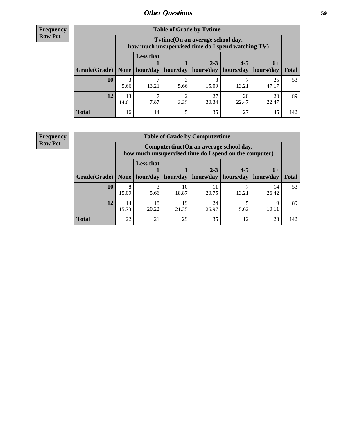**Frequency Row Pct**

| <b>Table of Grade by Tytime</b> |             |                                                                                         |           |                                                                    |             |             |              |
|---------------------------------|-------------|-----------------------------------------------------------------------------------------|-----------|--------------------------------------------------------------------|-------------|-------------|--------------|
|                                 |             | Tvtime (On an average school day,<br>how much unsupervised time do I spend watching TV) |           |                                                                    |             |             |              |
| Grade(Grade)   None             |             | <b>Less that</b>                                                                        |           | $2 - 3$<br>hour/day   hour/day   hours/day   hours/day   hours/day | $4 - 5$     | $6+$        | <b>Total</b> |
| <b>10</b>                       | 3<br>5.66   | 13.21                                                                                   | 5.66      | 15.09                                                              | 13.21       | 25<br>47.17 | 53           |
| 12                              | 13<br>14.61 | 7.87                                                                                    | ◠<br>2.25 | 27<br>30.34                                                        | 20<br>22.47 | 20<br>22.47 | 89           |
| <b>Total</b>                    | 16          | 14                                                                                      |           | 35                                                                 | 27          | 45          | 142          |

**Frequency Row Pct**

| <b>Table of Grade by Computertime</b> |             |                                                                                                   |             |                      |                      |                   |              |
|---------------------------------------|-------------|---------------------------------------------------------------------------------------------------|-------------|----------------------|----------------------|-------------------|--------------|
|                                       |             | Computertime (On an average school day,<br>how much unsupervised time do I spend on the computer) |             |                      |                      |                   |              |
| Grade(Grade)                          | None        | <b>Less that</b><br>hour/day                                                                      | hour/day    | $2 - 3$<br>hours/day | $4 - 5$<br>hours/day | $6+$<br>hours/day | <b>Total</b> |
| 10                                    | 8<br>15.09  | 3<br>5.66                                                                                         | 10<br>18.87 | 11<br>20.75          | 13.21                | 14<br>26.42       | 53           |
| 12                                    | 14<br>15.73 | 18<br>20.22                                                                                       | 19<br>21.35 | 24<br>26.97          | 5.62                 | Q<br>10.11        | 89           |
| <b>Total</b>                          | 22          | 21                                                                                                | 29          | 35                   | 12                   | 23                | 142          |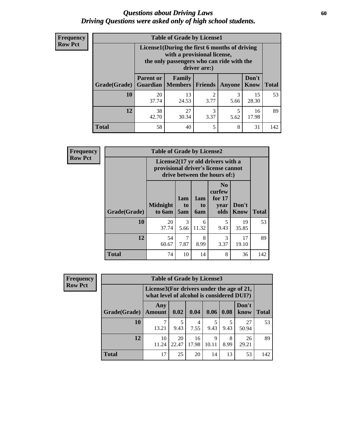### *Questions about Driving Laws* **60** *Driving Questions were asked only of high school students.*

| <b>Frequency</b> |
|------------------|
| <b>Row Pct</b>   |

| <b>Table of Grade by License1</b> |                  |                                                                                                                                           |           |           |                      |              |  |  |  |
|-----------------------------------|------------------|-------------------------------------------------------------------------------------------------------------------------------------------|-----------|-----------|----------------------|--------------|--|--|--|
|                                   |                  | License1(During the first 6 months of driving<br>with a provisional license,<br>the only passengers who can ride with the<br>driver are:) |           |           |                      |              |  |  |  |
| <b>Grade</b> (Grade)              | <b>Parent or</b> | Family<br><b>Guardian   Members   Friends</b>                                                                                             |           | Anyone    | Don't<br><b>Know</b> | <b>Total</b> |  |  |  |
| <b>10</b>                         | 20<br>37.74      | 13<br>24.53                                                                                                                               | 2<br>3.77 | 3<br>5.66 | 15<br>28.30          | 53           |  |  |  |
| 12                                | 38<br>42.70      | 27<br>30.34                                                                                                                               | 3<br>3.37 | 5<br>5.62 | 16<br>17.98          | 89           |  |  |  |
| <b>Total</b>                      | 58               | 40                                                                                                                                        | 5         | 8         | 31                   | 142          |  |  |  |

| Frequency      |              | <b>Table of Grade by License2</b>                                                                        |                  |                         |                                                      |                      |              |  |  |
|----------------|--------------|----------------------------------------------------------------------------------------------------------|------------------|-------------------------|------------------------------------------------------|----------------------|--------------|--|--|
| <b>Row Pct</b> |              | License2(17 yr old drivers with a<br>provisional driver's license cannot<br>drive between the hours of:) |                  |                         |                                                      |                      |              |  |  |
|                | Grade(Grade) | <b>Midnight</b><br>to 6am                                                                                | 1am<br>to<br>5am | 1am<br>to<br><b>6am</b> | N <sub>0</sub><br>curfew<br>for $17$<br>year<br>olds | Don't<br><b>Know</b> | <b>Total</b> |  |  |
|                | 10           | 20<br>37.74                                                                                              | 3<br>5.66        | 6<br>11.32              | 5<br>9.43                                            | 19<br>35.85          | 53           |  |  |
|                | 12           | 54<br>60.67                                                                                              | 7<br>7.87        | 8<br>8.99               | 3<br>3.37                                            | 17<br>19.10          | 89           |  |  |
|                | <b>Total</b> | 74                                                                                                       | 10               | 14                      | 8                                                    | 36                   | 142          |  |  |

| Frequency      |              | <b>Table of Grade by License3</b>                                                      |             |             |            |           |               |              |
|----------------|--------------|----------------------------------------------------------------------------------------|-------------|-------------|------------|-----------|---------------|--------------|
| <b>Row Pct</b> |              | License3(For drivers under the age of 21,<br>what level of alcohol is considered DUI?) |             |             |            |           |               |              |
|                | Grade(Grade) | Any<br><b>Amount</b>                                                                   | 0.02        | 0.04        | 0.06       | 0.08      | Don't<br>know | <b>Total</b> |
|                | <b>10</b>    | 13.21                                                                                  | 9.43        | 4<br>7.55   | 5<br>9.43  | 9.43      | 27<br>50.94   | 53           |
|                | 12           | 10<br>11.24                                                                            | 20<br>22.47 | 16<br>17.98 | 9<br>10.11 | 8<br>8.99 | 26<br>29.21   | 89           |
|                | <b>Total</b> | 17                                                                                     | 25          | 20          | 14         | 13        | 53            | 142          |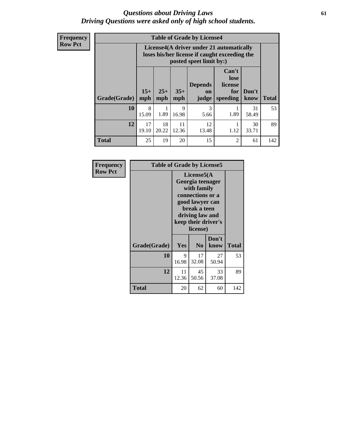### *Questions about Driving Laws* **61** *Driving Questions were asked only of high school students.*

**Frequency Row Pct**

| <b>Table of Grade by License4</b> |              |                                                                                                                                                                                                                                                                       |             |                       |      |             |     |  |
|-----------------------------------|--------------|-----------------------------------------------------------------------------------------------------------------------------------------------------------------------------------------------------------------------------------------------------------------------|-------------|-----------------------|------|-------------|-----|--|
|                                   |              | License4(A driver under 21 automatically<br>loses his/her license if caught exceeding the<br>posted speet limit by:)<br>Can't<br>lose<br><b>Depends</b><br>license<br>$25+$<br>$35+$<br>Don't<br>for<br>on<br><b>Total</b><br>mph<br>mph<br>speeding<br>know<br>judge |             |                       |      |             |     |  |
| Grade(Grade)                      | $15+$<br>mph |                                                                                                                                                                                                                                                                       |             |                       |      |             |     |  |
| 10                                | 8<br>15.09   | 1.89                                                                                                                                                                                                                                                                  | 9<br>16.98  | $\mathcal{R}$<br>5.66 | 1.89 | 31<br>58.49 | 53  |  |
| 12                                | 17<br>19.10  | 18<br>20.22                                                                                                                                                                                                                                                           | 11<br>12.36 | 12<br>13.48           | 1.12 | 30<br>33.71 | 89  |  |
| <b>Total</b>                      | 25           | 19                                                                                                                                                                                                                                                                    | 20          | 15                    | 2    | 61          | 142 |  |

| Frequency      |              | <b>Table of Grade by License5</b> |                                                                                                                                      |                     |              |  |  |
|----------------|--------------|-----------------------------------|--------------------------------------------------------------------------------------------------------------------------------------|---------------------|--------------|--|--|
| <b>Row Pct</b> |              |                                   | License5(A)<br>Georgia teenager<br>with family<br>connections or a<br>good lawyer can<br>break a teen<br>driving law and<br>license) | keep their driver's |              |  |  |
|                | Grade(Grade) | Yes                               | N <sub>0</sub>                                                                                                                       | Don't<br>know       | <b>Total</b> |  |  |
|                | 10           | 9<br>16.98                        | 17<br>32.08                                                                                                                          | 27<br>50.94         | 53           |  |  |
|                | 12           | 11<br>12.36                       | 45<br>50.56                                                                                                                          | 33<br>37.08         | 89           |  |  |
|                | Total        | 20                                | 62                                                                                                                                   | 60                  | 142          |  |  |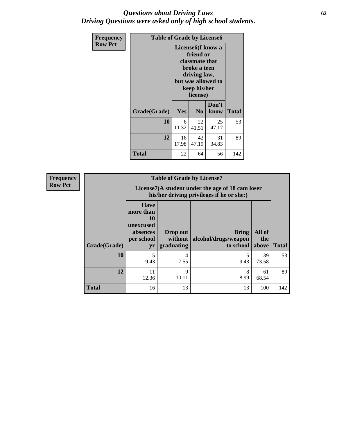## *Questions about Driving Laws* **62** *Driving Questions were asked only of high school students.*

| <b>Frequency</b> | <b>Table of Grade by License6</b> |             |                                                                                                                                                 |               |              |
|------------------|-----------------------------------|-------------|-------------------------------------------------------------------------------------------------------------------------------------------------|---------------|--------------|
| <b>Row Pct</b>   |                                   |             | License <sub>6</sub> (I know a<br>friend or<br>classmate that<br>broke a teen<br>driving law,<br>but was allowed to<br>keep his/her<br>license) |               |              |
|                  | Grade(Grade)                      | Yes         | N <sub>0</sub>                                                                                                                                  | Don't<br>know | <b>Total</b> |
|                  | 10                                | 6<br>11.32  | 22<br>41.51                                                                                                                                     | 25<br>47.17   | 53           |
|                  | 12                                | 16<br>17.98 | 42<br>47.19                                                                                                                                     | 31<br>34.83   | 89           |
|                  | <b>Total</b>                      | 22          | 64                                                                                                                                              | 56            | 142          |

| <b>Frequency</b> | <b>Table of Grade by License7</b> |                                                                             |                                   |                                                                                               |                        |              |  |  |
|------------------|-----------------------------------|-----------------------------------------------------------------------------|-----------------------------------|-----------------------------------------------------------------------------------------------|------------------------|--------------|--|--|
| <b>Row Pct</b>   |                                   |                                                                             |                                   | License7(A student under the age of 18 cam loser<br>his/her driving privileges if he or she:) |                        |              |  |  |
|                  | Grade(Grade)                      | <b>Have</b><br>more than<br>10<br>unexcused<br>absences<br>per school<br>yr | Drop out<br>without<br>graduating | Bring<br>alcohol/drugs/weapon<br>to school                                                    | All of<br>the<br>above | <b>Total</b> |  |  |
|                  | 10                                | 5<br>9.43                                                                   | 4<br>7.55                         | 9.43                                                                                          | 39<br>73.58            | 53           |  |  |
|                  | 12                                | 11<br>12.36                                                                 | 9<br>10.11                        | 8<br>8.99                                                                                     | 61<br>68.54            | 89           |  |  |
|                  | <b>Total</b>                      | 16                                                                          | 13                                | 13                                                                                            | 100                    | 142          |  |  |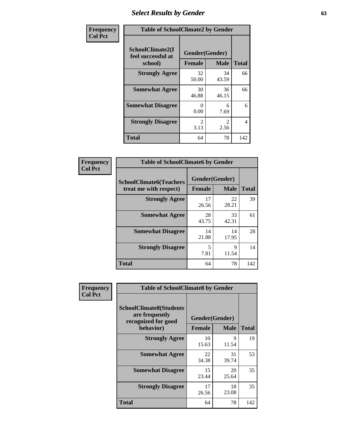# *Select Results by Gender* **63**

| Frequency      |                                                   | <b>Table of SchoolClimate2 by Gender</b> |                       |              |  |  |  |
|----------------|---------------------------------------------------|------------------------------------------|-----------------------|--------------|--|--|--|
| <b>Col Pct</b> | SchoolClimate2(I<br>feel successful at<br>school) | Gender(Gender)<br><b>Female</b>          | <b>Male</b>           | <b>Total</b> |  |  |  |
|                | <b>Strongly Agree</b>                             | 32<br>50.00                              | 34<br>43.59           | 66           |  |  |  |
|                | <b>Somewhat Agree</b>                             | 30<br>46.88                              | 36<br>46.15           | 66           |  |  |  |
|                | <b>Somewhat Disagree</b>                          | $\mathbf{0}$<br>0.00                     | 6<br>7.69             | 6            |  |  |  |
|                | <b>Strongly Disagree</b>                          | $\mathcal{L}$<br>3.13                    | $\mathcal{L}$<br>2.56 | 4            |  |  |  |
|                | <b>Total</b>                                      | 64                                       | 78                    | 142          |  |  |  |

| <b>Frequency</b> | <b>Table of SchoolClimate6 by Gender</b> |                |             |              |
|------------------|------------------------------------------|----------------|-------------|--------------|
| <b>Col Pct</b>   | <b>SchoolClimate6(Teachers</b>           | Gender(Gender) |             |              |
|                  | treat me with respect)                   | Female         | <b>Male</b> | <b>Total</b> |
|                  | <b>Strongly Agree</b>                    | 17<br>26.56    | 22<br>28.21 | 39           |
|                  | <b>Somewhat Agree</b>                    | 28<br>43.75    | 33<br>42.31 | 61           |
|                  | <b>Somewhat Disagree</b>                 | 14<br>21.88    | 14<br>17.95 | 28           |
|                  | <b>Strongly Disagree</b>                 | 5<br>7.81      | 9<br>11.54  | 14           |
|                  | <b>Total</b>                             | 64             | 78          | 142          |

| <b>Frequency</b> | <b>Table of SchoolClimate8 by Gender</b>                                             |               |                               |              |
|------------------|--------------------------------------------------------------------------------------|---------------|-------------------------------|--------------|
| <b>Col Pct</b>   | <b>SchoolClimate8(Students</b><br>are frequently<br>recognized for good<br>behavior) | <b>Female</b> | Gender(Gender)<br><b>Male</b> | <b>Total</b> |
|                  | <b>Strongly Agree</b>                                                                | 10<br>15.63   | 9<br>11.54                    | 19           |
|                  | <b>Somewhat Agree</b>                                                                | 22<br>34.38   | 31<br>39.74                   | 53           |
|                  | <b>Somewhat Disagree</b>                                                             | 15<br>23.44   | 20<br>25.64                   | 35           |
|                  | <b>Strongly Disagree</b>                                                             | 17<br>26.56   | 18<br>23.08                   | 35           |
|                  | Total                                                                                | 64            | 78                            | 142          |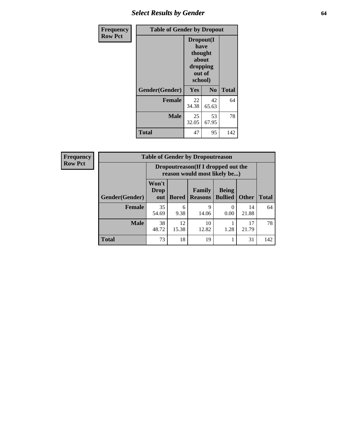# *Select Results by Gender* **64**

| <b>Frequency</b> | <b>Table of Gender by Dropout</b> |                                                                        |                |              |  |
|------------------|-----------------------------------|------------------------------------------------------------------------|----------------|--------------|--|
| <b>Row Pct</b>   |                                   | Dropout(I<br>have<br>thought<br>about<br>dropping<br>out of<br>school) |                |              |  |
|                  | Gender(Gender)                    | Yes                                                                    | N <sub>0</sub> | <b>Total</b> |  |
|                  | <b>Female</b>                     | 22<br>34.38                                                            | 42<br>65.63    | 64           |  |
|                  | <b>Male</b>                       | 25<br>32.05                                                            | 53<br>67.95    | 78           |  |
|                  | <b>Total</b>                      | 47                                                                     | 95             | 142          |  |

| <b>Frequency</b> |                | <b>Table of Gender by Dropoutreason</b> |              |                                                                     |                                |              |              |  |
|------------------|----------------|-----------------------------------------|--------------|---------------------------------------------------------------------|--------------------------------|--------------|--------------|--|
| <b>Row Pct</b>   |                |                                         |              | Dropoutreason (If I dropped out the<br>reason would most likely be) |                                |              |              |  |
|                  | Gender(Gender) | Won't<br><b>Drop</b><br>out             | <b>Bored</b> | Family<br><b>Reasons</b>                                            | <b>Being</b><br><b>Bullied</b> | <b>Other</b> | <b>Total</b> |  |
|                  | <b>Female</b>  | 35<br>54.69                             | 6<br>9.38    | 9<br>14.06                                                          | 0.00                           | 14<br>21.88  | 64           |  |
|                  | <b>Male</b>    | 38<br>48.72                             | 12<br>15.38  | 10<br>12.82                                                         | 1.28                           | 17<br>21.79  | 78           |  |
|                  | <b>Total</b>   | 73                                      | 18           | 19                                                                  |                                | 31           | 142          |  |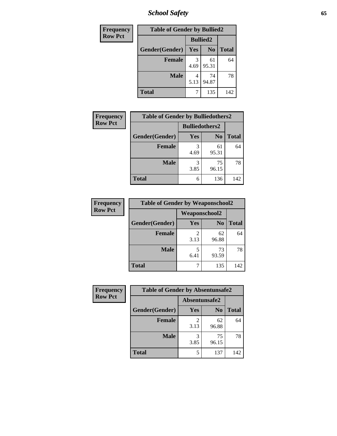*School Safety* **65**

| Frequency      | <b>Table of Gender by Bullied2</b> |                 |                |              |
|----------------|------------------------------------|-----------------|----------------|--------------|
| <b>Row Pct</b> |                                    | <b>Bullied2</b> |                |              |
|                | Gender(Gender)                     | <b>Yes</b>      | N <sub>0</sub> | <b>Total</b> |
|                | <b>Female</b>                      | 3<br>4.69       | 61<br>95.31    | 64           |
|                | <b>Male</b>                        | 5.13            | 74<br>94.87    | 78           |
|                | <b>Total</b>                       |                 | 135            | 142          |

| Frequency      | <b>Table of Gender by Bulliedothers2</b> |                       |                |              |
|----------------|------------------------------------------|-----------------------|----------------|--------------|
| <b>Row Pct</b> |                                          | <b>Bulliedothers2</b> |                |              |
|                | Gender(Gender)                           | Yes                   | N <sub>0</sub> | <b>Total</b> |
|                | <b>Female</b>                            | 3<br>4.69             | 61<br>95.31    | 64           |
|                | <b>Male</b>                              | 3<br>3.85             | 75<br>96.15    | 78           |
|                | Total                                    | 6                     | 136            | 142          |

| Frequency      | <b>Table of Gender by Weaponschool2</b> |                      |                |              |
|----------------|-----------------------------------------|----------------------|----------------|--------------|
| <b>Row Pct</b> |                                         | <b>Weaponschool2</b> |                |              |
|                | Gender(Gender)                          | Yes                  | N <sub>0</sub> | <b>Total</b> |
|                | <b>Female</b>                           | 3.13                 | 62<br>96.88    | 64           |
|                | <b>Male</b>                             | 5<br>6.41            | 73<br>93.59    | 78           |
|                | <b>Total</b>                            |                      | 135            | 142          |

| Frequency      | <b>Table of Gender by Absentunsafe2</b> |               |                |              |
|----------------|-----------------------------------------|---------------|----------------|--------------|
| <b>Row Pct</b> |                                         | Absentunsafe2 |                |              |
|                | Gender(Gender)                          | Yes           | N <sub>0</sub> | <b>Total</b> |
|                | <b>Female</b>                           | 3.13          | 62<br>96.88    | 64           |
|                | <b>Male</b>                             | 3.85          | 75<br>96.15    | 78           |
|                | <b>Total</b>                            |               | 137            | 142          |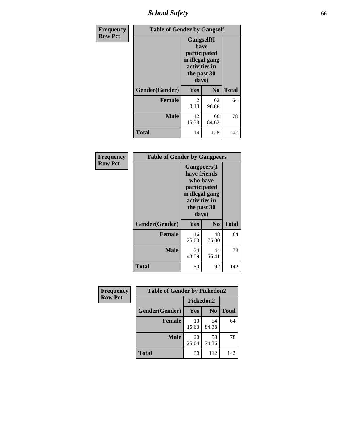*School Safety* **66**

| Frequency      | <b>Table of Gender by Gangself</b> |                                                                                                        |                |              |
|----------------|------------------------------------|--------------------------------------------------------------------------------------------------------|----------------|--------------|
| <b>Row Pct</b> |                                    | <b>Gangself</b> (I<br>have<br>participated<br>in illegal gang<br>activities in<br>the past 30<br>days) |                |              |
|                | Gender(Gender)                     | Yes                                                                                                    | N <sub>0</sub> | <b>Total</b> |
|                | <b>Female</b>                      | 2<br>3.13                                                                                              | 62<br>96.88    | 64           |
|                | <b>Male</b>                        | 12<br>15.38                                                                                            | 66<br>84.62    | 78           |
|                | <b>Total</b>                       | 14                                                                                                     | 128            | 142          |

| Frequency      | <b>Table of Gender by Gangpeers</b> |                                                                                                                             |                |              |
|----------------|-------------------------------------|-----------------------------------------------------------------------------------------------------------------------------|----------------|--------------|
| <b>Row Pct</b> |                                     | <b>Gangpeers</b> (I<br>have friends<br>who have<br>participated<br>in illegal gang<br>activities in<br>the past 30<br>days) |                |              |
|                | Gender(Gender)                      | <b>Yes</b>                                                                                                                  | N <sub>0</sub> | <b>Total</b> |
|                | <b>Female</b>                       | 16<br>25.00                                                                                                                 | 48<br>75.00    | 64           |
|                | <b>Male</b>                         | 34<br>43.59                                                                                                                 | 44<br>56.41    | 78           |
|                | <b>Total</b>                        | 50                                                                                                                          | 92             | 142          |

| Frequency      | <b>Table of Gender by Pickedon2</b> |                  |                |              |
|----------------|-------------------------------------|------------------|----------------|--------------|
| <b>Row Pct</b> |                                     | <b>Pickedon2</b> |                |              |
|                | Gender(Gender)                      | <b>Yes</b>       | N <sub>0</sub> | <b>Total</b> |
|                | <b>Female</b>                       | 10<br>15.63      | 54<br>84.38    | 64           |
|                | <b>Male</b>                         | 20<br>25.64      | 58<br>74.36    | 78           |
|                | <b>Total</b>                        | 30               | 112            | 142          |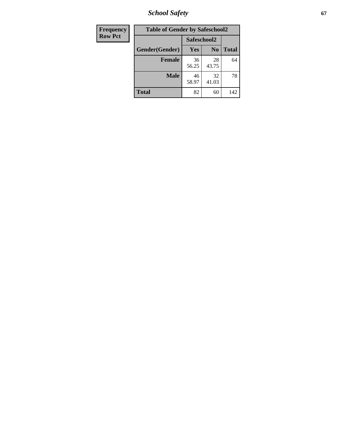*School Safety* **67**

| <b>Frequency</b> | <b>Table of Gender by Safeschool2</b> |             |                |              |
|------------------|---------------------------------------|-------------|----------------|--------------|
| <b>Row Pct</b>   |                                       | Safeschool2 |                |              |
|                  | Gender(Gender)                        | Yes         | N <sub>0</sub> | <b>Total</b> |
|                  | <b>Female</b>                         | 36<br>56.25 | 28<br>43.75    | 64           |
|                  | <b>Male</b>                           | 46<br>58.97 | 32<br>41.03    | 78           |
|                  | <b>Total</b>                          | 82          | 60             | 142          |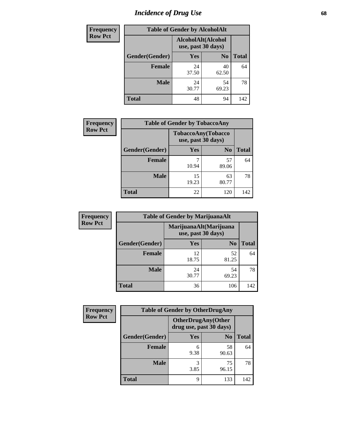# *Incidence of Drug Use* 68

| <b>Frequency</b> | <b>Table of Gender by AlcoholAlt</b> |                                          |                |              |
|------------------|--------------------------------------|------------------------------------------|----------------|--------------|
| <b>Row Pct</b>   |                                      | AlcoholAlt(Alcohol<br>use, past 30 days) |                |              |
|                  | Gender(Gender)                       | <b>Yes</b>                               | N <sub>0</sub> | <b>Total</b> |
|                  | <b>Female</b>                        | 24<br>37.50                              | 40<br>62.50    | 64           |
|                  | <b>Male</b>                          | 24<br>30.77                              | 54<br>69.23    | 78           |
|                  | <b>Total</b>                         | 48                                       | 94             | 142          |

| Frequency      | <b>Table of Gender by TobaccoAny</b> |                                          |                |              |
|----------------|--------------------------------------|------------------------------------------|----------------|--------------|
| <b>Row Pct</b> |                                      | TobaccoAny(Tobacco<br>use, past 30 days) |                |              |
|                | Gender(Gender)                       | Yes                                      | N <sub>0</sub> | <b>Total</b> |
|                | <b>Female</b>                        | 10.94                                    | 57<br>89.06    | 64           |
|                | <b>Male</b>                          | 15<br>19.23                              | 63<br>80.77    | 78           |
|                | <b>Total</b>                         | 22                                       | 120            | 142          |

| <b>Frequency</b> | <b>Table of Gender by MarijuanaAlt</b> |                    |                        |              |
|------------------|----------------------------------------|--------------------|------------------------|--------------|
| <b>Row Pct</b>   |                                        | use, past 30 days) | MarijuanaAlt(Marijuana |              |
|                  | Gender(Gender)                         | <b>Yes</b>         | N <sub>0</sub>         | <b>Total</b> |
|                  | Female                                 | 12<br>18.75        | 52<br>81.25            | 64           |
|                  | <b>Male</b>                            | 24<br>30.77        | 54<br>69.23            | 78           |
|                  | <b>Total</b>                           | 36                 | 106                    | 142          |

| <b>Frequency</b> | <b>Table of Gender by OtherDrugAny</b> |                                                      |                |              |
|------------------|----------------------------------------|------------------------------------------------------|----------------|--------------|
| <b>Row Pct</b>   |                                        | <b>OtherDrugAny(Other</b><br>drug use, past 30 days) |                |              |
|                  | Gender(Gender)                         | <b>Yes</b>                                           | N <sub>0</sub> | <b>Total</b> |
|                  | <b>Female</b>                          | 6<br>9.38                                            | 58<br>90.63    | 64           |
|                  | <b>Male</b>                            | 3<br>3.85                                            | 75<br>96.15    | 78           |
|                  | <b>Total</b>                           | 9                                                    | 133            | 142          |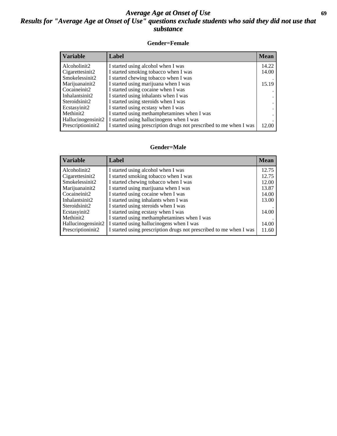## *Average Age at Onset of Use* **69** *Results for "Average Age at Onset of Use" questions exclude students who said they did not use that substance*

### **Gender=Female**

| Variable           | Label                                                              | <b>Mean</b> |
|--------------------|--------------------------------------------------------------------|-------------|
| Alcoholinit2       | I started using alcohol when I was                                 | 14.22       |
| Cigarettesinit2    | I started smoking tobacco when I was                               | 14.00       |
| Smokelessinit2     | I started chewing tobacco when I was                               |             |
| Marijuanainit2     | I started using marijuana when I was                               | 15.19       |
| Cocaineinit2       | I started using cocaine when I was                                 |             |
| Inhalantsinit2     | I started using inhalants when I was                               |             |
| Steroidsinit2      | I started using steroids when I was                                |             |
| Ecstasyinit2       | I started using ecstasy when I was                                 |             |
| Methinit2          | I started using methamphetamines when I was                        |             |
| Hallucinogensinit2 | I started using hallucinogens when I was                           |             |
| Prescription in t2 | I started using prescription drugs not prescribed to me when I was | 12.00       |

#### **Gender=Male**

| <b>Variable</b>    | Label                                                              | <b>Mean</b> |
|--------------------|--------------------------------------------------------------------|-------------|
| Alcoholinit2       | I started using alcohol when I was                                 | 12.75       |
| Cigarettesinit2    | I started smoking tobacco when I was                               | 12.75       |
| Smokelessinit2     | I started chewing tobacco when I was                               | 12.00       |
| Marijuanainit2     | I started using marijuana when I was                               | 13.87       |
| Cocaineinit2       | I started using cocaine when I was                                 | 14.00       |
| Inhalantsinit2     | I started using inhalants when I was                               | 13.00       |
| Steroidsinit2      | I started using steroids when I was                                |             |
| Ecstasyinit2       | I started using ecstasy when I was                                 | 14.00       |
| Methinit2          | I started using methamphetamines when I was                        |             |
| Hallucinogensinit2 | I started using hallucinogens when I was                           | 14.00       |
| Prescriptioninit2  | I started using prescription drugs not prescribed to me when I was | 11.60       |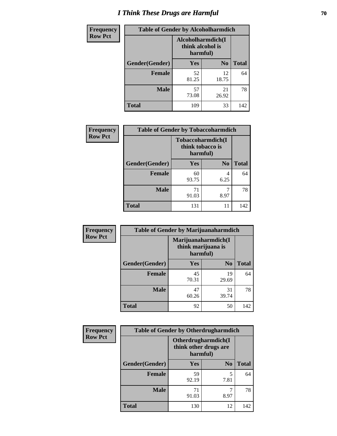# *I Think These Drugs are Harmful* **70**

| <b>Frequency</b> | <b>Table of Gender by Alcoholharmdich</b> |                                                   |                |              |
|------------------|-------------------------------------------|---------------------------------------------------|----------------|--------------|
| <b>Row Pct</b>   |                                           | Alcoholharmdich(I<br>think alcohol is<br>harmful) |                |              |
|                  | Gender(Gender)                            | Yes                                               | N <sub>0</sub> | <b>Total</b> |
|                  | <b>Female</b>                             | 52<br>81.25                                       | 12<br>18.75    | 64           |
|                  | <b>Male</b>                               | 57<br>73.08                                       | 21<br>26.92    | 78           |
|                  | <b>Total</b>                              | 109                                               | 33             | 142          |

| Frequency      | <b>Table of Gender by Tobaccoharmdich</b> |                  |                               |              |
|----------------|-------------------------------------------|------------------|-------------------------------|--------------|
| <b>Row Pct</b> |                                           | think tobacco is | Tobaccoharmdich(I<br>harmful) |              |
|                | Gender(Gender)                            | <b>Yes</b>       | N <sub>0</sub>                | <b>Total</b> |
|                | <b>Female</b>                             | 60<br>93.75      | 4<br>6.25                     | 64           |
|                | <b>Male</b>                               | 71<br>91.03      | 8.97                          | 78           |
|                | <b>Total</b>                              | 131              | 11                            | 142          |

| Frequency      | <b>Table of Gender by Marijuanaharmdich</b> |                                |                     |              |
|----------------|---------------------------------------------|--------------------------------|---------------------|--------------|
| <b>Row Pct</b> |                                             | think marijuana is<br>harmful) | Marijuanaharmdich(I |              |
|                | Gender(Gender)                              | <b>Yes</b>                     | N <sub>0</sub>      | <b>Total</b> |
|                | <b>Female</b>                               | 45<br>70.31                    | 19<br>29.69         | 64           |
|                | <b>Male</b>                                 | 47<br>60.26                    | 31<br>39.74         | 78           |
|                | <b>Total</b>                                | 92                             | 50                  | 142          |

| Frequency      | <b>Table of Gender by Otherdrugharmdich</b> |                                                          |                |              |
|----------------|---------------------------------------------|----------------------------------------------------------|----------------|--------------|
| <b>Row Pct</b> |                                             | Otherdrugharmdich(I<br>think other drugs are<br>harmful) |                |              |
|                | Gender(Gender)                              | <b>Yes</b>                                               | N <sub>0</sub> | <b>Total</b> |
|                | <b>Female</b>                               | 59<br>92.19                                              | 5<br>7.81      | 64           |
|                | <b>Male</b>                                 | 71<br>91.03                                              | ┑<br>8.97      | 78           |
|                | <b>Total</b>                                | 130                                                      | 12             | 142          |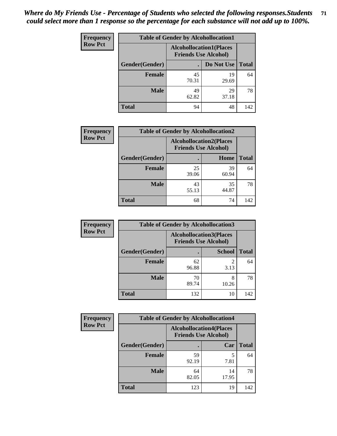| <b>Frequency</b> | <b>Table of Gender by Alcohollocation1</b> |                                                               |             |              |
|------------------|--------------------------------------------|---------------------------------------------------------------|-------------|--------------|
| <b>Row Pct</b>   |                                            | <b>Alcohollocation1(Places</b><br><b>Friends Use Alcohol)</b> |             |              |
|                  | Gender(Gender)                             |                                                               | Do Not Use  | <b>Total</b> |
|                  | <b>Female</b>                              | 45<br>70.31                                                   | 19<br>29.69 | 64           |
|                  | <b>Male</b>                                | 49<br>62.82                                                   | 29<br>37.18 | 78           |
|                  | Total                                      | 94                                                            | 48          | 142          |

| <b>Frequency</b> | <b>Table of Gender by Alcohollocation2</b> |                                                               |             |              |
|------------------|--------------------------------------------|---------------------------------------------------------------|-------------|--------------|
| <b>Row Pct</b>   |                                            | <b>Alcohollocation2(Places</b><br><b>Friends Use Alcohol)</b> |             |              |
|                  | Gender(Gender)                             |                                                               | Home        | <b>Total</b> |
|                  | <b>Female</b>                              | 25<br>39.06                                                   | 39<br>60.94 | 64           |
|                  | <b>Male</b>                                | 43<br>55.13                                                   | 35<br>44.87 | 78           |
|                  | <b>Total</b>                               | 68                                                            | 74          | 142          |

| Frequency      | <b>Table of Gender by Alcohollocation3</b> |             |                                                               |              |
|----------------|--------------------------------------------|-------------|---------------------------------------------------------------|--------------|
| <b>Row Pct</b> |                                            |             | <b>Alcohollocation3(Places</b><br><b>Friends Use Alcohol)</b> |              |
|                | Gender(Gender)                             |             | <b>School</b>                                                 | <b>Total</b> |
|                | <b>Female</b>                              | 62<br>96.88 | 2<br>3.13                                                     | 64           |
|                | <b>Male</b>                                | 70<br>89.74 | 8<br>10.26                                                    | 78           |
|                | <b>Total</b>                               | 132         | 10                                                            | 142          |

| Frequency      |                | <b>Table of Gender by Alcohollocation4</b>                    |             |              |
|----------------|----------------|---------------------------------------------------------------|-------------|--------------|
| <b>Row Pct</b> |                | <b>Alcohollocation4(Places</b><br><b>Friends Use Alcohol)</b> |             |              |
|                | Gender(Gender) |                                                               | Car         | <b>Total</b> |
|                | <b>Female</b>  | 59<br>92.19                                                   | 5<br>7.81   | 64           |
|                | <b>Male</b>    | 64<br>82.05                                                   | 14<br>17.95 | 78           |
|                | <b>Total</b>   | 123                                                           | 19          | 142          |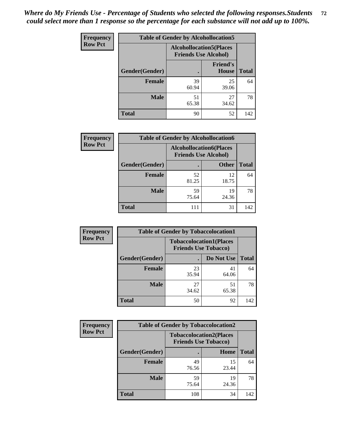| <b>Frequency</b> | <b>Table of Gender by Alcohollocation5</b> |                                                                |                          |              |
|------------------|--------------------------------------------|----------------------------------------------------------------|--------------------------|--------------|
| <b>Row Pct</b>   |                                            | <b>Alcohollocation5</b> (Places<br><b>Friends Use Alcohol)</b> |                          |              |
|                  | Gender(Gender)                             | ٠                                                              | <b>Friend's</b><br>House | <b>Total</b> |
|                  | <b>Female</b>                              | 39<br>60.94                                                    | 25<br>39.06              | 64           |
|                  | <b>Male</b>                                | 51<br>65.38                                                    | 27<br>34.62              | 78           |
|                  | <b>Total</b>                               | 90                                                             | 52                       | 142          |

| <b>Frequency</b> | <b>Table of Gender by Alcohollocation6</b> |                                                               |              |              |
|------------------|--------------------------------------------|---------------------------------------------------------------|--------------|--------------|
| <b>Row Pct</b>   |                                            | <b>Alcohollocation6(Places</b><br><b>Friends Use Alcohol)</b> |              |              |
|                  | <b>Gender</b> (Gender)                     | ٠                                                             | <b>Other</b> | <b>Total</b> |
|                  | <b>Female</b>                              | 52<br>81.25                                                   | 12<br>18.75  | 64           |
|                  | <b>Male</b>                                | 59<br>75.64                                                   | 19<br>24.36  | 78           |
|                  | <b>Total</b>                               | 111                                                           | 31           | 142          |

| Frequency      | <b>Table of Gender by Tobaccolocation1</b> |                                                               |             |              |  |
|----------------|--------------------------------------------|---------------------------------------------------------------|-------------|--------------|--|
| <b>Row Pct</b> |                                            | <b>Tobaccolocation1(Places</b><br><b>Friends Use Tobacco)</b> |             |              |  |
|                | Gender(Gender)                             |                                                               | Do Not Use  | <b>Total</b> |  |
|                | Female                                     | 23<br>35.94                                                   | 41<br>64.06 | 64           |  |
|                | <b>Male</b>                                | 27<br>34.62                                                   | 51<br>65.38 | 78           |  |
|                | <b>Total</b>                               | 50                                                            | 92          | 142          |  |

| Frequency      | <b>Table of Gender by Tobaccolocation2</b> |                                                               |             |              |
|----------------|--------------------------------------------|---------------------------------------------------------------|-------------|--------------|
| <b>Row Pct</b> |                                            | <b>Tobaccolocation2(Places</b><br><b>Friends Use Tobacco)</b> |             |              |
|                | Gender(Gender)                             |                                                               | Home        | <b>Total</b> |
|                | Female                                     | 49<br>76.56                                                   | 15<br>23.44 | 64           |
|                | <b>Male</b>                                | 59<br>75.64                                                   | 19<br>24.36 | 78           |
|                | <b>Total</b>                               | 108                                                           | 34          | 142          |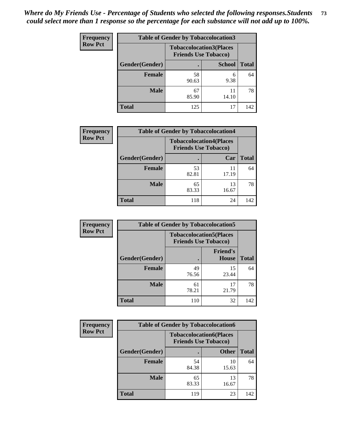| <b>Frequency</b> | <b>Table of Gender by Tobaccolocation3</b> |                             |                                |              |
|------------------|--------------------------------------------|-----------------------------|--------------------------------|--------------|
| <b>Row Pct</b>   |                                            | <b>Friends Use Tobacco)</b> | <b>Tobaccolocation3(Places</b> |              |
|                  | Gender(Gender)                             |                             | <b>School</b>                  | <b>Total</b> |
|                  | Female                                     | 58<br>90.63                 | 6<br>9.38                      | 64           |
|                  | <b>Male</b>                                | 67<br>85.90                 | 11<br>14.10                    | 78           |
|                  | <b>Total</b>                               | 125                         | 17                             | 142          |

| <b>Frequency</b> | <b>Table of Gender by Tobaccolocation4</b> |             |                                                               |              |
|------------------|--------------------------------------------|-------------|---------------------------------------------------------------|--------------|
| <b>Row Pct</b>   |                                            |             | <b>Tobaccolocation4(Places</b><br><b>Friends Use Tobacco)</b> |              |
|                  | Gender(Gender)                             |             | Car                                                           | <b>Total</b> |
|                  | <b>Female</b>                              | 53<br>82.81 | 11<br>17.19                                                   | 64           |
|                  | <b>Male</b>                                | 65<br>83.33 | 13<br>16.67                                                   | 78           |
|                  | <b>Total</b>                               | 118         | 24                                                            | 142          |

| <b>Frequency</b> | <b>Table of Gender by Tobaccolocation5</b> |                             |                                 |              |  |
|------------------|--------------------------------------------|-----------------------------|---------------------------------|--------------|--|
| <b>Row Pct</b>   |                                            | <b>Friends Use Tobacco)</b> | <b>Tobaccolocation5(Places</b>  |              |  |
|                  | Gender(Gender)                             |                             | <b>Friend's</b><br><b>House</b> | <b>Total</b> |  |
|                  | <b>Female</b>                              | 49<br>76.56                 | 15<br>23.44                     | 64           |  |
|                  | <b>Male</b>                                | 61<br>78.21                 | 17<br>21.79                     | 78           |  |
|                  | <b>Total</b>                               | 110                         | 32                              | 142          |  |

| <b>Frequency</b> | <b>Table of Gender by Tobaccolocation6</b> |                                                               |              |              |
|------------------|--------------------------------------------|---------------------------------------------------------------|--------------|--------------|
| <b>Row Pct</b>   |                                            | <b>Tobaccolocation6(Places</b><br><b>Friends Use Tobacco)</b> |              |              |
|                  | Gender(Gender)                             |                                                               | <b>Other</b> | <b>Total</b> |
|                  | Female                                     | 54<br>84.38                                                   | 10<br>15.63  | 64           |
|                  | <b>Male</b>                                | 65<br>83.33                                                   | 13<br>16.67  | 78           |
|                  | <b>Total</b>                               | 119                                                           | 23           | 142          |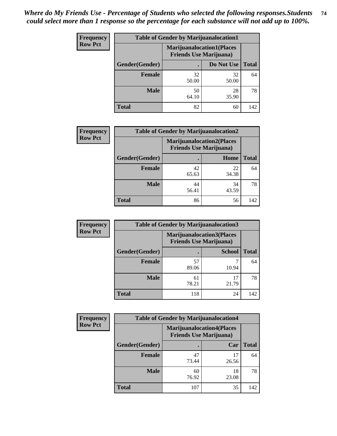| <b>Frequency</b> | <b>Table of Gender by Marijuanalocation1</b> |                                                                    |             |              |  |
|------------------|----------------------------------------------|--------------------------------------------------------------------|-------------|--------------|--|
| <b>Row Pct</b>   |                                              | <b>Marijuanalocation1(Places</b><br><b>Friends Use Marijuana</b> ) |             |              |  |
|                  | Gender(Gender)                               |                                                                    | Do Not Use  | <b>Total</b> |  |
|                  | <b>Female</b>                                | 32<br>50.00                                                        | 32<br>50.00 | 64           |  |
|                  | <b>Male</b>                                  | 50<br>64.10                                                        | 28<br>35.90 | 78           |  |
|                  | <b>Total</b>                                 | 82                                                                 | 60          | 142          |  |

| <b>Frequency</b> | <b>Table of Gender by Marijuanalocation2</b> |                                                                    |             |              |
|------------------|----------------------------------------------|--------------------------------------------------------------------|-------------|--------------|
| <b>Row Pct</b>   |                                              | <b>Marijuanalocation2(Places</b><br><b>Friends Use Marijuana</b> ) |             |              |
|                  | Gender(Gender)                               |                                                                    | Home        | <b>Total</b> |
|                  | <b>Female</b>                                | 42<br>65.63                                                        | 22<br>34.38 | 64           |
|                  | <b>Male</b>                                  | 44<br>56.41                                                        | 34<br>43.59 | 78           |
|                  | <b>Total</b>                                 | 86                                                                 | 56          | 142          |

| Frequency      | <b>Table of Gender by Marijuanalocation3</b> |                                                                    |               |              |
|----------------|----------------------------------------------|--------------------------------------------------------------------|---------------|--------------|
| <b>Row Pct</b> |                                              | <b>Marijuanalocation3(Places</b><br><b>Friends Use Marijuana</b> ) |               |              |
|                | Gender(Gender)                               |                                                                    | <b>School</b> | <b>Total</b> |
|                | Female                                       | 57<br>89.06                                                        | 10.94         | 64           |
|                | <b>Male</b>                                  | 61<br>78.21                                                        | 17<br>21.79   | 78           |
|                | <b>Total</b>                                 | 118                                                                | 24            | 142          |

| <b>Frequency</b> | <b>Table of Gender by Marijuanalocation4</b> |                                                                    |             |              |  |
|------------------|----------------------------------------------|--------------------------------------------------------------------|-------------|--------------|--|
| <b>Row Pct</b>   |                                              | <b>Marijuanalocation4(Places</b><br><b>Friends Use Marijuana</b> ) |             |              |  |
|                  | Gender(Gender)                               |                                                                    | Car         | <b>Total</b> |  |
|                  | <b>Female</b>                                | 47<br>73.44                                                        | 17<br>26.56 | 64           |  |
|                  | <b>Male</b>                                  | 60<br>76.92                                                        | 18<br>23.08 | 78           |  |
|                  | <b>Total</b>                                 | 107                                                                | 35          | 142          |  |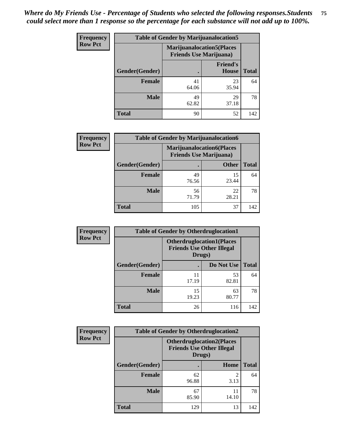| <b>Frequency</b> |                | <b>Table of Gender by Marijuanalocation5</b>                        |                          |              |  |
|------------------|----------------|---------------------------------------------------------------------|--------------------------|--------------|--|
| <b>Row Pct</b>   |                | <b>Marijuanalocation5</b> (Places<br><b>Friends Use Marijuana</b> ) |                          |              |  |
|                  | Gender(Gender) |                                                                     | <b>Friend's</b><br>House | <b>Total</b> |  |
|                  | <b>Female</b>  | 41<br>64.06                                                         | 23<br>35.94              | 64           |  |
|                  | <b>Male</b>    | 49<br>62.82                                                         | 29<br>37.18              | 78           |  |
|                  | <b>Total</b>   | 90                                                                  | 52                       | 142          |  |

| <b>Frequency</b> | <b>Table of Gender by Marijuanalocation6</b> |                                                                    |              |              |
|------------------|----------------------------------------------|--------------------------------------------------------------------|--------------|--------------|
| <b>Row Pct</b>   |                                              | <b>Marijuanalocation6(Places</b><br><b>Friends Use Marijuana</b> ) |              |              |
|                  | Gender(Gender)                               |                                                                    | <b>Other</b> | <b>Total</b> |
|                  | <b>Female</b>                                | 49<br>76.56                                                        | 15<br>23.44  | 64           |
|                  | <b>Male</b>                                  | 56<br>71.79                                                        | 22<br>28.21  | 78           |
|                  | <b>Total</b>                                 | 105                                                                | 37           | 142          |

| <b>Frequency</b> | <b>Table of Gender by Otherdruglocation1</b> |                                                                                |             |              |
|------------------|----------------------------------------------|--------------------------------------------------------------------------------|-------------|--------------|
| <b>Row Pct</b>   |                                              | <b>Otherdruglocation1(Places</b><br><b>Friends Use Other Illegal</b><br>Drugs) |             |              |
|                  | <b>Gender</b> (Gender)                       |                                                                                | Do Not Use  | <b>Total</b> |
|                  | <b>Female</b>                                | 11<br>17.19                                                                    | 53<br>82.81 | 64           |
|                  | <b>Male</b>                                  | 15<br>19.23                                                                    | 63<br>80.77 | 78           |
|                  | <b>Total</b>                                 | 26                                                                             | 116         | 142          |

| Frequency      | <b>Table of Gender by Otherdruglocation2</b> |                                                                                |             |              |
|----------------|----------------------------------------------|--------------------------------------------------------------------------------|-------------|--------------|
| <b>Row Pct</b> |                                              | <b>Otherdruglocation2(Places</b><br><b>Friends Use Other Illegal</b><br>Drugs) |             |              |
|                | Gender(Gender)                               |                                                                                | Home        | <b>Total</b> |
|                | <b>Female</b>                                | 62<br>96.88                                                                    | 2<br>3.13   | 64           |
|                | <b>Male</b>                                  | 67<br>85.90                                                                    | 11<br>14.10 | 78           |
|                | <b>Total</b>                                 | 129                                                                            | 13          | 142          |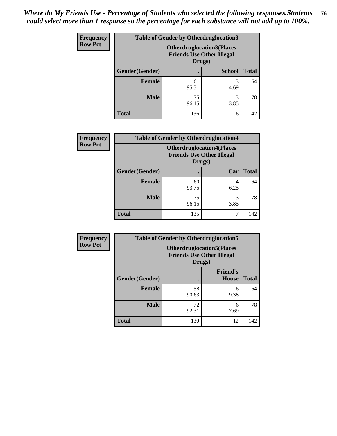| Frequency      | <b>Table of Gender by Otherdruglocation3</b> |                                                                                |               |              |
|----------------|----------------------------------------------|--------------------------------------------------------------------------------|---------------|--------------|
| <b>Row Pct</b> |                                              | <b>Otherdruglocation3(Places</b><br><b>Friends Use Other Illegal</b><br>Drugs) |               |              |
|                | Gender(Gender)                               |                                                                                | <b>School</b> | <b>Total</b> |
|                | <b>Female</b>                                | 61<br>95.31                                                                    | 3<br>4.69     | 64           |
|                | <b>Male</b>                                  | 75<br>96.15                                                                    | 3<br>3.85     | 78           |
|                | <b>Total</b>                                 | 136                                                                            | 6             | 142          |

| <b>Frequency</b> | <b>Table of Gender by Otherdruglocation4</b> |                                            |                                  |              |  |
|------------------|----------------------------------------------|--------------------------------------------|----------------------------------|--------------|--|
| <b>Row Pct</b>   |                                              | <b>Friends Use Other Illegal</b><br>Drugs) | <b>Otherdruglocation4(Places</b> |              |  |
|                  | Gender(Gender)                               |                                            | Car                              | <b>Total</b> |  |
|                  | <b>Female</b>                                | 60<br>93.75                                | 4<br>6.25                        | 64           |  |
|                  | <b>Male</b>                                  | 75<br>96.15                                | 3<br>3.85                        | 78           |  |
|                  | <b>Total</b>                                 | 135                                        |                                  | 142          |  |

| Frequency      | <b>Table of Gender by Otherdruglocation5</b> |                                                                                |                                 |              |
|----------------|----------------------------------------------|--------------------------------------------------------------------------------|---------------------------------|--------------|
| <b>Row Pct</b> |                                              | <b>Otherdruglocation5(Places</b><br><b>Friends Use Other Illegal</b><br>Drugs) |                                 |              |
|                | Gender(Gender)                               |                                                                                | <b>Friend's</b><br><b>House</b> | <b>Total</b> |
|                | <b>Female</b>                                | 58<br>90.63                                                                    | 6<br>9.38                       | 64           |
|                | <b>Male</b>                                  | 72<br>92.31                                                                    | 6<br>7.69                       | 78           |
|                | <b>Total</b>                                 | 130                                                                            | 12                              | 142          |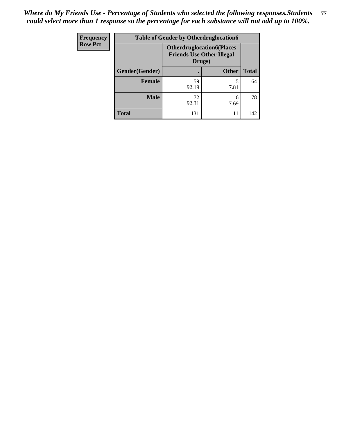| <b>Frequency</b> | <b>Table of Gender by Otherdruglocation6</b> |                                            |                                  |              |
|------------------|----------------------------------------------|--------------------------------------------|----------------------------------|--------------|
| <b>Row Pct</b>   |                                              | <b>Friends Use Other Illegal</b><br>Drugs) | <b>Otherdruglocation6(Places</b> |              |
|                  | Gender(Gender)                               |                                            | <b>Other</b>                     | <b>Total</b> |
|                  | Female                                       | 59<br>92.19                                | 7.81                             | 64           |
|                  | <b>Male</b>                                  | 72<br>92.31                                | 6<br>7.69                        | 78           |
|                  | <b>Total</b>                                 | 131                                        | 11                               | 142          |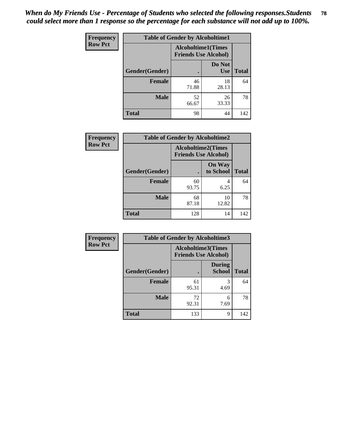| <b>Frequency</b> | <b>Table of Gender by Alcoholtime1</b> |                                                          |                      |              |
|------------------|----------------------------------------|----------------------------------------------------------|----------------------|--------------|
| <b>Row Pct</b>   |                                        | <b>Alcoholtime1(Times</b><br><b>Friends Use Alcohol)</b> |                      |              |
|                  | Gender(Gender)                         | $\bullet$                                                | Do Not<br><b>Use</b> | <b>Total</b> |
|                  | <b>Female</b>                          | 46<br>71.88                                              | 18<br>28.13          | 64           |
|                  | <b>Male</b>                            | 52<br>66.67                                              | 26<br>33.33          | 78           |
|                  | <b>Total</b>                           | 98                                                       | 44                   | 142          |

| <b>Frequency</b> | <b>Table of Gender by Alcoholtime2</b> |                                                          |                            |              |
|------------------|----------------------------------------|----------------------------------------------------------|----------------------------|--------------|
| <b>Row Pct</b>   |                                        | <b>Alcoholtime2(Times</b><br><b>Friends Use Alcohol)</b> |                            |              |
|                  | Gender(Gender)                         |                                                          | <b>On Way</b><br>to School | <b>Total</b> |
|                  | <b>Female</b>                          | 60<br>93.75                                              | 4<br>6.25                  | 64           |
|                  | <b>Male</b>                            | 68<br>87.18                                              | 10<br>12.82                | 78           |
|                  | <b>Total</b>                           | 128                                                      | 14                         | 142          |

| <b>Frequency</b> | <b>Table of Gender by Alcoholtime3</b> |                                                          |                                |              |
|------------------|----------------------------------------|----------------------------------------------------------|--------------------------------|--------------|
| <b>Row Pct</b>   |                                        | <b>Alcoholtime3(Times</b><br><b>Friends Use Alcohol)</b> |                                |              |
|                  | Gender(Gender)                         |                                                          | <b>During</b><br><b>School</b> | <b>Total</b> |
|                  | Female                                 | 61<br>95.31                                              | 3<br>4.69                      | 64           |
|                  | <b>Male</b>                            | 72<br>92.31                                              | 6<br>7.69                      | 78           |
|                  | <b>Total</b>                           | 133                                                      | 9                              | 142          |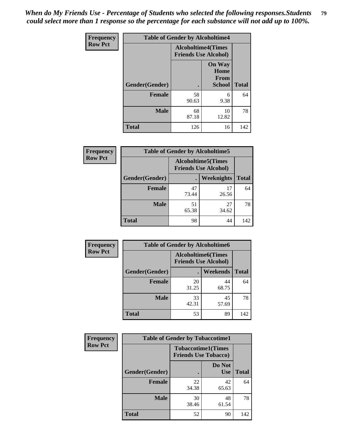*When do My Friends Use - Percentage of Students who selected the following responses.Students could select more than 1 response so the percentage for each substance will not add up to 100%.* **79**

| <b>Frequency</b> | <b>Table of Gender by Alcoholtime4</b> |                                                          |                                                |              |
|------------------|----------------------------------------|----------------------------------------------------------|------------------------------------------------|--------------|
| <b>Row Pct</b>   |                                        | <b>Alcoholtime4(Times</b><br><b>Friends Use Alcohol)</b> |                                                |              |
|                  | Gender(Gender)                         | $\bullet$                                                | <b>On Way</b><br>Home<br>From<br><b>School</b> | <b>Total</b> |
|                  | <b>Female</b>                          | 58<br>90.63                                              | 6<br>9.38                                      | 64           |
|                  | <b>Male</b>                            | 68<br>87.18                                              | 10<br>12.82                                    | 78           |
|                  | <b>Total</b>                           | 126                                                      | 16                                             | 142          |

| <b>Frequency</b> | <b>Table of Gender by Alcoholtime5</b> |                                                           |                   |              |  |
|------------------|----------------------------------------|-----------------------------------------------------------|-------------------|--------------|--|
| <b>Row Pct</b>   |                                        | <b>Alcoholtime5</b> (Times<br><b>Friends Use Alcohol)</b> |                   |              |  |
|                  | Gender(Gender)                         |                                                           | <b>Weeknights</b> | <b>Total</b> |  |
|                  | <b>Female</b>                          | 47<br>73.44                                               | 17<br>26.56       | 64           |  |
|                  | <b>Male</b>                            | 51<br>65.38                                               | 27<br>34.62       | 78           |  |
|                  | <b>Total</b>                           | 98                                                        | 44                | 142          |  |

| <b>Frequency</b> | <b>Table of Gender by Alcoholtime6</b> |             |                                                          |              |  |
|------------------|----------------------------------------|-------------|----------------------------------------------------------|--------------|--|
| <b>Row Pct</b>   |                                        |             | <b>Alcoholtime6(Times</b><br><b>Friends Use Alcohol)</b> |              |  |
|                  | Gender(Gender)                         |             | Weekends                                                 | <b>Total</b> |  |
|                  | Female                                 | 20<br>31.25 | 44<br>68.75                                              | 64           |  |
|                  | <b>Male</b>                            | 33<br>42.31 | 45<br>57.69                                              | 78           |  |
|                  | <b>Total</b>                           | 53          | 89                                                       | 142          |  |

| Frequency      | <b>Table of Gender by Tobaccotime1</b> |                                                          |                      |              |
|----------------|----------------------------------------|----------------------------------------------------------|----------------------|--------------|
| <b>Row Pct</b> |                                        | <b>Tobaccotime1(Times</b><br><b>Friends Use Tobacco)</b> |                      |              |
|                | Gender(Gender)                         |                                                          | Do Not<br><b>Use</b> | <b>Total</b> |
|                | <b>Female</b>                          | 22<br>34.38                                              | 42<br>65.63          | 64           |
|                | <b>Male</b>                            | 30<br>38.46                                              | 48<br>61.54          | 78           |
|                | <b>Total</b>                           | 52                                                       | 90                   | 142          |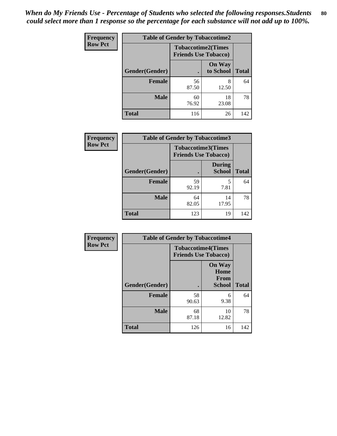| <b>Frequency</b> |                | <b>Table of Gender by Tobaccotime2</b>                   |                            |              |
|------------------|----------------|----------------------------------------------------------|----------------------------|--------------|
| <b>Row Pct</b>   |                | <b>Tobaccotime2(Times</b><br><b>Friends Use Tobacco)</b> |                            |              |
|                  | Gender(Gender) |                                                          | <b>On Way</b><br>to School | <b>Total</b> |
|                  | <b>Female</b>  | 56<br>87.50                                              | 8<br>12.50                 | 64           |
|                  | <b>Male</b>    | 60<br>76.92                                              | 18<br>23.08                | 78           |
|                  | <b>Total</b>   | 116                                                      | 26                         | 142          |

| Frequency      | <b>Table of Gender by Tobaccotime3</b> |                                                          |                                |              |
|----------------|----------------------------------------|----------------------------------------------------------|--------------------------------|--------------|
| <b>Row Pct</b> |                                        | <b>Tobaccotime3(Times</b><br><b>Friends Use Tobacco)</b> |                                |              |
|                | Gender(Gender)                         |                                                          | <b>During</b><br><b>School</b> | <b>Total</b> |
|                | <b>Female</b>                          | 59<br>92.19                                              | 5<br>7.81                      | 64           |
|                | <b>Male</b>                            | 64<br>82.05                                              | 14<br>17.95                    | 78           |
|                | <b>Total</b>                           | 123                                                      | 19                             | 142          |

| <b>Frequency</b> | <b>Table of Gender by Tobaccotime4</b> |                                                          |                                                |              |
|------------------|----------------------------------------|----------------------------------------------------------|------------------------------------------------|--------------|
| <b>Row Pct</b>   |                                        | <b>Tobaccotime4(Times</b><br><b>Friends Use Tobacco)</b> |                                                |              |
|                  | Gender(Gender)                         |                                                          | <b>On Way</b><br>Home<br>From<br><b>School</b> | <b>Total</b> |
|                  | <b>Female</b>                          | 58<br>90.63                                              | 6<br>9.38                                      | 64           |
|                  | <b>Male</b>                            | 68<br>87.18                                              | 10<br>12.82                                    | 78           |
|                  | <b>Total</b>                           | 126                                                      | 16                                             | 142          |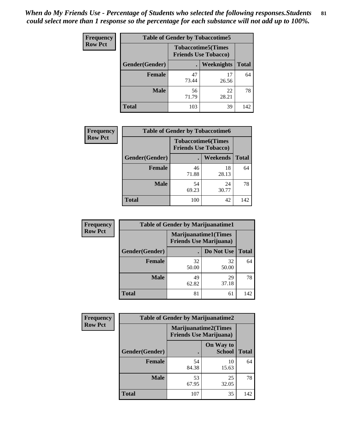*When do My Friends Use - Percentage of Students who selected the following responses.Students could select more than 1 response so the percentage for each substance will not add up to 100%.* **81**

| <b>Frequency</b> | <b>Table of Gender by Tobaccotime5</b> |                                                           |             |              |  |
|------------------|----------------------------------------|-----------------------------------------------------------|-------------|--------------|--|
| <b>Row Pct</b>   |                                        | <b>Tobaccotime5</b> (Times<br><b>Friends Use Tobacco)</b> |             |              |  |
|                  | Gender(Gender)                         |                                                           | Weeknights  | <b>Total</b> |  |
|                  | <b>Female</b>                          | 47<br>73.44                                               | 17<br>26.56 | 64           |  |
|                  | <b>Male</b>                            | 56<br>71.79                                               | 22<br>28.21 | 78           |  |
|                  | <b>Total</b>                           | 103                                                       | 39          | 142          |  |

| <b>Frequency</b> |                | <b>Table of Gender by Tobaccotime6</b>                   |                 |              |  |
|------------------|----------------|----------------------------------------------------------|-----------------|--------------|--|
| <b>Row Pct</b>   |                | <b>Tobaccotime6(Times</b><br><b>Friends Use Tobacco)</b> |                 |              |  |
|                  | Gender(Gender) |                                                          | <b>Weekends</b> | <b>Total</b> |  |
|                  | Female         | 46<br>71.88                                              | 18<br>28.13     | 64           |  |
|                  | <b>Male</b>    | 54<br>69.23                                              | 24<br>30.77     | 78           |  |
|                  | <b>Total</b>   | 100                                                      | 42              | 142          |  |

| Frequency      | <b>Table of Gender by Marijuanatime1</b> |                                                               |             |              |
|----------------|------------------------------------------|---------------------------------------------------------------|-------------|--------------|
| <b>Row Pct</b> |                                          | <b>Marijuanatime1(Times</b><br><b>Friends Use Marijuana</b> ) |             |              |
|                | Gender(Gender)                           |                                                               | Do Not Use  | <b>Total</b> |
|                | <b>Female</b>                            | 32<br>50.00                                                   | 32<br>50.00 | 64           |
|                | <b>Male</b>                              | 49<br>62.82                                                   | 29<br>37.18 | 78           |
|                | <b>Total</b>                             | 81                                                            | 61          | 142          |

| Frequency      | <b>Table of Gender by Marijuanatime2</b> |                             |                                |              |
|----------------|------------------------------------------|-----------------------------|--------------------------------|--------------|
| <b>Row Pct</b> |                                          | <b>Marijuanatime2(Times</b> | <b>Friends Use Marijuana</b> ) |              |
|                | Gender(Gender)                           |                             | On Way to<br><b>School</b>     | <b>Total</b> |
|                | <b>Female</b>                            | 54<br>84.38                 | 10<br>15.63                    | 64           |
|                | <b>Male</b>                              | 53<br>67.95                 | 25<br>32.05                    | 78           |
|                | <b>Total</b>                             | 107                         | 35                             | 142          |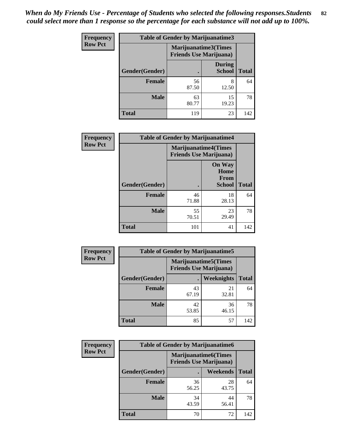| <b>Frequency</b> |                | <b>Table of Gender by Marijuanatime3</b> |                                |              |
|------------------|----------------|------------------------------------------|--------------------------------|--------------|
| <b>Row Pct</b>   |                | <b>Friends Use Marijuana</b> )           | Marijuanatime3(Times           |              |
|                  | Gender(Gender) |                                          | <b>During</b><br><b>School</b> | <b>Total</b> |
|                  | <b>Female</b>  | 56<br>87.50                              | 8<br>12.50                     | 64           |
|                  | <b>Male</b>    | 63<br>80.77                              | 15<br>19.23                    | 78           |
|                  | <b>Total</b>   | 119                                      | 23                             | 142          |

| Frequency      | <b>Table of Gender by Marijuanatime4</b> |                                                                |                                                       |              |
|----------------|------------------------------------------|----------------------------------------------------------------|-------------------------------------------------------|--------------|
| <b>Row Pct</b> |                                          | <b>Marijuanatime4</b> (Times<br><b>Friends Use Marijuana</b> ) |                                                       |              |
|                | Gender(Gender)                           |                                                                | <b>On Way</b><br>Home<br><b>From</b><br><b>School</b> | <b>Total</b> |
|                | <b>Female</b>                            | 46<br>71.88                                                    | 18<br>28.13                                           | 64           |
|                | <b>Male</b>                              | 55<br>70.51                                                    | 23<br>29.49                                           | 78           |
|                | <b>Total</b>                             | 101                                                            | 41                                                    | 142          |

| <b>Frequency</b> | <b>Table of Gender by Marijuanatime5</b> |                                                                |             |              |  |
|------------------|------------------------------------------|----------------------------------------------------------------|-------------|--------------|--|
| <b>Row Pct</b>   |                                          | <b>Marijuanatime5</b> (Times<br><b>Friends Use Marijuana</b> ) |             |              |  |
|                  | Gender(Gender)                           |                                                                | Weeknights  | <b>Total</b> |  |
|                  | <b>Female</b>                            | 43<br>67.19                                                    | 21<br>32.81 | 64           |  |
|                  | <b>Male</b>                              | 42<br>53.85                                                    | 36<br>46.15 | 78           |  |
|                  | <b>Total</b>                             | 85                                                             | 57          | 142          |  |

| Frequency      | <b>Table of Gender by Marijuanatime6</b> |                                                               |                 |              |  |
|----------------|------------------------------------------|---------------------------------------------------------------|-----------------|--------------|--|
| <b>Row Pct</b> |                                          | <b>Marijuanatime6(Times</b><br><b>Friends Use Marijuana</b> ) |                 |              |  |
|                | Gender(Gender)                           |                                                               | <b>Weekends</b> | <b>Total</b> |  |
|                | <b>Female</b>                            | 36<br>56.25                                                   | 28<br>43.75     | 64           |  |
|                | <b>Male</b>                              | 34<br>43.59                                                   | 44<br>56.41     | 78           |  |
|                | <b>Total</b>                             | 70                                                            | 72              | 142          |  |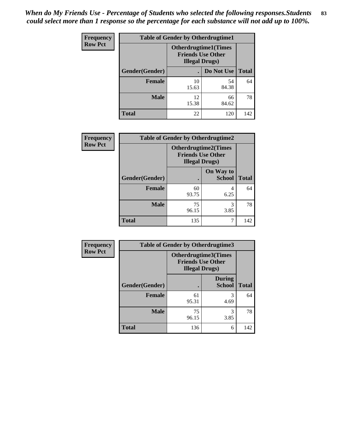*When do My Friends Use - Percentage of Students who selected the following responses.Students could select more than 1 response so the percentage for each substance will not add up to 100%.* **83**

| <b>Frequency</b> | <b>Table of Gender by Otherdrugtime1</b> |                        |                                                          |              |
|------------------|------------------------------------------|------------------------|----------------------------------------------------------|--------------|
| <b>Row Pct</b>   |                                          | <b>Illegal Drugs</b> ) | <b>Otherdrugtime1</b> (Times<br><b>Friends Use Other</b> |              |
|                  | Gender(Gender)                           |                        | Do Not Use                                               | <b>Total</b> |
|                  | <b>Female</b>                            | 10<br>15.63            | 54<br>84.38                                              | 64           |
|                  | <b>Male</b>                              | 12<br>15.38            | 66<br>84.62                                              | 78           |
|                  | <b>Total</b>                             | 22                     | 120                                                      | 142          |

| Frequency      | <b>Table of Gender by Otherdrugtime2</b> |                                                                                   |                            |              |  |
|----------------|------------------------------------------|-----------------------------------------------------------------------------------|----------------------------|--------------|--|
| <b>Row Pct</b> |                                          | <b>Otherdrugtime2(Times</b><br><b>Friends Use Other</b><br><b>Illegal Drugs</b> ) |                            |              |  |
|                | Gender(Gender)                           |                                                                                   | On Way to<br><b>School</b> | <b>Total</b> |  |
|                | <b>Female</b>                            | 60<br>93.75                                                                       | 4<br>6.25                  | 64           |  |
|                | <b>Male</b>                              | 75<br>96.15                                                                       | 3<br>3.85                  | 78           |  |
|                | <b>Total</b>                             | 135                                                                               |                            | 142          |  |

| Frequency      | <b>Table of Gender by Otherdrugtime3</b> |                                                                            |                                |              |  |
|----------------|------------------------------------------|----------------------------------------------------------------------------|--------------------------------|--------------|--|
| <b>Row Pct</b> |                                          | Otherdrugtime3(Times<br><b>Friends Use Other</b><br><b>Illegal Drugs</b> ) |                                |              |  |
|                | Gender(Gender)                           |                                                                            | <b>During</b><br><b>School</b> | <b>Total</b> |  |
|                | <b>Female</b>                            | 61<br>95.31                                                                | 3<br>4.69                      | 64           |  |
|                | <b>Male</b>                              | 75<br>96.15                                                                | 3<br>3.85                      | 78           |  |
|                | <b>Total</b>                             | 136                                                                        | 6                              | 142          |  |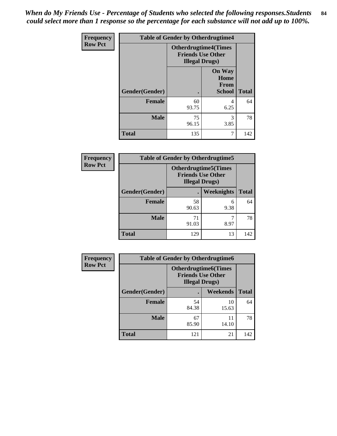*When do My Friends Use - Percentage of Students who selected the following responses.Students could select more than 1 response so the percentage for each substance will not add up to 100%.* **84**

| Frequency      |                | <b>Table of Gender by Otherdrugtime4</b> |                                                         |              |
|----------------|----------------|------------------------------------------|---------------------------------------------------------|--------------|
| <b>Row Pct</b> |                | <b>Illegal Drugs</b> )                   | <b>Otherdrugtime4(Times</b><br><b>Friends Use Other</b> |              |
|                | Gender(Gender) |                                          | <b>On Way</b><br>Home<br><b>From</b><br><b>School</b>   | <b>Total</b> |
|                | <b>Female</b>  | 60<br>93.75                              | 4<br>6.25                                               | 64           |
|                | <b>Male</b>    | 75<br>96.15                              | 3<br>3.85                                               | 78           |
|                | <b>Total</b>   | 135                                      |                                                         | 142          |

| <b>Frequency</b> | <b>Table of Gender by Otherdrugtime5</b>                                           |             |                   |              |  |
|------------------|------------------------------------------------------------------------------------|-------------|-------------------|--------------|--|
| <b>Row Pct</b>   | <b>Otherdrugtime5</b> (Times<br><b>Friends Use Other</b><br><b>Illegal Drugs</b> ) |             |                   |              |  |
|                  | Gender(Gender)                                                                     |             | <b>Weeknights</b> | <b>Total</b> |  |
|                  | <b>Female</b>                                                                      | 58<br>90.63 | 6<br>9.38         | 64           |  |
|                  | <b>Male</b>                                                                        | 71<br>91.03 | 8.97              | 78           |  |
|                  | <b>Total</b>                                                                       | 129         | 13                | 142          |  |

| <b>Frequency</b> | <b>Table of Gender by Otherdrugtime6</b> |                                                                                   |             |              |  |
|------------------|------------------------------------------|-----------------------------------------------------------------------------------|-------------|--------------|--|
| <b>Row Pct</b>   |                                          | <b>Otherdrugtime6(Times</b><br><b>Friends Use Other</b><br><b>Illegal Drugs</b> ) |             |              |  |
|                  | Gender(Gender)                           |                                                                                   | Weekends    | <b>Total</b> |  |
|                  | <b>Female</b>                            | 54<br>84.38                                                                       | 10<br>15.63 | 64           |  |
|                  | <b>Male</b>                              | 67<br>85.90                                                                       | 11<br>14.10 | 78           |  |
|                  | <b>Total</b>                             | 121                                                                               | 21          | 142          |  |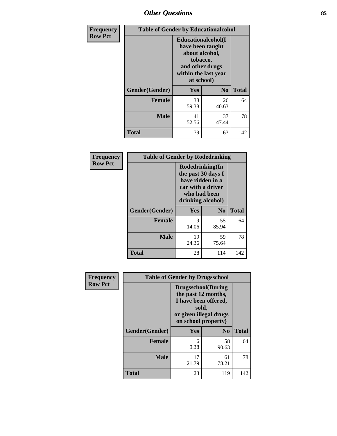# *Other Questions* **85**

| <b>Frequency</b> | <b>Table of Gender by Educationalcohol</b> |                                                                                                                                       |                |              |
|------------------|--------------------------------------------|---------------------------------------------------------------------------------------------------------------------------------------|----------------|--------------|
| <b>Row Pct</b>   |                                            | <b>Educationalcohol</b> (I<br>have been taught<br>about alcohol,<br>tobacco,<br>and other drugs<br>within the last year<br>at school) |                |              |
|                  | Gender(Gender)                             | <b>Yes</b>                                                                                                                            | N <sub>0</sub> | <b>Total</b> |
|                  | <b>Female</b>                              | 38<br>59.38                                                                                                                           | 26<br>40.63    | 64           |
|                  | <b>Male</b>                                | 41<br>52.56                                                                                                                           | 37<br>47.44    | 78           |
|                  | <b>Total</b>                               | 79                                                                                                                                    | 63             | 142          |

| Frequency      | <b>Table of Gender by Rodedrinking</b> |                                                                                                                     |                |              |
|----------------|----------------------------------------|---------------------------------------------------------------------------------------------------------------------|----------------|--------------|
| <b>Row Pct</b> |                                        | Rodedrinking(In<br>the past 30 days I<br>have ridden in a<br>car with a driver<br>who had been<br>drinking alcohol) |                |              |
|                | Gender(Gender)                         | Yes                                                                                                                 | N <sub>0</sub> | <b>Total</b> |
|                | <b>Female</b>                          | 9<br>14.06                                                                                                          | 55<br>85.94    | 64           |
|                | <b>Male</b>                            | 19<br>24.36                                                                                                         | 59<br>75.64    | 78           |
|                | <b>Total</b>                           | 28                                                                                                                  | 114            | 142          |

| Frequency      |                | <b>Table of Gender by Drugsschool</b>                                                                                               |                |              |
|----------------|----------------|-------------------------------------------------------------------------------------------------------------------------------------|----------------|--------------|
| <b>Row Pct</b> |                | <b>Drugsschool</b> (During<br>the past 12 months,<br>I have been offered,<br>sold,<br>or given illegal drugs<br>on school property) |                |              |
|                | Gender(Gender) | Yes                                                                                                                                 | N <sub>0</sub> | <b>Total</b> |
|                | <b>Female</b>  | 6<br>9.38                                                                                                                           | 58<br>90.63    | 64           |
|                | <b>Male</b>    | 17<br>21.79                                                                                                                         | 61<br>78.21    | 78           |
|                | <b>Total</b>   | 23                                                                                                                                  | 119            | 142          |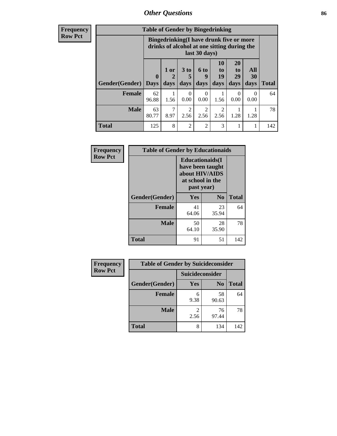# *Other Questions* **86**

**Frequency Row Pct**

| <b>Table of Gender by Bingedrinking</b> |                         |                                                                                                         |                        |                        |                        |                               |                   |              |
|-----------------------------------------|-------------------------|---------------------------------------------------------------------------------------------------------|------------------------|------------------------|------------------------|-------------------------------|-------------------|--------------|
|                                         |                         | Bingedrinking(I have drunk five or more<br>drinks of alcohol at one sitting during the<br>last 30 days) |                        |                        |                        |                               |                   |              |
| <b>Gender</b> (Gender)                  | $\bf{0}$<br><b>Days</b> | $1$ or<br>days                                                                                          | 3 to<br>5<br>days      | 6 to<br>q<br>days      | 10<br>to<br>19<br>days | <b>20</b><br>to<br>29<br>days | All<br>30<br>days | <b>Total</b> |
| <b>Female</b>                           | 62<br>96.88             | 1.56                                                                                                    | $\Omega$<br>0.00       | ∩<br>0.00              | 1.56                   | $\Omega$<br>0.00              | $\Omega$<br>0.00  | 64           |
| <b>Male</b>                             | 63<br>80.77             | 8.97                                                                                                    | $\overline{2}$<br>2.56 | $\mathfrak{D}$<br>2.56 | $\overline{2}$<br>2.56 | 1.28                          | 1.28              | 78           |
|                                         |                         |                                                                                                         |                        |                        |                        |                               |                   |              |

| Frequency      | <b>Table of Gender by Educationaids</b> |                                                                                                 |                |              |
|----------------|-----------------------------------------|-------------------------------------------------------------------------------------------------|----------------|--------------|
| <b>Row Pct</b> |                                         | <b>Educationaids</b> (I<br>have been taught<br>about HIV/AIDS<br>at school in the<br>past year) |                |              |
|                | Gender(Gender)                          | Yes                                                                                             | N <sub>0</sub> | <b>Total</b> |
|                | <b>Female</b>                           | 41<br>64.06                                                                                     | 23<br>35.94    | 64           |
|                | <b>Male</b>                             | 50<br>64.10                                                                                     | 28<br>35.90    | 78           |
|                | <b>Total</b>                            | 91                                                                                              | 51             | 142          |

| <b>Frequency</b> | <b>Table of Gender by Suicideconsider</b> |                 |                |              |
|------------------|-------------------------------------------|-----------------|----------------|--------------|
| <b>Row Pct</b>   |                                           | Suicideconsider |                |              |
|                  | Gender(Gender)                            | Yes             | N <sub>0</sub> | <b>Total</b> |
|                  | Female                                    | 6<br>9.38       | 58<br>90.63    | 64           |
|                  | <b>Male</b>                               | 2.56            | 76<br>97.44    | 78           |
|                  | <b>Total</b>                              | 8               | 134            | 142          |